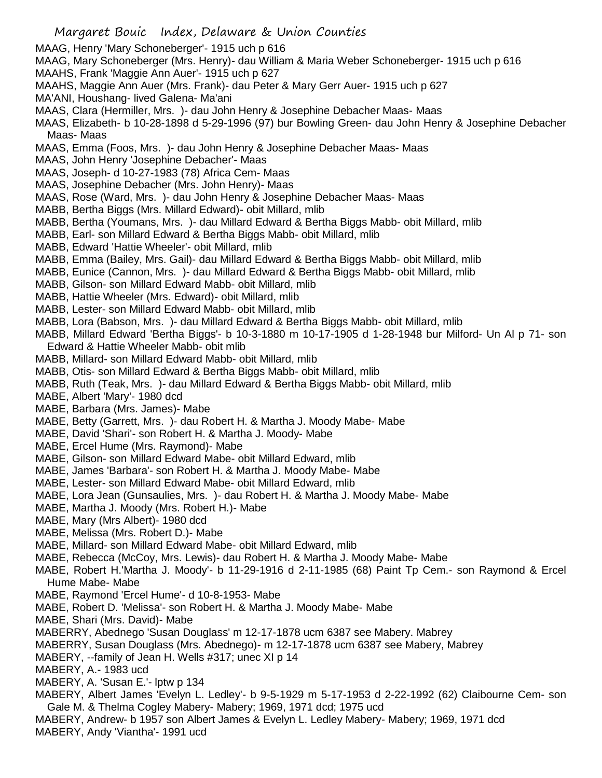- MAAG, Henry 'Mary Schoneberger'- 1915 uch p 616
- MAAG, Mary Schoneberger (Mrs. Henry)- dau William & Maria Weber Schoneberger- 1915 uch p 616
- MAAHS, Frank 'Maggie Ann Auer'- 1915 uch p 627
- MAAHS, Maggie Ann Auer (Mrs. Frank)- dau Peter & Mary Gerr Auer- 1915 uch p 627
- MA'ANI, Houshang- lived Galena- Ma'ani
- MAAS, Clara (Hermiller, Mrs. )- dau John Henry & Josephine Debacher Maas- Maas
- MAAS, Elizabeth- b 10-28-1898 d 5-29-1996 (97) bur Bowling Green- dau John Henry & Josephine Debacher Maas- Maas
- MAAS, Emma (Foos, Mrs. )- dau John Henry & Josephine Debacher Maas- Maas
- MAAS, John Henry 'Josephine Debacher'- Maas
- MAAS, Joseph- d 10-27-1983 (78) Africa Cem- Maas
- MAAS, Josephine Debacher (Mrs. John Henry)- Maas
- MAAS, Rose (Ward, Mrs. )- dau John Henry & Josephine Debacher Maas- Maas
- MABB, Bertha Biggs (Mrs. Millard Edward)- obit Millard, mlib
- MABB, Bertha (Youmans, Mrs. )- dau Millard Edward & Bertha Biggs Mabb- obit Millard, mlib
- MABB, Earl- son Millard Edward & Bertha Biggs Mabb- obit Millard, mlib
- MABB, Edward 'Hattie Wheeler'- obit Millard, mlib
- MABB, Emma (Bailey, Mrs. Gail)- dau Millard Edward & Bertha Biggs Mabb- obit Millard, mlib
- MABB, Eunice (Cannon, Mrs. )- dau Millard Edward & Bertha Biggs Mabb- obit Millard, mlib
- MABB, Gilson- son Millard Edward Mabb- obit Millard, mlib
- MABB, Hattie Wheeler (Mrs. Edward)- obit Millard, mlib
- MABB, Lester- son Millard Edward Mabb- obit Millard, mlib
- MABB, Lora (Babson, Mrs. )- dau Millard Edward & Bertha Biggs Mabb- obit Millard, mlib
- MABB, Millard Edward 'Bertha Biggs'- b 10-3-1880 m 10-17-1905 d 1-28-1948 bur Milford- Un Al p 71- son Edward & Hattie Wheeler Mabb- obit mlib
- MABB, Millard- son Millard Edward Mabb- obit Millard, mlib
- MABB, Otis- son Millard Edward & Bertha Biggs Mabb- obit Millard, mlib
- MABB, Ruth (Teak, Mrs. )- dau Millard Edward & Bertha Biggs Mabb- obit Millard, mlib
- MABE, Albert 'Mary'- 1980 dcd
- MABE, Barbara (Mrs. James)- Mabe
- MABE, Betty (Garrett, Mrs. )- dau Robert H. & Martha J. Moody Mabe- Mabe
- MABE, David 'Shari'- son Robert H. & Martha J. Moody- Mabe
- MABE, Ercel Hume (Mrs. Raymond)- Mabe
- MABE, Gilson- son Millard Edward Mabe- obit Millard Edward, mlib
- MABE, James 'Barbara'- son Robert H. & Martha J. Moody Mabe- Mabe
- MABE, Lester- son Millard Edward Mabe- obit Millard Edward, mlib
- MABE, Lora Jean (Gunsaulies, Mrs. )- dau Robert H. & Martha J. Moody Mabe- Mabe
- MABE, Martha J. Moody (Mrs. Robert H.)- Mabe
- MABE, Mary (Mrs Albert)- 1980 dcd
- MABE, Melissa (Mrs. Robert D.)- Mabe
- MABE, Millard- son Millard Edward Mabe- obit Millard Edward, mlib
- MABE, Rebecca (McCoy, Mrs. Lewis)- dau Robert H. & Martha J. Moody Mabe- Mabe
- MABE, Robert H.'Martha J. Moody'- b 11-29-1916 d 2-11-1985 (68) Paint Tp Cem.- son Raymond & Ercel Hume Mabe- Mabe
- MABE, Raymond 'Ercel Hume'- d 10-8-1953- Mabe
- MABE, Robert D. 'Melissa'- son Robert H. & Martha J. Moody Mabe- Mabe
- MABE, Shari (Mrs. David)- Mabe
- MABERRY, Abednego 'Susan Douglass' m 12-17-1878 ucm 6387 see Mabery. Mabrey
- MABERRY, Susan Douglass (Mrs. Abednego)- m 12-17-1878 ucm 6387 see Mabery, Mabrey
- MABERY, --family of Jean H. Wells #317; unec XI p 14
- MABERY, A.- 1983 ucd
- MABERY, A. 'Susan E.'- lptw p 134
- MABERY, Albert James 'Evelyn L. Ledley'- b 9-5-1929 m 5-17-1953 d 2-22-1992 (62) Claibourne Cem- son Gale M. & Thelma Cogley Mabery- Mabery; 1969, 1971 dcd; 1975 ucd
- MABERY, Andrew- b 1957 son Albert James & Evelyn L. Ledley Mabery- Mabery; 1969, 1971 dcd
- MABERY, Andy 'Viantha'- 1991 ucd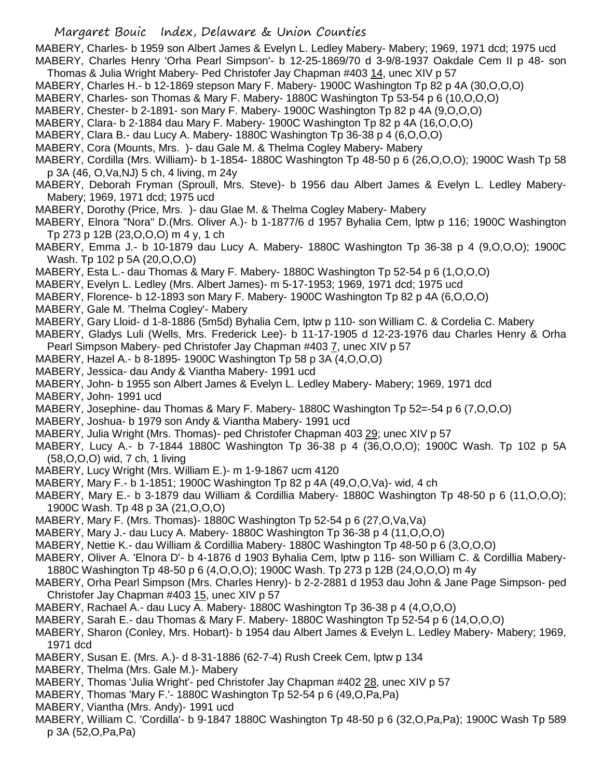MABERY, Charles- b 1959 son Albert James & Evelyn L. Ledley Mabery- Mabery; 1969, 1971 dcd; 1975 ucd MABERY, Charles Henry 'Orha Pearl Simpson'- b 12-25-1869/70 d 3-9/8-1937 Oakdale Cem II p 48- son

- Thomas & Julia Wright Mabery- Ped Christofer Jay Chapman #403 14, unec XIV p 57
- MABERY, Charles H.- b 12-1869 stepson Mary F. Mabery- 1900C Washington Tp 82 p 4A (30,O,O,O)
- MABERY, Charles- son Thomas & Mary F. Mabery- 1880C Washington Tp 53-54 p 6 (10,O,O,O)
- MABERY, Chester- b 2-1891- son Mary F. Mabery- 1900C Washington Tp 82 p 4A (9,O,O,O)
- MABERY, Clara- b 2-1884 dau Mary F. Mabery- 1900C Washington Tp 82 p 4A (16,O,O,O)
- MABERY, Clara B.- dau Lucy A. Mabery- 1880C Washington Tp 36-38 p 4 (6,O,O,O)
- MABERY, Cora (Mounts, Mrs. )- dau Gale M. & Thelma Cogley Mabery- Mabery
- MABERY, Cordilla (Mrs. William)- b 1-1854- 1880C Washington Tp 48-50 p 6 (26,O,O,O); 1900C Wash Tp 58 p 3A (46, O,Va,NJ) 5 ch, 4 living, m 24y
- MABERY, Deborah Fryman (Sproull, Mrs. Steve)- b 1956 dau Albert James & Evelyn L. Ledley Mabery-Mabery; 1969, 1971 dcd; 1975 ucd
- MABERY, Dorothy (Price, Mrs. )- dau Glae M. & Thelma Cogley Mabery- Mabery
- MABERY, Elnora "Nora" D.(Mrs. Oliver A.)- b 1-1877/6 d 1957 Byhalia Cem, lptw p 116; 1900C Washington Tp 273 p 12B (23,O,O,O) m 4 y, 1 ch
- MABERY, Emma J.- b 10-1879 dau Lucy A. Mabery- 1880C Washington Tp 36-38 p 4 (9,O,O,O); 1900C Wash. Tp 102 p 5A (20,O,O,O)
- MABERY, Esta L.- dau Thomas & Mary F. Mabery- 1880C Washington Tp 52-54 p 6 (1,O,O,O)
- MABERY, Evelyn L. Ledley (Mrs. Albert James)- m 5-17-1953; 1969, 1971 dcd; 1975 ucd
- MABERY, Florence- b 12-1893 son Mary F. Mabery- 1900C Washington Tp 82 p 4A (6,O,O,O)
- MABERY, Gale M. 'Thelma Cogley'- Mabery
- MABERY, Gary Lloid- d 1-8-1886 (5m5d) Byhalia Cem, lptw p 110- son William C. & Cordelia C. Mabery
- MABERY, Gladys Luli (Wells, Mrs. Frederick Lee)- b 11-17-1905 d 12-23-1976 dau Charles Henry & Orha Pearl Simpson Mabery- ped Christofer Jay Chapman #403 7, unec XIV p 57
- MABERY, Hazel A.- b 8-1895- 1900C Washington Tp 58 p 3A (4,O,O,O)
- MABERY, Jessica- dau Andy & Viantha Mabery- 1991 ucd
- MABERY, John- b 1955 son Albert James & Evelyn L. Ledley Mabery- Mabery; 1969, 1971 dcd
- MABERY, John- 1991 ucd
- MABERY, Josephine- dau Thomas & Mary F. Mabery- 1880C Washington Tp 52=-54 p 6 (7,O,O,O)
- MABERY, Joshua- b 1979 son Andy & Viantha Mabery- 1991 ucd
- MABERY, Julia Wright (Mrs. Thomas)- ped Christofer Chapman 403 29; unec XIV p 57
- MABERY, Lucy A.- b 7-1844 1880C Washington Tp 36-38 p 4 (36,O,O,O); 1900C Wash. Tp 102 p 5A (58,O,O,O) wid, 7 ch, 1 living
- MABERY, Lucy Wright (Mrs. William E.)- m 1-9-1867 ucm 4120
- MABERY, Mary F.- b 1-1851; 1900C Washington Tp 82 p 4A (49,O,O,Va)- wid, 4 ch
- MABERY, Mary E.- b 3-1879 dau William & Cordillia Mabery- 1880C Washington Tp 48-50 p 6 (11,O,O,O); 1900C Wash. Tp 48 p 3A (21,O,O,O)
- MABERY, Mary F. (Mrs. Thomas)- 1880C Washington Tp 52-54 p 6 (27,O,Va,Va)
- MABERY, Mary J.- dau Lucy A. Mabery- 1880C Washington Tp 36-38 p 4 (11,O,O,O)
- MABERY, Nettie K.- dau William & Cordillia Mabery- 1880C Washington Tp 48-50 p 6 (3,O,O,O)
- MABERY, Oliver A. 'Elnora D'- b 4-1876 d 1903 Byhalia Cem, lptw p 116- son William C. & Cordillia Mabery-1880C Washington Tp 48-50 p 6 (4,O,O,O); 1900C Wash. Tp 273 p 12B (24,O,O,O) m 4y
- MABERY, Orha Pearl Simpson (Mrs. Charles Henry)- b 2-2-2881 d 1953 dau John & Jane Page Simpson- ped Christofer Jay Chapman #403 15, unec XIV p 57
- MABERY, Rachael A.- dau Lucy A. Mabery- 1880C Washington Tp 36-38 p 4 (4,O,O,O)
- MABERY, Sarah E.- dau Thomas & Mary F. Mabery- 1880C Washington Tp 52-54 p 6 (14,O,O,O)
- MABERY, Sharon (Conley, Mrs. Hobart)- b 1954 dau Albert James & Evelyn L. Ledley Mabery- Mabery; 1969, 1971 dcd
- MABERY, Susan E. (Mrs. A.)- d 8-31-1886 (62-7-4) Rush Creek Cem, lptw p 134
- MABERY, Thelma (Mrs. Gale M.)- Mabery
- MABERY, Thomas 'Julia Wright'- ped Christofer Jay Chapman #402 28, unec XIV p 57
- MABERY, Thomas 'Mary F.'- 1880C Washington Tp 52-54 p 6 (49,O,Pa,Pa)
- MABERY, Viantha (Mrs. Andy)- 1991 ucd
- MABERY, William C. 'Cordilla'- b 9-1847 1880C Washington Tp 48-50 p 6 (32,O,Pa,Pa); 1900C Wash Tp 589 p 3A (52,O,Pa,Pa)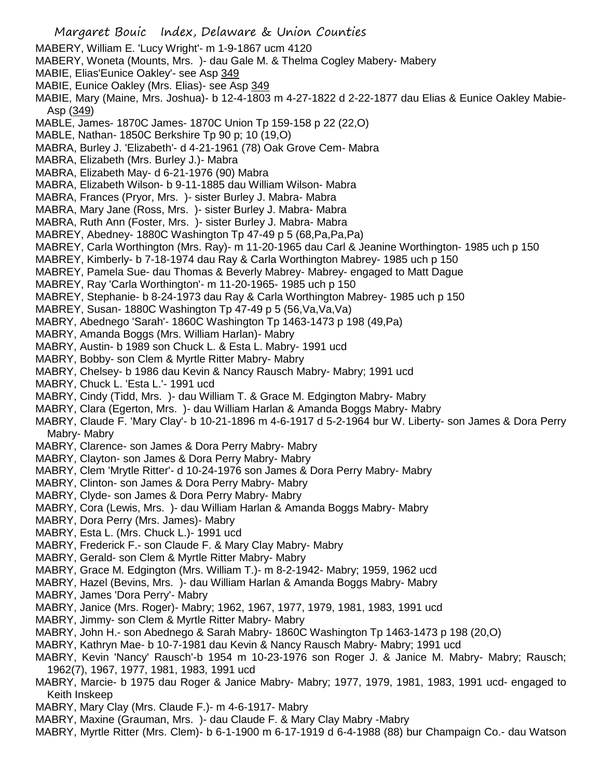- Margaret Bouic Index, Delaware & Union Counties MABERY, William E. 'Lucy Wright'- m 1-9-1867 ucm 4120 MABERY, Woneta (Mounts, Mrs. )- dau Gale M. & Thelma Cogley Mabery- Mabery MABIE, Elias'Eunice Oakley'- see Asp 349 MABIE, Eunice Oakley (Mrs. Elias)- see Asp 349 MABIE, Mary (Maine, Mrs. Joshua)- b 12-4-1803 m 4-27-1822 d 2-22-1877 dau Elias & Eunice Oakley Mabie-Asp (349) MABLE, James- 1870C James- 1870C Union Tp 159-158 p 22 (22,O) MABLE, Nathan- 1850C Berkshire Tp 90 p; 10 (19,O) MABRA, Burley J. 'Elizabeth'- d 4-21-1961 (78) Oak Grove Cem- Mabra MABRA, Elizabeth (Mrs. Burley J.)- Mabra MABRA, Elizabeth May- d 6-21-1976 (90) Mabra MABRA, Elizabeth Wilson- b 9-11-1885 dau William Wilson- Mabra MABRA, Frances (Pryor, Mrs. )- sister Burley J. Mabra- Mabra MABRA, Mary Jane (Ross, Mrs. )- sister Burley J. Mabra- Mabra MABRA, Ruth Ann (Foster, Mrs. )- sister Burley J. Mabra- Mabra MABREY, Abedney- 1880C Washington Tp 47-49 p 5 (68,Pa,Pa,Pa) MABREY, Carla Worthington (Mrs. Ray)- m 11-20-1965 dau Carl & Jeanine Worthington- 1985 uch p 150 MABREY, Kimberly- b 7-18-1974 dau Ray & Carla Worthington Mabrey- 1985 uch p 150 MABREY, Pamela Sue- dau Thomas & Beverly Mabrey- Mabrey- engaged to Matt Dague MABREY, Ray 'Carla Worthington'- m 11-20-1965- 1985 uch p 150 MABREY, Stephanie- b 8-24-1973 dau Ray & Carla Worthington Mabrey- 1985 uch p 150 MABREY, Susan- 1880C Washington Tp 47-49 p 5 (56,Va,Va,Va) MABRY, Abednego 'Sarah'- 1860C Washington Tp 1463-1473 p 198 (49,Pa) MABRY, Amanda Boggs (Mrs. William Harlan)- Mabry MABRY, Austin- b 1989 son Chuck L. & Esta L. Mabry- 1991 ucd MABRY, Bobby- son Clem & Myrtle Ritter Mabry- Mabry MABRY, Chelsey- b 1986 dau Kevin & Nancy Rausch Mabry- Mabry; 1991 ucd MABRY, Chuck L. 'Esta L.'- 1991 ucd MABRY, Cindy (Tidd, Mrs. )- dau William T. & Grace M. Edgington Mabry- Mabry MABRY, Clara (Egerton, Mrs. )- dau William Harlan & Amanda Boggs Mabry- Mabry MABRY, Claude F. 'Mary Clay'- b 10-21-1896 m 4-6-1917 d 5-2-1964 bur W. Liberty- son James & Dora Perry Mabry- Mabry MABRY, Clarence- son James & Dora Perry Mabry- Mabry MABRY, Clayton- son James & Dora Perry Mabry- Mabry MABRY, Clem 'Mrytle Ritter'- d 10-24-1976 son James & Dora Perry Mabry- Mabry MABRY, Clinton- son James & Dora Perry Mabry- Mabry MABRY, Clyde- son James & Dora Perry Mabry- Mabry MABRY, Cora (Lewis, Mrs. )- dau William Harlan & Amanda Boggs Mabry- Mabry MABRY, Dora Perry (Mrs. James)- Mabry MABRY, Esta L. (Mrs. Chuck L.)- 1991 ucd MABRY, Frederick F.- son Claude F. & Mary Clay Mabry- Mabry
- MABRY, Gerald- son Clem & Myrtle Ritter Mabry- Mabry
- MABRY, Grace M. Edgington (Mrs. William T.)- m 8-2-1942- Mabry; 1959, 1962 ucd
- MABRY, Hazel (Bevins, Mrs. )- dau William Harlan & Amanda Boggs Mabry- Mabry
- MABRY, James 'Dora Perry'- Mabry
- MABRY, Janice (Mrs. Roger)- Mabry; 1962, 1967, 1977, 1979, 1981, 1983, 1991 ucd
- MABRY, Jimmy- son Clem & Myrtle Ritter Mabry- Mabry
- MABRY, John H.- son Abednego & Sarah Mabry- 1860C Washington Tp 1463-1473 p 198 (20,O)
- MABRY, Kathryn Mae- b 10-7-1981 dau Kevin & Nancy Rausch Mabry- Mabry; 1991 ucd
- MABRY, Kevin 'Nancy' Rausch'-b 1954 m 10-23-1976 son Roger J. & Janice M. Mabry- Mabry; Rausch; 1962(7), 1967, 1977, 1981, 1983, 1991 ucd
- MABRY, Marcie- b 1975 dau Roger & Janice Mabry- Mabry; 1977, 1979, 1981, 1983, 1991 ucd- engaged to Keith Inskeep
- MABRY, Mary Clay (Mrs. Claude F.)- m 4-6-1917- Mabry
- MABRY, Maxine (Grauman, Mrs. )- dau Claude F. & Mary Clay Mabry -Mabry
- MABRY, Myrtle Ritter (Mrs. Clem)- b 6-1-1900 m 6-17-1919 d 6-4-1988 (88) bur Champaign Co.- dau Watson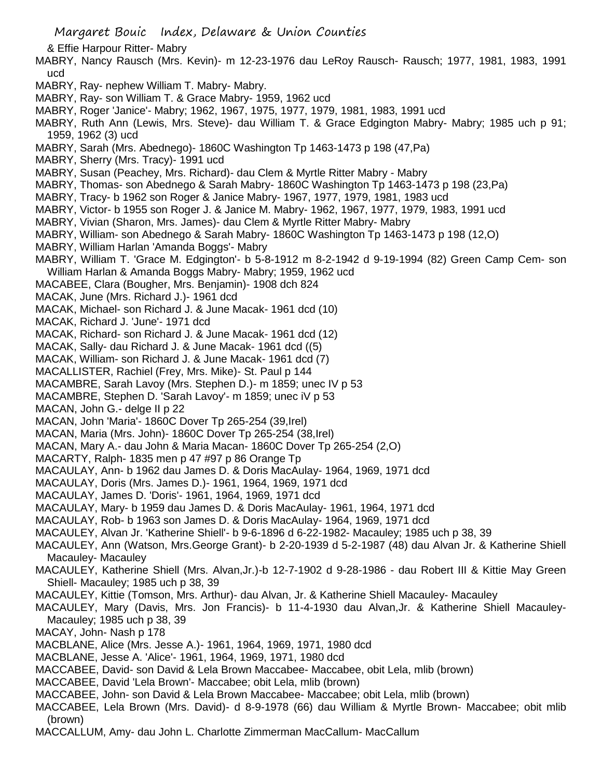& Effie Harpour Ritter- Mabry

- MABRY, Nancy Rausch (Mrs. Kevin)- m 12-23-1976 dau LeRoy Rausch- Rausch; 1977, 1981, 1983, 1991 ucd
- MABRY, Ray- nephew William T. Mabry- Mabry.
- MABRY, Ray- son William T. & Grace Mabry- 1959, 1962 ucd
- MABRY, Roger 'Janice'- Mabry; 1962, 1967, 1975, 1977, 1979, 1981, 1983, 1991 ucd
- MABRY, Ruth Ann (Lewis, Mrs. Steve)- dau William T. & Grace Edgington Mabry- Mabry; 1985 uch p 91; 1959, 1962 (3) ucd
- MABRY, Sarah (Mrs. Abednego)- 1860C Washington Tp 1463-1473 p 198 (47,Pa)
- MABRY, Sherry (Mrs. Tracy)- 1991 ucd
- MABRY, Susan (Peachey, Mrs. Richard)- dau Clem & Myrtle Ritter Mabry Mabry
- MABRY, Thomas- son Abednego & Sarah Mabry- 1860C Washington Tp 1463-1473 p 198 (23,Pa)
- MABRY, Tracy- b 1962 son Roger & Janice Mabry- 1967, 1977, 1979, 1981, 1983 ucd
- MABRY, Victor- b 1955 son Roger J. & Janice M. Mabry- 1962, 1967, 1977, 1979, 1983, 1991 ucd
- MABRY, Vivian (Sharon, Mrs. James)- dau Clem & Myrtle Ritter Mabry- Mabry
- MABRY, William- son Abednego & Sarah Mabry- 1860C Washington Tp 1463-1473 p 198 (12,O)
- MABRY, William Harlan 'Amanda Boggs'- Mabry
- MABRY, William T. 'Grace M. Edgington'- b 5-8-1912 m 8-2-1942 d 9-19-1994 (82) Green Camp Cem- son William Harlan & Amanda Boggs Mabry- Mabry; 1959, 1962 ucd
- MACABEE, Clara (Bougher, Mrs. Benjamin)- 1908 dch 824
- MACAK, June (Mrs. Richard J.)- 1961 dcd
- MACAK, Michael- son Richard J. & June Macak- 1961 dcd (10)
- MACAK, Richard J. 'June'- 1971 dcd
- MACAK, Richard- son Richard J. & June Macak- 1961 dcd (12)
- MACAK, Sally- dau Richard J. & June Macak- 1961 dcd ((5)
- MACAK, William- son Richard J. & June Macak- 1961 dcd (7)
- MACALLISTER, Rachiel (Frey, Mrs. Mike)- St. Paul p 144
- MACAMBRE, Sarah Lavoy (Mrs. Stephen D.)- m 1859; unec IV p 53
- MACAMBRE, Stephen D. 'Sarah Lavoy'- m 1859; unec iV p 53
- MACAN, John G.- delge II p 22
- MACAN, John 'Maria'- 1860C Dover Tp 265-254 (39,Irel)
- MACAN, Maria (Mrs. John)- 1860C Dover Tp 265-254 (38,Irel)
- MACAN, Mary A.- dau John & Maria Macan- 1860C Dover Tp 265-254 (2,O)
- MACARTY, Ralph- 1835 men p 47 #97 p 86 Orange Tp
- MACAULAY, Ann- b 1962 dau James D. & Doris MacAulay- 1964, 1969, 1971 dcd
- MACAULAY, Doris (Mrs. James D.)- 1961, 1964, 1969, 1971 dcd
- MACAULAY, James D. 'Doris'- 1961, 1964, 1969, 1971 dcd
- MACAULAY, Mary- b 1959 dau James D. & Doris MacAulay- 1961, 1964, 1971 dcd
- MACAULAY, Rob- b 1963 son James D. & Doris MacAulay- 1964, 1969, 1971 dcd
- MACAULEY, Alvan Jr. 'Katherine Shiell'- b 9-6-1896 d 6-22-1982- Macauley; 1985 uch p 38, 39
- MACAULEY, Ann (Watson, Mrs.George Grant)- b 2-20-1939 d 5-2-1987 (48) dau Alvan Jr. & Katherine Shiell Macauley- Macauley
- MACAULEY, Katherine Shiell (Mrs. Alvan,Jr.)-b 12-7-1902 d 9-28-1986 dau Robert III & Kittie May Green Shiell- Macauley; 1985 uch p 38, 39
- MACAULEY, Kittie (Tomson, Mrs. Arthur)- dau Alvan, Jr. & Katherine Shiell Macauley- Macauley
- MACAULEY, Mary (Davis, Mrs. Jon Francis)- b 11-4-1930 dau Alvan,Jr. & Katherine Shiell Macauley-Macauley; 1985 uch p 38, 39
- MACAY, John- Nash p 178
- MACBLANE, Alice (Mrs. Jesse A.)- 1961, 1964, 1969, 1971, 1980 dcd
- MACBLANE, Jesse A. 'Alice'- 1961, 1964, 1969, 1971, 1980 dcd
- MACCABEE, David- son David & Lela Brown Maccabee- Maccabee, obit Lela, mlib (brown)
- MACCABEE, David 'Lela Brown'- Maccabee; obit Lela, mlib (brown)
- MACCABEE, John- son David & Lela Brown Maccabee- Maccabee; obit Lela, mlib (brown)
- MACCABEE, Lela Brown (Mrs. David)- d 8-9-1978 (66) dau William & Myrtle Brown- Maccabee; obit mlib (brown)
- MACCALLUM, Amy- dau John L. Charlotte Zimmerman MacCallum- MacCallum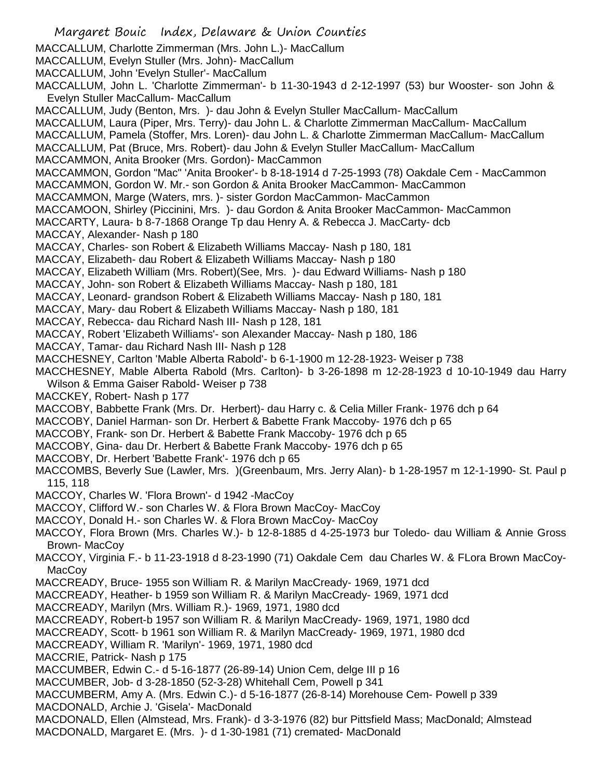Margaret Bouic Index, Delaware & Union Counties MACCALLUM, Charlotte Zimmerman (Mrs. John L.)- MacCallum MACCALLUM, Evelyn Stuller (Mrs. John)- MacCallum MACCALLUM, John 'Evelyn Stuller'- MacCallum MACCALLUM, John L. 'Charlotte Zimmerman'- b 11-30-1943 d 2-12-1997 (53) bur Wooster- son John & Evelyn Stuller MacCallum- MacCallum MACCALLUM, Judy (Benton, Mrs. )- dau John & Evelyn Stuller MacCallum- MacCallum MACCALLUM, Laura (Piper, Mrs. Terry)- dau John L. & Charlotte Zimmerman MacCallum- MacCallum MACCALLUM, Pamela (Stoffer, Mrs. Loren)- dau John L. & Charlotte Zimmerman MacCallum- MacCallum MACCALLUM, Pat (Bruce, Mrs. Robert)- dau John & Evelyn Stuller MacCallum- MacCallum MACCAMMON, Anita Brooker (Mrs. Gordon)- MacCammon MACCAMMON, Gordon "Mac" 'Anita Brooker'- b 8-18-1914 d 7-25-1993 (78) Oakdale Cem - MacCammon MACCAMMON, Gordon W. Mr.- son Gordon & Anita Brooker MacCammon- MacCammon MACCAMMON, Marge (Waters, mrs. )- sister Gordon MacCammon- MacCammon MACCAMOON, Shirley (Piccinini, Mrs. )- dau Gordon & Anita Brooker MacCammon- MacCammon MACCARTY, Laura- b 8-7-1868 Orange Tp dau Henry A. & Rebecca J. MacCarty- dcb MACCAY, Alexander- Nash p 180 MACCAY, Charles- son Robert & Elizabeth Williams Maccay- Nash p 180, 181 MACCAY, Elizabeth- dau Robert & Elizabeth Williams Maccay- Nash p 180 MACCAY, Elizabeth William (Mrs. Robert)(See, Mrs. )- dau Edward Williams- Nash p 180 MACCAY, John- son Robert & Elizabeth Williams Maccay- Nash p 180, 181 MACCAY, Leonard- grandson Robert & Elizabeth Williams Maccay- Nash p 180, 181 MACCAY, Mary- dau Robert & Elizabeth Williams Maccay- Nash p 180, 181 MACCAY, Rebecca- dau Richard Nash III- Nash p 128, 181 MACCAY, Robert 'Elizabeth Williams'- son Alexander Maccay- Nash p 180, 186 MACCAY, Tamar- dau Richard Nash III- Nash p 128 MACCHESNEY, Carlton 'Mable Alberta Rabold'- b 6-1-1900 m 12-28-1923- Weiser p 738 MACCHESNEY, Mable Alberta Rabold (Mrs. Carlton)- b 3-26-1898 m 12-28-1923 d 10-10-1949 dau Harry Wilson & Emma Gaiser Rabold- Weiser p 738 MACCKEY, Robert- Nash p 177 MACCOBY, Babbette Frank (Mrs. Dr. Herbert)- dau Harry c. & Celia Miller Frank- 1976 dch p 64 MACCOBY, Daniel Harman- son Dr. Herbert & Babette Frank Maccoby- 1976 dch p 65 MACCOBY, Frank- son Dr. Herbert & Babette Frank Maccoby- 1976 dch p 65 MACCOBY, Gina- dau Dr. Herbert & Babette Frank Maccoby- 1976 dch p 65 MACCOBY, Dr. Herbert 'Babette Frank'- 1976 dch p 65 MACCOMBS, Beverly Sue (Lawler, Mrs. )(Greenbaum, Mrs. Jerry Alan)- b 1-28-1957 m 12-1-1990- St. Paul p 115, 118 MACCOY, Charles W. 'Flora Brown'- d 1942 -MacCoy MACCOY, Clifford W.- son Charles W. & Flora Brown MacCoy- MacCoy MACCOY, Donald H.- son Charles W. & Flora Brown MacCoy- MacCoy MACCOY, Flora Brown (Mrs. Charles W.)- b 12-8-1885 d 4-25-1973 bur Toledo- dau William & Annie Gross Brown- MacCoy MACCOY, Virginia F.- b 11-23-1918 d 8-23-1990 (71) Oakdale Cem dau Charles W. & FLora Brown MacCoy-MacCoy MACCREADY, Bruce- 1955 son William R. & Marilyn MacCready- 1969, 1971 dcd MACCREADY, Heather- b 1959 son William R. & Marilyn MacCready- 1969, 1971 dcd MACCREADY, Marilyn (Mrs. William R.)- 1969, 1971, 1980 dcd MACCREADY, Robert-b 1957 son William R. & Marilyn MacCready- 1969, 1971, 1980 dcd MACCREADY, Scott- b 1961 son William R. & Marilyn MacCready- 1969, 1971, 1980 dcd MACCREADY, William R. 'Marilyn'- 1969, 1971, 1980 dcd MACCRIE, Patrick- Nash p 175 MACCUMBER, Edwin C.- d 5-16-1877 (26-89-14) Union Cem, delge III p 16 MACCUMBER, Job- d 3-28-1850 (52-3-28) Whitehall Cem, Powell p 341 MACCUMBERM, Amy A. (Mrs. Edwin C.)- d 5-16-1877 (26-8-14) Morehouse Cem- Powell p 339 MACDONALD, Archie J. 'Gisela'- MacDonald MACDONALD, Ellen (Almstead, Mrs. Frank)- d 3-3-1976 (82) bur Pittsfield Mass; MacDonald; Almstead MACDONALD, Margaret E. (Mrs. )- d 1-30-1981 (71) cremated- MacDonald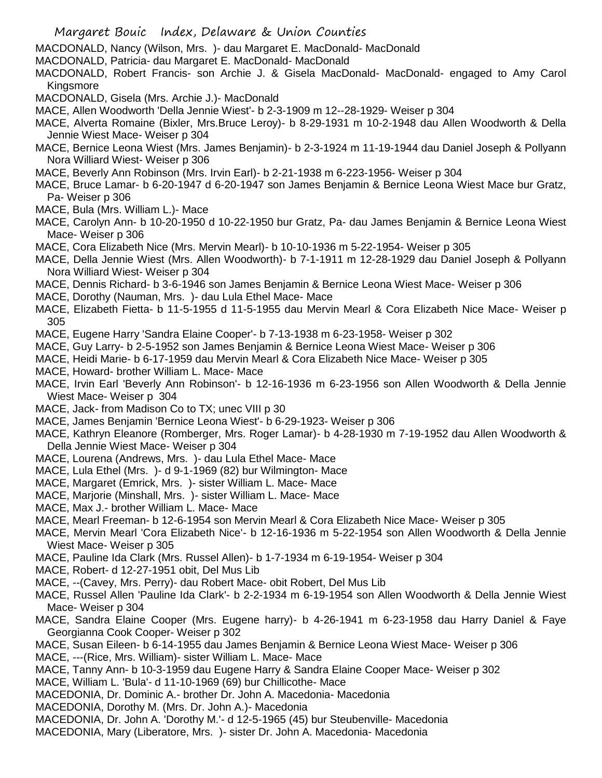- Margaret Bouic Index, Delaware & Union Counties
- MACDONALD, Nancy (Wilson, Mrs. )- dau Margaret E. MacDonald- MacDonald
- MACDONALD, Patricia- dau Margaret E. MacDonald- MacDonald
- MACDONALD, Robert Francis- son Archie J. & Gisela MacDonald- MacDonald- engaged to Amy Carol Kingsmore
- MACDONALD, Gisela (Mrs. Archie J.)- MacDonald
- MACE, Allen Woodworth 'Della Jennie Wiest'- b 2-3-1909 m 12--28-1929- Weiser p 304
- MACE, Alverta Romaine (Bixler, Mrs.Bruce Leroy)- b 8-29-1931 m 10-2-1948 dau Allen Woodworth & Della Jennie Wiest Mace- Weiser p 304
- MACE, Bernice Leona Wiest (Mrs. James Benjamin)- b 2-3-1924 m 11-19-1944 dau Daniel Joseph & Pollyann Nora Williard Wiest- Weiser p 306
- MACE, Beverly Ann Robinson (Mrs. Irvin Earl)- b 2-21-1938 m 6-223-1956- Weiser p 304
- MACE, Bruce Lamar- b 6-20-1947 d 6-20-1947 son James Benjamin & Bernice Leona Wiest Mace bur Gratz, Pa- Weiser p 306
- MACE, Bula (Mrs. William L.)- Mace
- MACE, Carolyn Ann- b 10-20-1950 d 10-22-1950 bur Gratz, Pa- dau James Benjamin & Bernice Leona Wiest Mace- Weiser p 306
- MACE, Cora Elizabeth Nice (Mrs. Mervin Mearl)- b 10-10-1936 m 5-22-1954- Weiser p 305
- MACE, Della Jennie Wiest (Mrs. Allen Woodworth)- b 7-1-1911 m 12-28-1929 dau Daniel Joseph & Pollyann Nora Williard Wiest- Weiser p 304
- MACE, Dennis Richard- b 3-6-1946 son James Benjamin & Bernice Leona Wiest Mace- Weiser p 306
- MACE, Dorothy (Nauman, Mrs. )- dau Lula Ethel Mace- Mace
- MACE, Elizabeth Fietta- b 11-5-1955 d 11-5-1955 dau Mervin Mearl & Cora Elizabeth Nice Mace- Weiser p 305
- MACE, Eugene Harry 'Sandra Elaine Cooper'- b 7-13-1938 m 6-23-1958- Weiser p 302
- MACE, Guy Larry- b 2-5-1952 son James Benjamin & Bernice Leona Wiest Mace- Weiser p 306
- MACE, Heidi Marie- b 6-17-1959 dau Mervin Mearl & Cora Elizabeth Nice Mace- Weiser p 305
- MACE, Howard- brother William L. Mace- Mace
- MACE, Irvin Earl 'Beverly Ann Robinson'- b 12-16-1936 m 6-23-1956 son Allen Woodworth & Della Jennie Wiest Mace- Weiser p 304
- MACE, Jack- from Madison Co to TX; unec VIII p 30
- MACE, James Benjamin 'Bernice Leona Wiest'- b 6-29-1923- Weiser p 306
- MACE, Kathryn Eleanore (Romberger, Mrs. Roger Lamar)- b 4-28-1930 m 7-19-1952 dau Allen Woodworth & Della Jennie Wiest Mace- Weiser p 304
- MACE, Lourena (Andrews, Mrs. )- dau Lula Ethel Mace- Mace
- MACE, Lula Ethel (Mrs. )- d 9-1-1969 (82) bur Wilmington- Mace
- MACE, Margaret (Emrick, Mrs. )- sister William L. Mace- Mace
- MACE, Marjorie (Minshall, Mrs. )- sister William L. Mace- Mace
- MACE, Max J.- brother William L. Mace- Mace
- MACE, Mearl Freeman- b 12-6-1954 son Mervin Mearl & Cora Elizabeth Nice Mace- Weiser p 305
- MACE, Mervin Mearl 'Cora Elizabeth Nice'- b 12-16-1936 m 5-22-1954 son Allen Woodworth & Della Jennie Wiest Mace- Weiser p 305
- MACE, Pauline Ida Clark (Mrs. Russel Allen)- b 1-7-1934 m 6-19-1954- Weiser p 304
- MACE, Robert- d 12-27-1951 obit, Del Mus Lib
- MACE, --(Cavey, Mrs. Perry)- dau Robert Mace- obit Robert, Del Mus Lib
- MACE, Russel Allen 'Pauline Ida Clark'- b 2-2-1934 m 6-19-1954 son Allen Woodworth & Della Jennie Wiest Mace- Weiser p 304
- MACE, Sandra Elaine Cooper (Mrs. Eugene harry)- b 4-26-1941 m 6-23-1958 dau Harry Daniel & Faye Georgianna Cook Cooper- Weiser p 302
- MACE, Susan Eileen- b 6-14-1955 dau James Benjamin & Bernice Leona Wiest Mace- Weiser p 306
- MACE, ---(Rice, Mrs. William)- sister William L. Mace- Mace
- MACE, Tanny Ann- b 10-3-1959 dau Eugene Harry & Sandra Elaine Cooper Mace- Weiser p 302
- MACE, William L. 'Bula'- d 11-10-1969 (69) bur Chillicothe- Mace
- MACEDONIA, Dr. Dominic A.- brother Dr. John A. Macedonia- Macedonia
- MACEDONIA, Dorothy M. (Mrs. Dr. John A.)- Macedonia
- MACEDONIA, Dr. John A. 'Dorothy M.'- d 12-5-1965 (45) bur Steubenville- Macedonia
- MACEDONIA, Mary (Liberatore, Mrs. )- sister Dr. John A. Macedonia- Macedonia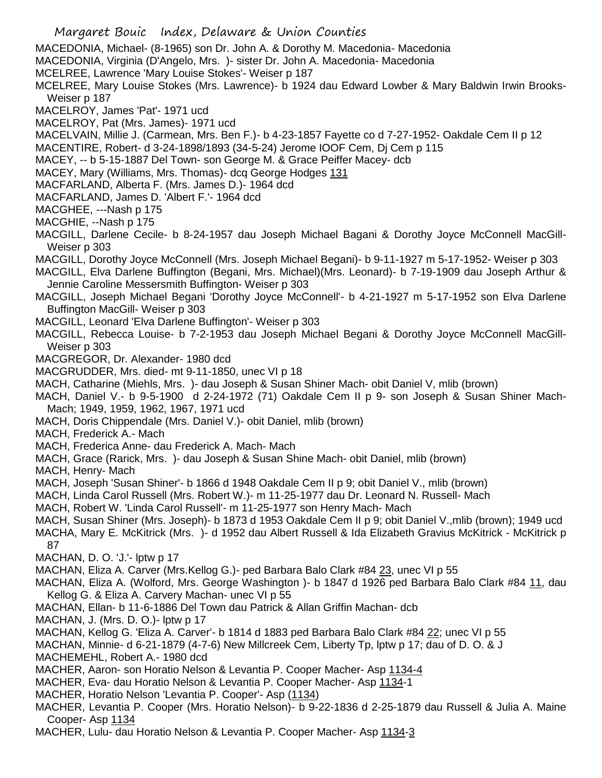MACEDONIA, Michael- (8-1965) son Dr. John A. & Dorothy M. Macedonia- Macedonia

MACEDONIA, Virginia (D'Angelo, Mrs. )- sister Dr. John A. Macedonia- Macedonia

MCELREE, Lawrence 'Mary Louise Stokes'- Weiser p 187

MCELREE, Mary Louise Stokes (Mrs. Lawrence)- b 1924 dau Edward Lowber & Mary Baldwin Irwin Brooks-Weiser p 187

MACELROY, James 'Pat'- 1971 ucd

- MACELROY, Pat (Mrs. James)- 1971 ucd
- MACELVAIN, Millie J. (Carmean, Mrs. Ben F.)- b 4-23-1857 Fayette co d 7-27-1952- Oakdale Cem II p 12
- MACENTIRE, Robert- d 3-24-1898/1893 (34-5-24) Jerome IOOF Cem, Dj Cem p 115
- MACEY, -- b 5-15-1887 Del Town- son George M. & Grace Peiffer Macey- dcb
- MACEY, Mary (Williams, Mrs. Thomas)- dcq George Hodges 131
- MACFARLAND, Alberta F. (Mrs. James D.)- 1964 dcd
- MACFARLAND, James D. 'Albert F.'- 1964 dcd

MACGHEE, ---Nash p 175

- MACGHIE, --Nash p 175
- MACGILL, Darlene Cecile- b 8-24-1957 dau Joseph Michael Bagani & Dorothy Joyce McConnell MacGill-Weiser p 303
- MACGILL, Dorothy Joyce McConnell (Mrs. Joseph Michael Begani)- b 9-11-1927 m 5-17-1952- Weiser p 303
- MACGILL, Elva Darlene Buffington (Begani, Mrs. Michael)(Mrs. Leonard)- b 7-19-1909 dau Joseph Arthur & Jennie Caroline Messersmith Buffington- Weiser p 303
- MACGILL, Joseph Michael Begani 'Dorothy Joyce McConnell'- b 4-21-1927 m 5-17-1952 son Elva Darlene Buffington MacGill- Weiser p 303
- MACGILL, Leonard 'Elva Darlene Buffington'- Weiser p 303
- MACGILL, Rebecca Louise- b 7-2-1953 dau Joseph Michael Begani & Dorothy Joyce McConnell MacGill-Weiser p 303
- MACGREGOR, Dr. Alexander- 1980 dcd
- MACGRUDDER, Mrs. died- mt 9-11-1850, unec VI p 18
- MACH, Catharine (Miehls, Mrs. )- dau Joseph & Susan Shiner Mach- obit Daniel V, mlib (brown)
- MACH, Daniel V.- b 9-5-1900 d 2-24-1972 (71) Oakdale Cem II p 9- son Joseph & Susan Shiner Mach-Mach; 1949, 1959, 1962, 1967, 1971 ucd
- MACH, Doris Chippendale (Mrs. Daniel V.)- obit Daniel, mlib (brown)
- MACH, Frederick A.- Mach
- MACH, Frederica Anne- dau Frederick A. Mach- Mach
- MACH, Grace (Rarick, Mrs. )- dau Joseph & Susan Shine Mach- obit Daniel, mlib (brown)
- MACH, Henry- Mach
- MACH, Joseph 'Susan Shiner'- b 1866 d 1948 Oakdale Cem II p 9; obit Daniel V., mlib (brown)
- MACH, Linda Carol Russell (Mrs. Robert W.)- m 11-25-1977 dau Dr. Leonard N. Russell- Mach
- MACH, Robert W. 'Linda Carol Russell'- m 11-25-1977 son Henry Mach- Mach
- MACH, Susan Shiner (Mrs. Joseph)- b 1873 d 1953 Oakdale Cem II p 9; obit Daniel V.,mlib (brown); 1949 ucd MACHA, Mary E. McKitrick (Mrs. )- d 1952 dau Albert Russell & Ida Elizabeth Gravius McKitrick - McKitrick p 87
- MACHAN, D. O. 'J.'- lptw p 17
- MACHAN, Eliza A. Carver (Mrs.Kellog G.)- ped Barbara Balo Clark #84 23, unec VI p 55
- MACHAN, Eliza A. (Wolford, Mrs. George Washington )- b 1847 d 1926 ped Barbara Balo Clark #84 11, dau Kellog G. & Eliza A. Carvery Machan- unec VI p 55
- MACHAN, Ellan- b 11-6-1886 Del Town dau Patrick & Allan Griffin Machan- dcb
- MACHAN, J. (Mrs. D. O.)- lptw p 17
- MACHAN, Kellog G. 'Eliza A. Carver'- b 1814 d 1883 ped Barbara Balo Clark #84 22; unec VI p 55
- MACHAN, Minnie- d 6-21-1879 (4-7-6) New Millcreek Cem, Liberty Tp, lptw p 17; dau of D. O. & J
- MACHEMEHL, Robert A.- 1980 dcd
- MACHER, Aaron- son Horatio Nelson & Levantia P. Cooper Macher- Asp 1134-4
- MACHER, Eva- dau Horatio Nelson & Levantia P. Cooper Macher- Asp 1134-1
- MACHER, Horatio Nelson 'Levantia P. Cooper'- Asp (1134)
- MACHER, Levantia P. Cooper (Mrs. Horatio Nelson)- b 9-22-1836 d 2-25-1879 dau Russell & Julia A. Maine Cooper- Asp 1134
- MACHER, Lulu- dau Horatio Nelson & Levantia P. Cooper Macher- Asp 1134-3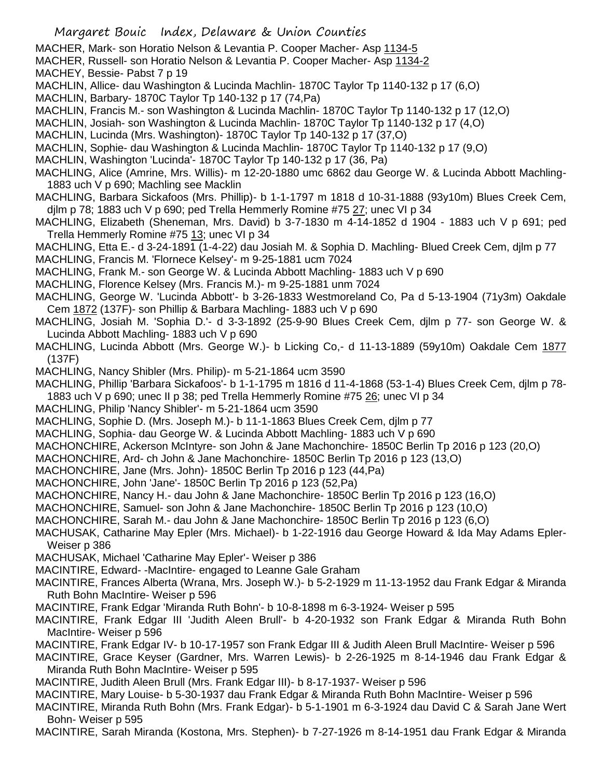MACHER, Mark- son Horatio Nelson & Levantia P. Cooper Macher- Asp 1134-5

MACHER, Russell- son Horatio Nelson & Levantia P. Cooper Macher- Asp 1134-2

MACHEY, Bessie- Pabst 7 p 19

- MACHLIN, Allice- dau Washington & Lucinda Machlin- 1870C Taylor Tp 1140-132 p 17 (6,O)
- MACHLIN, Barbary- 1870C Taylor Tp 140-132 p 17 (74,Pa)
- MACHLIN, Francis M.- son Washington & Lucinda Machlin- 1870C Taylor Tp 1140-132 p 17 (12,O)
- MACHLIN, Josiah- son Washington & Lucinda Machlin- 1870C Taylor Tp 1140-132 p 17 (4,O)
- MACHLIN, Lucinda (Mrs. Washington)- 1870C Taylor Tp 140-132 p 17 (37,O)
- MACHLIN, Sophie- dau Washington & Lucinda Machlin- 1870C Taylor Tp 1140-132 p 17 (9,O)
- MACHLIN, Washington 'Lucinda'- 1870C Taylor Tp 140-132 p 17 (36, Pa)
- MACHLING, Alice (Amrine, Mrs. Willis)- m 12-20-1880 umc 6862 dau George W. & Lucinda Abbott Machling-1883 uch V p 690; Machling see Macklin
- MACHLING, Barbara Sickafoos (Mrs. Phillip)- b 1-1-1797 m 1818 d 10-31-1888 (93y10m) Blues Creek Cem, djlm p 78; 1883 uch V p 690; ped Trella Hemmerly Romine #75  $27$ ; unec VI p 34
- MACHLING, Elizabeth (Sheneman, Mrs. David) b 3-7-1830 m 4-14-1852 d 1904 1883 uch V p 691; ped Trella Hemmerly Romine #75 13; unec VI p 34
- MACHLING, Etta E.- d 3-24-1891 (1-4-22) dau Josiah M. & Sophia D. Machling- Blued Creek Cem, djlm p 77
- MACHLING, Francis M. 'Flornece Kelsey'- m 9-25-1881 ucm 7024
- MACHLING, Frank M.- son George W. & Lucinda Abbott Machling- 1883 uch V p 690
- MACHLING, Florence Kelsey (Mrs. Francis M.)- m 9-25-1881 unm 7024
- MACHLING, George W. 'Lucinda Abbott'- b 3-26-1833 Westmoreland Co, Pa d 5-13-1904 (71y3m) Oakdale Cem 1872 (137F)- son Phillip & Barbara Machling- 1883 uch V p 690
- MACHLING, Josiah M. 'Sophia D.'- d 3-3-1892 (25-9-90 Blues Creek Cem, djlm p 77- son George W. & Lucinda Abbott Machling- 1883 uch V p 690
- MACHLING, Lucinda Abbott (Mrs. George W.)- b Licking Co,- d 11-13-1889 (59y10m) Oakdale Cem 1877 (137F)
- MACHLING, Nancy Shibler (Mrs. Philip)- m 5-21-1864 ucm 3590
- MACHLING, Phillip 'Barbara Sickafoos'- b 1-1-1795 m 1816 d 11-4-1868 (53-1-4) Blues Creek Cem, djlm p 78-
- 1883 uch V p 690; unec II p 38; ped Trella Hemmerly Romine #75 26; unec VI p 34
- MACHLING, Philip 'Nancy Shibler'- m 5-21-1864 ucm 3590
- MACHLING, Sophie D. (Mrs. Joseph M.)- b 11-1-1863 Blues Creek Cem, djlm p 77
- MACHLING, Sophia- dau George W. & Lucinda Abbott Machling- 1883 uch V p 690
- MACHONCHIRE, Ackerson McIntyre- son John & Jane Machonchire- 1850C Berlin Tp 2016 p 123 (20,O)
- MACHONCHIRE, Ard- ch John & Jane Machonchire- 1850C Berlin Tp 2016 p 123 (13,O)
- MACHONCHIRE, Jane (Mrs. John)- 1850C Berlin Tp 2016 p 123 (44,Pa)
- MACHONCHIRE, John 'Jane'- 1850C Berlin Tp 2016 p 123 (52,Pa)
- MACHONCHIRE, Nancy H.- dau John & Jane Machonchire- 1850C Berlin Tp 2016 p 123 (16,O)
- MACHONCHIRE, Samuel- son John & Jane Machonchire- 1850C Berlin Tp 2016 p 123 (10,O)
- MACHONCHIRE, Sarah M.- dau John & Jane Machonchire- 1850C Berlin Tp 2016 p 123 (6,O)
- MACHUSAK, Catharine May Epler (Mrs. Michael)- b 1-22-1916 dau George Howard & Ida May Adams Epler-Weiser p 386
- MACHUSAK, Michael 'Catharine May Epler'- Weiser p 386
- MACINTIRE, Edward- -MacIntire- engaged to Leanne Gale Graham
- MACINTIRE, Frances Alberta (Wrana, Mrs. Joseph W.)- b 5-2-1929 m 11-13-1952 dau Frank Edgar & Miranda Ruth Bohn MacIntire- Weiser p 596
- MACINTIRE, Frank Edgar 'Miranda Ruth Bohn'- b 10-8-1898 m 6-3-1924- Weiser p 595
- MACINTIRE, Frank Edgar III 'Judith Aleen Brull'- b 4-20-1932 son Frank Edgar & Miranda Ruth Bohn MacIntire- Weiser p 596
- MACINTIRE, Frank Edgar IV- b 10-17-1957 son Frank Edgar III & Judith Aleen Brull MacIntire- Weiser p 596
- MACINTIRE, Grace Keyser (Gardner, Mrs. Warren Lewis)- b 2-26-1925 m 8-14-1946 dau Frank Edgar & Miranda Ruth Bohn MacIntire- Weiser p 595
- MACINTIRE, Judith Aleen Brull (Mrs. Frank Edgar III)- b 8-17-1937- Weiser p 596
- MACINTIRE, Mary Louise- b 5-30-1937 dau Frank Edgar & Miranda Ruth Bohn MacIntire- Weiser p 596
- MACINTIRE, Miranda Ruth Bohn (Mrs. Frank Edgar)- b 5-1-1901 m 6-3-1924 dau David C & Sarah Jane Wert Bohn- Weiser p 595
- MACINTIRE, Sarah Miranda (Kostona, Mrs. Stephen)- b 7-27-1926 m 8-14-1951 dau Frank Edgar & Miranda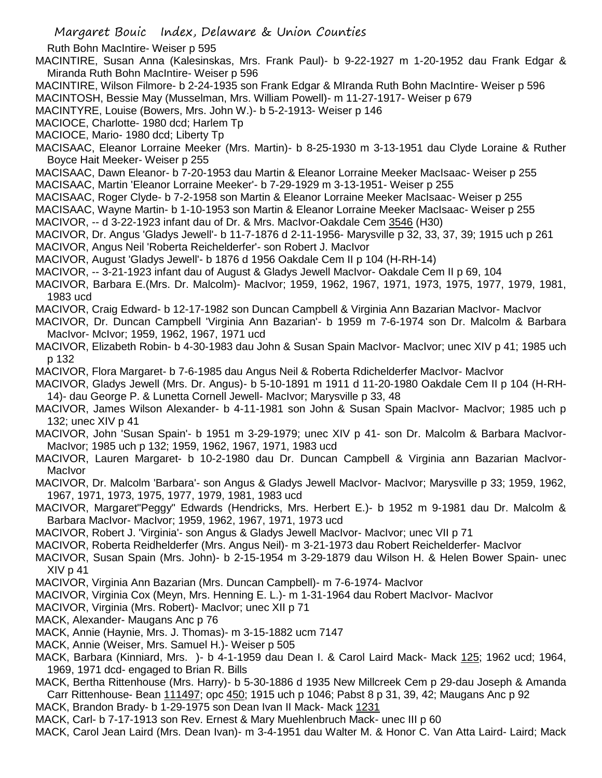Ruth Bohn MacIntire- Weiser p 595

MACINTIRE, Susan Anna (Kalesinskas, Mrs. Frank Paul)- b 9-22-1927 m 1-20-1952 dau Frank Edgar & Miranda Ruth Bohn MacIntire- Weiser p 596

MACINTIRE, Wilson Filmore- b 2-24-1935 son Frank Edgar & MIranda Ruth Bohn MacIntire- Weiser p 596 MACINTOSH, Bessie May (Musselman, Mrs. William Powell)- m 11-27-1917- Weiser p 679

MACINTYRE, Louise (Bowers, Mrs. John W.)- b 5-2-1913- Weiser p 146

MACIOCE, Charlotte- 1980 dcd; Harlem Tp

MACIOCE, Mario- 1980 dcd; Liberty Tp

MACISAAC, Eleanor Lorraine Meeker (Mrs. Martin)- b 8-25-1930 m 3-13-1951 dau Clyde Loraine & Ruther Boyce Hait Meeker- Weiser p 255

MACISAAC, Dawn Eleanor- b 7-20-1953 dau Martin & Eleanor Lorraine Meeker MacIsaac- Weiser p 255

MACISAAC, Martin 'Eleanor Lorraine Meeker'- b 7-29-1929 m 3-13-1951- Weiser p 255

MACISAAC, Roger Clyde- b 7-2-1958 son Martin & Eleanor Lorraine Meeker MacIsaac- Weiser p 255

MACISAAC, Wayne Martin- b 1-10-1953 son Martin & Eleanor Lorraine Meeker MacIsaac- Weiser p 255

MACIVOR, -- d 3-22-1923 infant dau of Dr. & Mrs. MacIvor-Oakdale Cem 3546 (H30)

MACIVOR, Dr. Angus 'Gladys Jewell'- b 11-7-1876 d 2-11-1956- Marysville p 32, 33, 37, 39; 1915 uch p 261

MACIVOR, Angus Neil 'Roberta Reichelderfer'- son Robert J. MacIvor

MACIVOR, August 'Gladys Jewell'- b 1876 d 1956 Oakdale Cem II p 104 (H-RH-14)

MACIVOR, -- 3-21-1923 infant dau of August & Gladys Jewell MacIvor- Oakdale Cem II p 69, 104

- MACIVOR, Barbara E.(Mrs. Dr. Malcolm)- MacIvor; 1959, 1962, 1967, 1971, 1973, 1975, 1977, 1979, 1981, 1983 ucd
- MACIVOR, Craig Edward- b 12-17-1982 son Duncan Campbell & Virginia Ann Bazarian MacIvor- MacIvor
- MACIVOR, Dr. Duncan Campbell 'Virginia Ann Bazarian'- b 1959 m 7-6-1974 son Dr. Malcolm & Barbara MacIvor- McIvor; 1959, 1962, 1967, 1971 ucd
- MACIVOR, Elizabeth Robin- b 4-30-1983 dau John & Susan Spain MacIvor- MacIvor; unec XIV p 41; 1985 uch p 132
- MACIVOR, Flora Margaret- b 7-6-1985 dau Angus Neil & Roberta Rdichelderfer MacIvor- MacIvor
- MACIVOR, Gladys Jewell (Mrs. Dr. Angus)- b 5-10-1891 m 1911 d 11-20-1980 Oakdale Cem II p 104 (H-RH-14)- dau George P. & Lunetta Cornell Jewell- MacIvor; Marysville p 33, 48
- MACIVOR, James Wilson Alexander- b 4-11-1981 son John & Susan Spain MacIvor- MacIvor; 1985 uch p 132; unec XIV p 41
- MACIVOR, John 'Susan Spain'- b 1951 m 3-29-1979; unec XIV p 41- son Dr. Malcolm & Barbara MacIvor-MacIvor; 1985 uch p 132; 1959, 1962, 1967, 1971, 1983 ucd
- MACIVOR, Lauren Margaret- b 10-2-1980 dau Dr. Duncan Campbell & Virginia ann Bazarian MacIvor-**MacIvor**
- MACIVOR, Dr. Malcolm 'Barbara'- son Angus & Gladys Jewell MacIvor- MacIvor; Marysville p 33; 1959, 1962, 1967, 1971, 1973, 1975, 1977, 1979, 1981, 1983 ucd
- MACIVOR, Margaret"Peggy" Edwards (Hendricks, Mrs. Herbert E.)- b 1952 m 9-1981 dau Dr. Malcolm & Barbara MacIvor- MacIvor; 1959, 1962, 1967, 1971, 1973 ucd
- MACIVOR, Robert J. 'Virginia'- son Angus & Gladys Jewell MacIvor- MacIvor; unec VII p 71

MACIVOR, Roberta Reidhelderfer (Mrs. Angus Neil)- m 3-21-1973 dau Robert Reichelderfer- MacIvor

- MACIVOR, Susan Spain (Mrs. John)- b 2-15-1954 m 3-29-1879 dau Wilson H. & Helen Bower Spain- unec  $XIV<sub>p</sub>$  41
- MACIVOR, Virginia Ann Bazarian (Mrs. Duncan Campbell)- m 7-6-1974- MacIvor
- MACIVOR, Virginia Cox (Meyn, Mrs. Henning E. L.)- m 1-31-1964 dau Robert MacIvor- MacIvor
- MACIVOR, Virginia (Mrs. Robert)- MacIvor; unec XII p 71
- MACK, Alexander- Maugans Anc p 76
- MACK, Annie (Haynie, Mrs. J. Thomas)- m 3-15-1882 ucm 7147
- MACK, Annie (Weiser, Mrs. Samuel H.)- Weiser p 505
- MACK, Barbara (Kinniard, Mrs. )- b 4-1-1959 dau Dean I. & Carol Laird Mack- Mack 125; 1962 ucd; 1964, 1969, 1971 dcd- engaged to Brian R. Bills
- MACK, Bertha Rittenhouse (Mrs. Harry)- b 5-30-1886 d 1935 New Millcreek Cem p 29-dau Joseph & Amanda Carr Rittenhouse- Bean 111497; opc 450; 1915 uch p 1046; Pabst 8 p 31, 39, 42; Maugans Anc p 92
- MACK, Brandon Brady- b 1-29-1975 son Dean Ivan II Mack- Mack 1231
- MACK, Carl- b 7-17-1913 son Rev. Ernest & Mary Muehlenbruch Mack- unec III p 60
- MACK, Carol Jean Laird (Mrs. Dean Ivan)- m 3-4-1951 dau Walter M. & Honor C. Van Atta Laird- Laird; Mack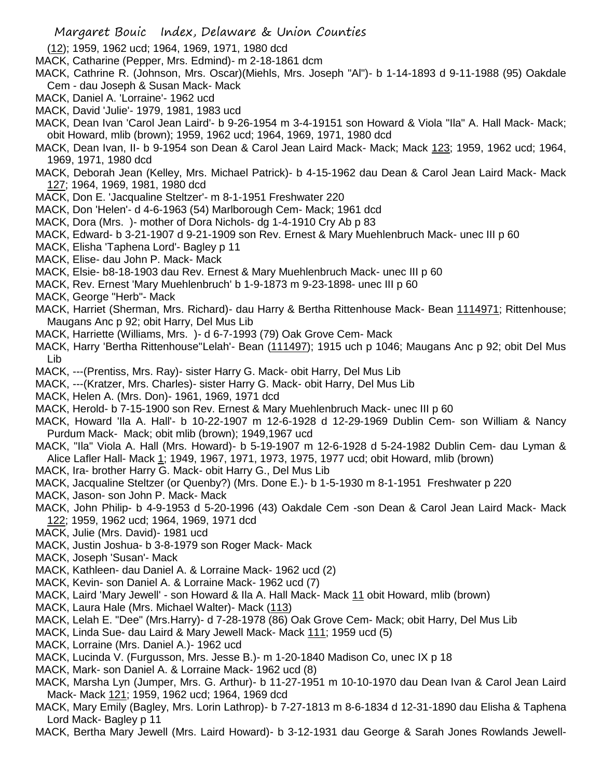(12); 1959, 1962 ucd; 1964, 1969, 1971, 1980 dcd

- MACK, Catharine (Pepper, Mrs. Edmind)- m 2-18-1861 dcm
- MACK, Cathrine R. (Johnson, Mrs. Oscar)(Miehls, Mrs. Joseph "Al")- b 1-14-1893 d 9-11-1988 (95) Oakdale Cem - dau Joseph & Susan Mack- Mack
- MACK, Daniel A. 'Lorraine'- 1962 ucd
- MACK, David 'Julie'- 1979, 1981, 1983 ucd
- MACK, Dean Ivan 'Carol Jean Laird'- b 9-26-1954 m 3-4-19151 son Howard & Viola "Ila" A. Hall Mack- Mack; obit Howard, mlib (brown); 1959, 1962 ucd; 1964, 1969, 1971, 1980 dcd
- MACK, Dean Ivan, II- b 9-1954 son Dean & Carol Jean Laird Mack- Mack; Mack 123; 1959, 1962 ucd; 1964, 1969, 1971, 1980 dcd
- MACK, Deborah Jean (Kelley, Mrs. Michael Patrick)- b 4-15-1962 dau Dean & Carol Jean Laird Mack- Mack 127; 1964, 1969, 1981, 1980 dcd
- MACK, Don E. 'Jacqualine Steltzer'- m 8-1-1951 Freshwater 220
- MACK, Don 'Helen'- d 4-6-1963 (54) Marlborough Cem- Mack; 1961 dcd
- MACK, Dora (Mrs. )- mother of Dora Nichols- dg 1-4-1910 Cry Ab p 83
- MACK, Edward- b 3-21-1907 d 9-21-1909 son Rev. Ernest & Mary Muehlenbruch Mack- unec III p 60
- MACK, Elisha 'Taphena Lord'- Bagley p 11
- MACK, Elise- dau John P. Mack- Mack
- MACK, Elsie- b8-18-1903 dau Rev. Ernest & Mary Muehlenbruch Mack- unec III p 60
- MACK, Rev. Ernest 'Mary Muehlenbruch' b 1-9-1873 m 9-23-1898- unec III p 60
- MACK, George "Herb"- Mack
- MACK, Harriet (Sherman, Mrs. Richard)- dau Harry & Bertha Rittenhouse Mack- Bean 1114971; Rittenhouse; Maugans Anc p 92; obit Harry, Del Mus Lib
- MACK, Harriette (Williams, Mrs. )- d 6-7-1993 (79) Oak Grove Cem- Mack
- MACK, Harry 'Bertha Rittenhouse''Lelah'- Bean (111497); 1915 uch p 1046; Maugans Anc p 92; obit Del Mus Lib
- MACK, ---(Prentiss, Mrs. Ray)- sister Harry G. Mack- obit Harry, Del Mus Lib
- MACK, ---(Kratzer, Mrs. Charles)- sister Harry G. Mack- obit Harry, Del Mus Lib
- MACK, Helen A. (Mrs. Don)- 1961, 1969, 1971 dcd
- MACK, Herold- b 7-15-1900 son Rev. Ernest & Mary Muehlenbruch Mack- unec III p 60
- MACK, Howard 'Ila A. Hall'- b 10-22-1907 m 12-6-1928 d 12-29-1969 Dublin Cem- son William & Nancy Purdum Mack- Mack; obit mlib (brown); 1949,1967 ucd
- MACK, "Ila" Viola A. Hall (Mrs. Howard)- b 5-19-1907 m 12-6-1928 d 5-24-1982 Dublin Cem- dau Lyman & Alice Lafler Hall- Mack 1; 1949, 1967, 1971, 1973, 1975, 1977 ucd; obit Howard, mlib (brown)
- MACK, Ira- brother Harry G. Mack- obit Harry G., Del Mus Lib
- MACK, Jacqualine Steltzer (or Quenby?) (Mrs. Done E.)- b 1-5-1930 m 8-1-1951 Freshwater p 220
- MACK, Jason- son John P. Mack- Mack
- MACK, John Philip- b 4-9-1953 d 5-20-1996 (43) Oakdale Cem -son Dean & Carol Jean Laird Mack- Mack 122; 1959, 1962 ucd; 1964, 1969, 1971 dcd
- MACK, Julie (Mrs. David)- 1981 ucd
- MACK, Justin Joshua- b 3-8-1979 son Roger Mack- Mack
- MACK, Joseph 'Susan'- Mack
- MACK, Kathleen- dau Daniel A. & Lorraine Mack- 1962 ucd (2)
- MACK, Kevin- son Daniel A. & Lorraine Mack- 1962 ucd (7)
- MACK, Laird 'Mary Jewell' son Howard & Ila A. Hall Mack- Mack 11 obit Howard, mlib (brown)
- MACK, Laura Hale (Mrs. Michael Walter)- Mack (113)
- MACK, Lelah E. "Dee" (Mrs.Harry)- d 7-28-1978 (86) Oak Grove Cem- Mack; obit Harry, Del Mus Lib
- MACK, Linda Sue- dau Laird & Mary Jewell Mack- Mack 111; 1959 ucd (5)
- MACK, Lorraine (Mrs. Daniel A.)- 1962 ucd
- MACK, Lucinda V. (Furgusson, Mrs. Jesse B.)- m 1-20-1840 Madison Co, unec IX p 18
- MACK, Mark- son Daniel A. & Lorraine Mack- 1962 ucd (8)
- MACK, Marsha Lyn (Jumper, Mrs. G. Arthur)- b 11-27-1951 m 10-10-1970 dau Dean Ivan & Carol Jean Laird Mack- Mack 121; 1959, 1962 ucd; 1964, 1969 dcd
- MACK, Mary Emily (Bagley, Mrs. Lorin Lathrop)- b 7-27-1813 m 8-6-1834 d 12-31-1890 dau Elisha & Taphena Lord Mack- Bagley p 11
- MACK, Bertha Mary Jewell (Mrs. Laird Howard)- b 3-12-1931 dau George & Sarah Jones Rowlands Jewell-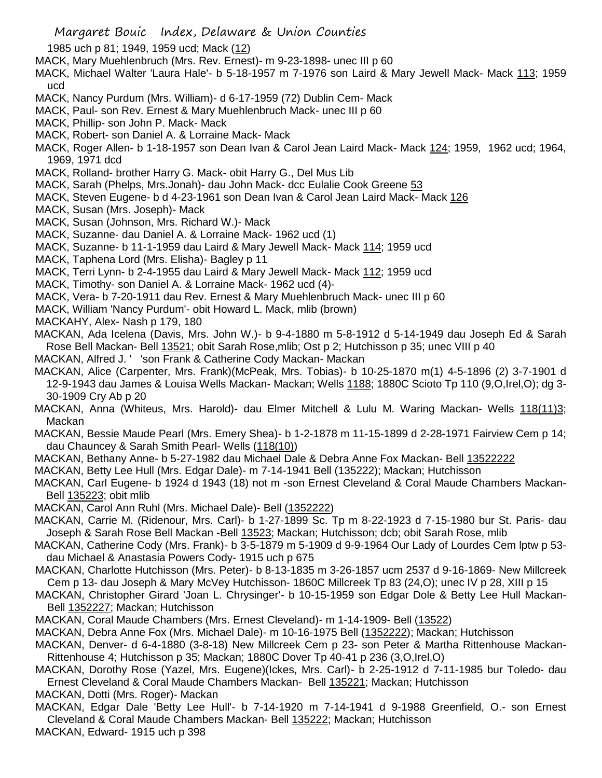1985 uch p 81; 1949, 1959 ucd; Mack (12)

- MACK, Mary Muehlenbruch (Mrs. Rev. Ernest)- m 9-23-1898- unec III p 60
- MACK, Michael Walter 'Laura Hale'- b 5-18-1957 m 7-1976 son Laird & Mary Jewell Mack- Mack 113; 1959 ucd
- MACK, Nancy Purdum (Mrs. William)- d 6-17-1959 (72) Dublin Cem- Mack
- MACK, Paul- son Rev. Ernest & Mary Muehlenbruch Mack- unec III p 60
- MACK, Phillip- son John P. Mack- Mack
- MACK, Robert- son Daniel A. & Lorraine Mack- Mack
- MACK, Roger Allen- b 1-18-1957 son Dean Ivan & Carol Jean Laird Mack- Mack 124; 1959, 1962 ucd; 1964, 1969, 1971 dcd
- MACK, Rolland- brother Harry G. Mack- obit Harry G., Del Mus Lib
- MACK, Sarah (Phelps, Mrs.Jonah)- dau John Mack- dcc Eulalie Cook Greene 53
- MACK, Steven Eugene- b d 4-23-1961 son Dean Ivan & Carol Jean Laird Mack- Mack 126
- MACK, Susan (Mrs. Joseph)- Mack
- MACK, Susan (Johnson, Mrs. Richard W.)- Mack
- MACK, Suzanne- dau Daniel A. & Lorraine Mack- 1962 ucd (1)
- MACK, Suzanne- b 11-1-1959 dau Laird & Mary Jewell Mack- Mack 114; 1959 ucd
- MACK, Taphena Lord (Mrs. Elisha)- Bagley p 11
- MACK, Terri Lynn- b 2-4-1955 dau Laird & Mary Jewell Mack- Mack 112; 1959 ucd
- MACK, Timothy- son Daniel A. & Lorraine Mack- 1962 ucd (4)-
- MACK, Vera- b 7-20-1911 dau Rev. Ernest & Mary Muehlenbruch Mack- unec III p 60
- MACK, William 'Nancy Purdum'- obit Howard L. Mack, mlib (brown)
- MACKAHY, Alex- Nash p 179, 180
- MACKAN, Ada Icelena (Davis, Mrs. John W.)- b 9-4-1880 m 5-8-1912 d 5-14-1949 dau Joseph Ed & Sarah Rose Bell Mackan- Bell 13521; obit Sarah Rose,mlib; Ost p 2; Hutchisson p 35; unec VIII p 40
- MACKAN, Alfred J. ' 'son Frank & Catherine Cody Mackan- Mackan
- MACKAN, Alice (Carpenter, Mrs. Frank)(McPeak, Mrs. Tobias)- b 10-25-1870 m(1) 4-5-1896 (2) 3-7-1901 d 12-9-1943 dau James & Louisa Wells Mackan- Mackan; Wells 1188; 1880C Scioto Tp 110 (9,O,Irel,O); dg 3- 30-1909 Cry Ab p 20
- MACKAN, Anna (Whiteus, Mrs. Harold)- dau Elmer Mitchell & Lulu M. Waring Mackan- Wells 118(11)3; Mackan
- MACKAN, Bessie Maude Pearl (Mrs. Emery Shea)- b 1-2-1878 m 11-15-1899 d 2-28-1971 Fairview Cem p 14; dau Chauncey & Sarah Smith Pearl- Wells (118(10))
- MACKAN, Bethany Anne- b 5-27-1982 dau Michael Dale & Debra Anne Fox Mackan- Bell 13522222
- MACKAN, Betty Lee Hull (Mrs. Edgar Dale)- m 7-14-1941 Bell (135222); Mackan; Hutchisson
- MACKAN, Carl Eugene- b 1924 d 1943 (18) not m -son Ernest Cleveland & Coral Maude Chambers Mackan-Bell 135223; obit mlib
- MACKAN, Carol Ann Ruhl (Mrs. Michael Dale)- Bell (1352222)
- MACKAN, Carrie M. (Ridenour, Mrs. Carl)- b 1-27-1899 Sc. Tp m 8-22-1923 d 7-15-1980 bur St. Paris- dau Joseph & Sarah Rose Bell Mackan -Bell 13523; Mackan; Hutchisson; dcb; obit Sarah Rose, mlib
- MACKAN, Catherine Cody (Mrs. Frank)- b 3-5-1879 m 5-1909 d 9-9-1964 Our Lady of Lourdes Cem lptw p 53 dau Michael & Anastasia Powers Cody- 1915 uch p 675
- MACKAN, Charlotte Hutchisson (Mrs. Peter)- b 8-13-1835 m 3-26-1857 ucm 2537 d 9-16-1869- New Millcreek Cem p 13- dau Joseph & Mary McVey Hutchisson- 1860C Millcreek Tp 83 (24,O); unec IV p 28, XIII p 15
- MACKAN, Christopher Girard 'Joan L. Chrysinger'- b 10-15-1959 son Edgar Dole & Betty Lee Hull Mackan-Bell 1352227; Mackan; Hutchisson
- MACKAN, Coral Maude Chambers (Mrs. Ernest Cleveland)- m 1-14-1909- Bell (13522)
- MACKAN, Debra Anne Fox (Mrs. Michael Dale)- m 10-16-1975 Bell (1352222); Mackan; Hutchisson
- MACKAN, Denver- d 6-4-1880 (3-8-18) New Millcreek Cem p 23- son Peter & Martha Rittenhouse Mackan-Rittenhouse 4; Hutchisson p 35; Mackan; 1880C Dover Tp 40-41 p 236 (3,O,Irel,O)
- MACKAN, Dorothy Rose (Yazel, Mrs. Eugene)(Ickes, Mrs. Carl)- b 2-25-1912 d 7-11-1985 bur Toledo- dau Ernest Cleveland & Coral Maude Chambers Mackan- Bell 135221; Mackan; Hutchisson
- MACKAN, Dotti (Mrs. Roger)- Mackan
- MACKAN, Edgar Dale 'Betty Lee Hull'- b 7-14-1920 m 7-14-1941 d 9-1988 Greenfield, O.- son Ernest Cleveland & Coral Maude Chambers Mackan- Bell 135222; Mackan; Hutchisson
- MACKAN, Edward- 1915 uch p 398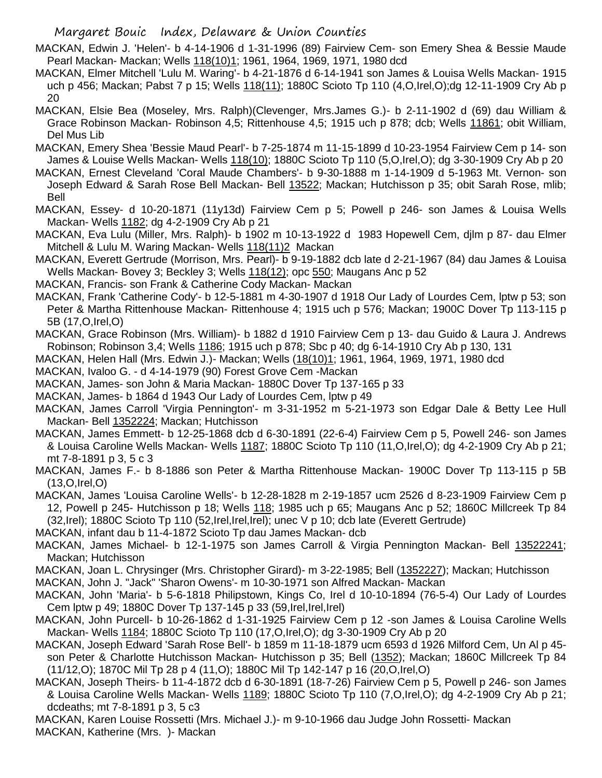- MACKAN, Edwin J. 'Helen'- b 4-14-1906 d 1-31-1996 (89) Fairview Cem- son Emery Shea & Bessie Maude Pearl Mackan- Mackan; Wells 118(10)1; 1961, 1964, 1969, 1971, 1980 dcd
- MACKAN, Elmer Mitchell 'Lulu M. Waring'- b 4-21-1876 d 6-14-1941 son James & Louisa Wells Mackan- 1915 uch p 456; Mackan; Pabst 7 p 15; Wells 118(11); 1880C Scioto Tp 110 (4,O,Irel,O);dg 12-11-1909 Cry Ab p 20
- MACKAN, Elsie Bea (Moseley, Mrs. Ralph)(Clevenger, Mrs.James G.)- b 2-11-1902 d (69) dau William & Grace Robinson Mackan- Robinson 4,5; Rittenhouse 4,5; 1915 uch p 878; dcb; Wells 11861; obit William, Del Mus Lib
- MACKAN, Emery Shea 'Bessie Maud Pearl'- b 7-25-1874 m 11-15-1899 d 10-23-1954 Fairview Cem p 14- son James & Louise Wells Mackan- Wells 118(10); 1880C Scioto Tp 110 (5,O,Irel,O); dg 3-30-1909 Cry Ab p 20
- MACKAN, Ernest Cleveland 'Coral Maude Chambers'- b 9-30-1888 m 1-14-1909 d 5-1963 Mt. Vernon- son Joseph Edward & Sarah Rose Bell Mackan- Bell 13522; Mackan; Hutchisson p 35; obit Sarah Rose, mlib; Bell
- MACKAN, Essey- d 10-20-1871 (11y13d) Fairview Cem p 5; Powell p 246- son James & Louisa Wells Mackan- Wells 1182; dg 4-2-1909 Cry Ab p 21
- MACKAN, Eva Lulu (Miller, Mrs. Ralph)- b 1902 m 10-13-1922 d 1983 Hopewell Cem, djlm p 87- dau Elmer Mitchell & Lulu M. Waring Mackan- Wells 118(11)2 Mackan
- MACKAN, Everett Gertrude (Morrison, Mrs. Pearl)- b 9-19-1882 dcb late d 2-21-1967 (84) dau James & Louisa Wells Mackan- Bovey 3; Beckley 3; Wells 118(12); opc 550; Maugans Anc p 52
- MACKAN, Francis- son Frank & Catherine Cody Mackan- Mackan
- MACKAN, Frank 'Catherine Cody'- b 12-5-1881 m 4-30-1907 d 1918 Our Lady of Lourdes Cem, lptw p 53; son Peter & Martha Rittenhouse Mackan- Rittenhouse 4; 1915 uch p 576; Mackan; 1900C Dover Tp 113-115 p 5B (17,O,Irel,O)
- MACKAN, Grace Robinson (Mrs. William)- b 1882 d 1910 Fairview Cem p 13- dau Guido & Laura J. Andrews Robinson; Robinson 3,4; Wells 1186; 1915 uch p 878; Sbc p 40; dg 6-14-1910 Cry Ab p 130, 131
- MACKAN, Helen Hall (Mrs. Edwin J.)- Mackan; Wells (18(10)1; 1961, 1964, 1969, 1971, 1980 dcd
- MACKAN, Ivaloo G. d 4-14-1979 (90) Forest Grove Cem -Mackan
- MACKAN, James- son John & Maria Mackan- 1880C Dover Tp 137-165 p 33
- MACKAN, James- b 1864 d 1943 Our Lady of Lourdes Cem, lptw p 49
- MACKAN, James Carroll 'Virgia Pennington'- m 3-31-1952 m 5-21-1973 son Edgar Dale & Betty Lee Hull Mackan- Bell 1352224; Mackan; Hutchisson
- MACKAN, James Emmett- b 12-25-1868 dcb d 6-30-1891 (22-6-4) Fairview Cem p 5, Powell 246- son James & Louisa Caroline Wells Mackan- Wells 1187; 1880C Scioto Tp 110 (11,O,Irel,O); dg 4-2-1909 Cry Ab p 21; mt 7-8-1891 p 3, 5 c 3
- MACKAN, James F.- b 8-1886 son Peter & Martha Rittenhouse Mackan- 1900C Dover Tp 113-115 p 5B (13,O,Irel,O)

MACKAN, James 'Louisa Caroline Wells'- b 12-28-1828 m 2-19-1857 ucm 2526 d 8-23-1909 Fairview Cem p 12, Powell p 245- Hutchisson p 18; Wells 118; 1985 uch p 65; Maugans Anc p 52; 1860C Millcreek Tp 84 (32,Irel); 1880C Scioto Tp 110 (52,Irel,Irel,Irel); unec V p 10; dcb late (Everett Gertrude)

- MACKAN, infant dau b 11-4-1872 Scioto Tp dau James Mackan- dcb
- MACKAN, James Michael- b 12-1-1975 son James Carroll & Virgia Pennington Mackan- Bell 13522241; Mackan; Hutchisson
- MACKAN, Joan L. Chrysinger (Mrs. Christopher Girard)- m 3-22-1985; Bell (1352227); Mackan; Hutchisson
- MACKAN, John J. "Jack" 'Sharon Owens'- m 10-30-1971 son Alfred Mackan- Mackan
- MACKAN, John 'Maria'- b 5-6-1818 Philipstown, Kings Co, Irel d 10-10-1894 (76-5-4) Our Lady of Lourdes Cem lptw p 49; 1880C Dover Tp 137-145 p 33 (59,Irel,Irel,Irel)
- MACKAN, John Purcell- b 10-26-1862 d 1-31-1925 Fairview Cem p 12 -son James & Louisa Caroline Wells Mackan- Wells 1184; 1880C Scioto Tp 110 (17,O,Irel,O); dg 3-30-1909 Cry Ab p 20
- MACKAN, Joseph Edward 'Sarah Rose Bell'- b 1859 m 11-18-1879 ucm 6593 d 1926 Milford Cem, Un Al p 45 son Peter & Charlotte Hutchisson Mackan- Hutchisson p 35; Bell (1352); Mackan; 1860C Millcreek Tp 84 (11/12,O); 1870C Mil Tp 28 p 4 (11,O); 1880C Mil Tp 142-147 p 16 (20,O,Irel,O)
- MACKAN, Joseph Theirs- b 11-4-1872 dcb d 6-30-1891 (18-7-26) Fairview Cem p 5, Powell p 246- son James & Louisa Caroline Wells Mackan- Wells 1189; 1880C Scioto Tp 110 (7,O,Irel,O); dg 4-2-1909 Cry Ab p 21; dcdeaths; mt 7-8-1891 p 3, 5 c3
- MACKAN, Karen Louise Rossetti (Mrs. Michael J.)- m 9-10-1966 dau Judge John Rossetti- Mackan MACKAN, Katherine (Mrs. )- Mackan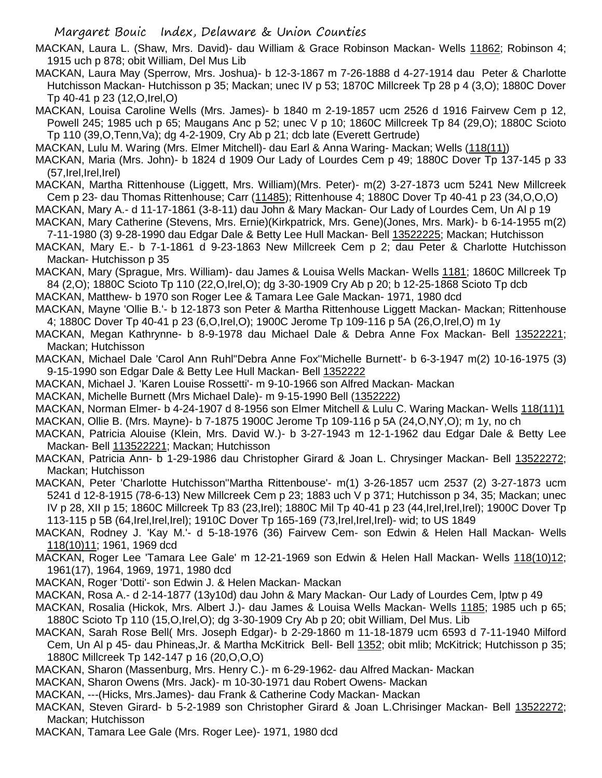MACKAN, Laura L. (Shaw, Mrs. David)- dau William & Grace Robinson Mackan- Wells 11862; Robinson 4; 1915 uch p 878; obit William, Del Mus Lib

MACKAN, Laura May (Sperrow, Mrs. Joshua)- b 12-3-1867 m 7-26-1888 d 4-27-1914 dau Peter & Charlotte Hutchisson Mackan- Hutchisson p 35; Mackan; unec IV p 53; 1870C Millcreek Tp 28 p 4 (3,O); 1880C Dover Tp 40-41 p 23 (12,O,Irel,O)

MACKAN, Louisa Caroline Wells (Mrs. James)- b 1840 m 2-19-1857 ucm 2526 d 1916 Fairvew Cem p 12, Powell 245; 1985 uch p 65; Maugans Anc p 52; unec V p 10; 1860C Millcreek Tp 84 (29,O); 1880C Scioto Tp 110 (39,O,Tenn,Va); dg 4-2-1909, Cry Ab p 21; dcb late (Everett Gertrude)

MACKAN, Lulu M. Waring (Mrs. Elmer Mitchell)- dau Earl & Anna Waring- Mackan; Wells (118(11))

MACKAN, Maria (Mrs. John)- b 1824 d 1909 Our Lady of Lourdes Cem p 49; 1880C Dover Tp 137-145 p 33 (57,Irel,Irel,Irel)

MACKAN, Martha Rittenhouse (Liggett, Mrs. William)(Mrs. Peter)- m(2) 3-27-1873 ucm 5241 New Millcreek Cem p 23- dau Thomas Rittenhouse; Carr (11485); Rittenhouse 4; 1880C Dover Tp 40-41 p 23 (34,O,O,O)

MACKAN, Mary A.- d 11-17-1861 (3-8-11) dau John & Mary Mackan- Our Lady of Lourdes Cem, Un Al p 19

MACKAN, Mary Catherine (Stevens, Mrs. Ernie)(Kirkpatrick, Mrs. Gene)(Jones, Mrs. Mark)- b 6-14-1955 m(2) 7-11-1980 (3) 9-28-1990 dau Edgar Dale & Betty Lee Hull Mackan- Bell 13522225; Mackan; Hutchisson

MACKAN, Mary E.- b 7-1-1861 d 9-23-1863 New Millcreek Cem p 2; dau Peter & Charlotte Hutchisson Mackan- Hutchisson p 35

MACKAN, Mary (Sprague, Mrs. William)- dau James & Louisa Wells Mackan- Wells 1181; 1860C Millcreek Tp 84 (2,O); 1880C Scioto Tp 110 (22,O,Irel,O); dg 3-30-1909 Cry Ab p 20; b 12-25-1868 Scioto Tp dcb

MACKAN, Matthew- b 1970 son Roger Lee & Tamara Lee Gale Mackan- 1971, 1980 dcd

- MACKAN, Mayne 'Ollie B.'- b 12-1873 son Peter & Martha Rittenhouse Liggett Mackan- Mackan; Rittenhouse 4; 1880C Dover Tp 40-41 p 23 (6,O,Irel,O); 1900C Jerome Tp 109-116 p 5A (26,O,Irel,O) m 1y
- MACKAN, Megan Kathrynne- b 8-9-1978 dau Michael Dale & Debra Anne Fox Mackan- Bell 13522221; Mackan; Hutchisson
- MACKAN, Michael Dale 'Carol Ann Ruhl''Debra Anne Fox''Michelle Burnett'- b 6-3-1947 m(2) 10-16-1975 (3) 9-15-1990 son Edgar Dale & Betty Lee Hull Mackan- Bell 1352222

MACKAN, Michael J. 'Karen Louise Rossetti'- m 9-10-1966 son Alfred Mackan- Mackan

MACKAN, Michelle Burnett (Mrs Michael Dale)- m 9-15-1990 Bell (1352222)

MACKAN, Norman Elmer- b 4-24-1907 d 8-1956 son Elmer Mitchell & Lulu C. Waring Mackan- Wells 118(11)1

MACKAN, Ollie B. (Mrs. Mayne)- b 7-1875 1900C Jerome Tp 109-116 p 5A (24,O,NY,O); m 1y, no ch

- MACKAN, Patricia Alouise (Klein, Mrs. David W.)- b 3-27-1943 m 12-1-1962 dau Edgar Dale & Betty Lee Mackan- Bell 113522221; Mackan; Hutchisson
- MACKAN, Patricia Ann- b 1-29-1986 dau Christopher Girard & Joan L. Chrysinger Mackan- Bell 13522272; Mackan; Hutchisson
- MACKAN, Peter 'Charlotte Hutchisson''Martha Rittenbouse'- m(1) 3-26-1857 ucm 2537 (2) 3-27-1873 ucm 5241 d 12-8-1915 (78-6-13) New Millcreek Cem p 23; 1883 uch V p 371; Hutchisson p 34, 35; Mackan; unec IV p 28, XII p 15; 1860C Millcreek Tp 83 (23,Irel); 1880C Mil Tp 40-41 p 23 (44,Irel,Irel,Irel); 1900C Dover Tp 113-115 p 5B (64,Irel,Irel,Irel); 1910C Dover Tp 165-169 (73,Irel,Irel,Irel)- wid; to US 1849

MACKAN, Rodney J. 'Kay M.'- d 5-18-1976 (36) Fairvew Cem- son Edwin & Helen Hall Mackan- Wells 118(10)11; 1961, 1969 dcd

MACKAN, Roger Lee 'Tamara Lee Gale' m 12-21-1969 son Edwin & Helen Hall Mackan- Wells 118(10)12; 1961(17), 1964, 1969, 1971, 1980 dcd

MACKAN, Roger 'Dotti'- son Edwin J. & Helen Mackan- Mackan

MACKAN, Rosa A.- d 2-14-1877 (13y10d) dau John & Mary Mackan- Our Lady of Lourdes Cem, lptw p 49

MACKAN, Rosalia (Hickok, Mrs. Albert J.)- dau James & Louisa Wells Mackan- Wells 1185; 1985 uch p 65; 1880C Scioto Tp 110 (15,O,Irel,O); dg 3-30-1909 Cry Ab p 20; obit William, Del Mus. Lib

- MACKAN, Sarah Rose Bell( Mrs. Joseph Edgar)- b 2-29-1860 m 11-18-1879 ucm 6593 d 7-11-1940 Milford Cem, Un Al p 45- dau Phineas,Jr. & Martha McKitrick Bell- Bell 1352; obit mlib; McKitrick; Hutchisson p 35; 1880C Millcreek Tp 142-147 p 16 (20,O,O,O)
- MACKAN, Sharon (Massenburg, Mrs. Henry C.)- m 6-29-1962- dau Alfred Mackan- Mackan
- MACKAN, Sharon Owens (Mrs. Jack)- m 10-30-1971 dau Robert Owens- Mackan
- MACKAN, ---(Hicks, Mrs.James)- dau Frank & Catherine Cody Mackan- Mackan
- MACKAN, Steven Girard- b 5-2-1989 son Christopher Girard & Joan L.Chrisinger Mackan- Bell 13522272; Mackan; Hutchisson
- MACKAN, Tamara Lee Gale (Mrs. Roger Lee)- 1971, 1980 dcd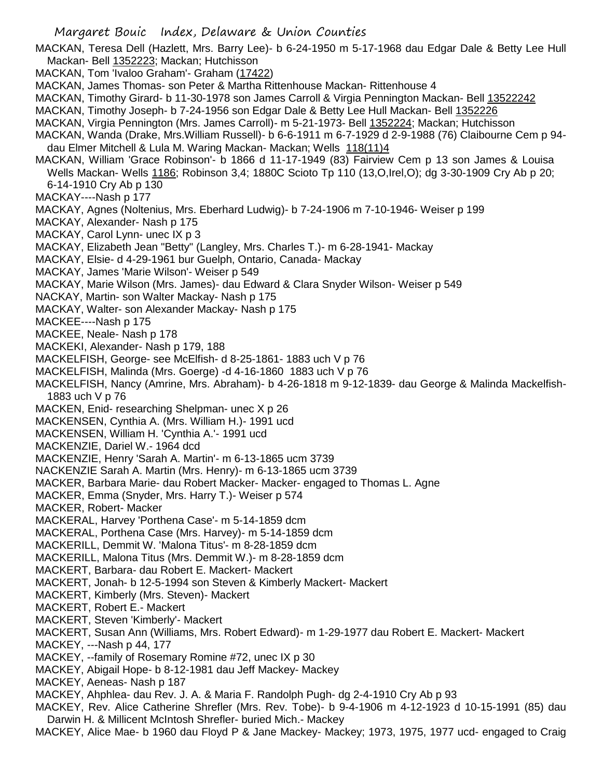MACKAN, Teresa Dell (Hazlett, Mrs. Barry Lee)- b 6-24-1950 m 5-17-1968 dau Edgar Dale & Betty Lee Hull Mackan- Bell 1352223; Mackan; Hutchisson

- MACKAN, Tom 'Ivaloo Graham'- Graham (17422)
- MACKAN, James Thomas- son Peter & Martha Rittenhouse Mackan- Rittenhouse 4
- MACKAN, Timothy Girard- b 11-30-1978 son James Carroll & Virgia Pennington Mackan- Bell 13522242
- MACKAN, Timothy Joseph- b 7-24-1956 son Edgar Dale & Betty Lee Hull Mackan- Bell 1352226
- MACKAN, Virgia Pennington (Mrs. James Carroll)- m 5-21-1973- Bell 1352224; Mackan; Hutchisson
- MACKAN, Wanda (Drake, Mrs.William Russell)- b 6-6-1911 m 6-7-1929 d 2-9-1988 (76) Claibourne Cem p 94 dau Elmer Mitchell & Lula M. Waring Mackan- Mackan; Wells 118(11)4
- MACKAN, William 'Grace Robinson'- b 1866 d 11-17-1949 (83) Fairview Cem p 13 son James & Louisa Wells Mackan- Wells 1186; Robinson 3,4; 1880C Scioto Tp 110 (13,O,Irel,O); dg 3-30-1909 Cry Ab p 20; 6-14-1910 Cry Ab p 130
- MACKAY----Nash p 177
- MACKAY, Agnes (Noltenius, Mrs. Eberhard Ludwig)- b 7-24-1906 m 7-10-1946- Weiser p 199
- MACKAY, Alexander- Nash p 175
- MACKAY, Carol Lynn- unec IX p 3
- MACKAY, Elizabeth Jean "Betty" (Langley, Mrs. Charles T.)- m 6-28-1941- Mackay
- MACKAY, Elsie- d 4-29-1961 bur Guelph, Ontario, Canada- Mackay
- MACKAY, James 'Marie Wilson'- Weiser p 549
- MACKAY, Marie Wilson (Mrs. James)- dau Edward & Clara Snyder Wilson- Weiser p 549
- NACKAY, Martin- son Walter Mackay- Nash p 175
- MACKAY, Walter- son Alexander Mackay- Nash p 175
- MACKEE----Nash p 175
- MACKEE, Neale- Nash p 178
- MACKEKI, Alexander- Nash p 179, 188
- MACKELFISH, George- see McElfish- d 8-25-1861- 1883 uch V p 76
- MACKELFISH, Malinda (Mrs. Goerge) -d 4-16-1860 1883 uch V p 76
- MACKELFISH, Nancy (Amrine, Mrs. Abraham)- b 4-26-1818 m 9-12-1839- dau George & Malinda Mackelfish-1883 uch V p 76
- MACKEN, Enid- researching Shelpman- unec X p 26
- MACKENSEN, Cynthia A. (Mrs. William H.)- 1991 ucd
- MACKENSEN, William H. 'Cynthia A.'- 1991 ucd
- MACKENZIE, Dariel W.- 1964 dcd
- MACKENZIE, Henry 'Sarah A. Martin'- m 6-13-1865 ucm 3739
- NACKENZIE Sarah A. Martin (Mrs. Henry)- m 6-13-1865 ucm 3739
- MACKER, Barbara Marie- dau Robert Macker- Macker- engaged to Thomas L. Agne
- MACKER, Emma (Snyder, Mrs. Harry T.)- Weiser p 574
- MACKER, Robert- Macker
- MACKERAL, Harvey 'Porthena Case'- m 5-14-1859 dcm
- MACKERAL, Porthena Case (Mrs. Harvey)- m 5-14-1859 dcm
- MACKERILL, Demmit W. 'Malona Titus'- m 8-28-1859 dcm
- MACKERILL, Malona Titus (Mrs. Demmit W.)- m 8-28-1859 dcm
- MACKERT, Barbara- dau Robert E. Mackert- Mackert
- MACKERT, Jonah- b 12-5-1994 son Steven & Kimberly Mackert- Mackert
- MACKERT, Kimberly (Mrs. Steven)- Mackert
- MACKERT, Robert E.- Mackert
- MACKERT, Steven 'Kimberly'- Mackert
- MACKERT, Susan Ann (Williams, Mrs. Robert Edward)- m 1-29-1977 dau Robert E. Mackert- Mackert
- MACKEY, ---Nash p 44, 177
- MACKEY, --family of Rosemary Romine #72, unec IX p 30
- MACKEY, Abigail Hope- b 8-12-1981 dau Jeff Mackey- Mackey
- MACKEY, Aeneas- Nash p 187
- MACKEY, Ahphlea- dau Rev. J. A. & Maria F. Randolph Pugh- dg 2-4-1910 Cry Ab p 93
- MACKEY, Rev. Alice Catherine Shrefler (Mrs. Rev. Tobe)- b 9-4-1906 m 4-12-1923 d 10-15-1991 (85) dau Darwin H. & Millicent McIntosh Shrefler- buried Mich.- Mackey
- MACKEY, Alice Mae- b 1960 dau Floyd P & Jane Mackey- Mackey; 1973, 1975, 1977 ucd- engaged to Craig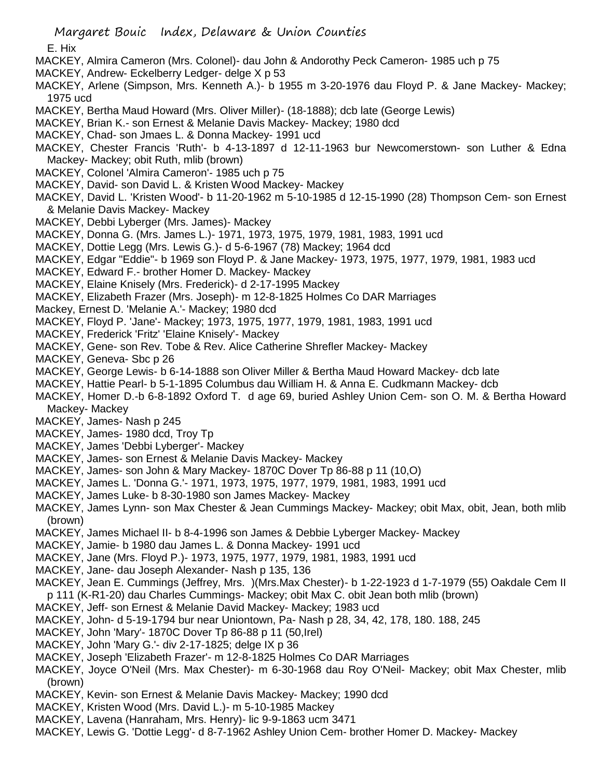E. Hix

- MACKEY, Almira Cameron (Mrs. Colonel)- dau John & Andorothy Peck Cameron- 1985 uch p 75
- MACKEY, Andrew- Eckelberry Ledger- delge X p 53
- MACKEY, Arlene (Simpson, Mrs. Kenneth A.)- b 1955 m 3-20-1976 dau Floyd P. & Jane Mackey- Mackey; 1975 ucd
- MACKEY, Bertha Maud Howard (Mrs. Oliver Miller)- (18-1888); dcb late (George Lewis)
- MACKEY, Brian K.- son Ernest & Melanie Davis Mackey- Mackey; 1980 dcd
- MACKEY, Chad- son Jmaes L. & Donna Mackey- 1991 ucd
- MACKEY, Chester Francis 'Ruth'- b 4-13-1897 d 12-11-1963 bur Newcomerstown- son Luther & Edna Mackey- Mackey; obit Ruth, mlib (brown)
- MACKEY, Colonel 'Almira Cameron'- 1985 uch p 75
- MACKEY, David- son David L. & Kristen Wood Mackey- Mackey
- MACKEY, David L. 'Kristen Wood'- b 11-20-1962 m 5-10-1985 d 12-15-1990 (28) Thompson Cem- son Ernest & Melanie Davis Mackey- Mackey
- MACKEY, Debbi Lyberger (Mrs. James)- Mackey
- MACKEY, Donna G. (Mrs. James L.)- 1971, 1973, 1975, 1979, 1981, 1983, 1991 ucd
- MACKEY, Dottie Legg (Mrs. Lewis G.)- d 5-6-1967 (78) Mackey; 1964 dcd
- MACKEY, Edgar "Eddie"- b 1969 son Floyd P. & Jane Mackey- 1973, 1975, 1977, 1979, 1981, 1983 ucd
- MACKEY, Edward F.- brother Homer D. Mackey- Mackey
- MACKEY, Elaine Knisely (Mrs. Frederick)- d 2-17-1995 Mackey
- MACKEY, Elizabeth Frazer (Mrs. Joseph)- m 12-8-1825 Holmes Co DAR Marriages
- Mackey, Ernest D. 'Melanie A.'- Mackey; 1980 dcd
- MACKEY, Floyd P. 'Jane'- Mackey; 1973, 1975, 1977, 1979, 1981, 1983, 1991 ucd
- MACKEY, Frederick 'Fritz' 'Elaine Knisely'- Mackey
- MACKEY, Gene- son Rev. Tobe & Rev. Alice Catherine Shrefler Mackey- Mackey
- MACKEY, Geneva- Sbc p 26
- MACKEY, George Lewis- b 6-14-1888 son Oliver Miller & Bertha Maud Howard Mackey- dcb late
- MACKEY, Hattie Pearl- b 5-1-1895 Columbus dau William H. & Anna E. Cudkmann Mackey- dcb
- MACKEY, Homer D.-b 6-8-1892 Oxford T. d age 69, buried Ashley Union Cem- son O. M. & Bertha Howard Mackey- Mackey
- MACKEY, James- Nash p 245
- MACKEY, James- 1980 dcd, Troy Tp
- MACKEY, James 'Debbi Lyberger'- Mackey
- MACKEY, James- son Ernest & Melanie Davis Mackey- Mackey
- MACKEY, James- son John & Mary Mackey- 1870C Dover Tp 86-88 p 11 (10,O)
- MACKEY, James L. 'Donna G.'- 1971, 1973, 1975, 1977, 1979, 1981, 1983, 1991 ucd
- MACKEY, James Luke- b 8-30-1980 son James Mackey- Mackey
- MACKEY, James Lynn- son Max Chester & Jean Cummings Mackey- Mackey; obit Max, obit, Jean, both mlib (brown)
- MACKEY, James Michael II- b 8-4-1996 son James & Debbie Lyberger Mackey- Mackey
- MACKEY, Jamie- b 1980 dau James L. & Donna Mackey- 1991 ucd
- MACKEY, Jane (Mrs. Floyd P.)- 1973, 1975, 1977, 1979, 1981, 1983, 1991 ucd
- MACKEY, Jane- dau Joseph Alexander- Nash p 135, 136
- MACKEY, Jean E. Cummings (Jeffrey, Mrs. )(Mrs.Max Chester)- b 1-22-1923 d 1-7-1979 (55) Oakdale Cem II p 111 (K-R1-20) dau Charles Cummings- Mackey; obit Max C. obit Jean both mlib (brown)
- MACKEY, Jeff- son Ernest & Melanie David Mackey- Mackey; 1983 ucd
- MACKEY, John- d 5-19-1794 bur near Uniontown, Pa- Nash p 28, 34, 42, 178, 180. 188, 245
- MACKEY, John 'Mary'- 1870C Dover Tp 86-88 p 11 (50,Irel)
- MACKEY, John 'Mary G.'- div 2-17-1825; delge IX p 36
- MACKEY, Joseph 'Elizabeth Frazer'- m 12-8-1825 Holmes Co DAR Marriages
- MACKEY, Joyce O'Neil (Mrs. Max Chester)- m 6-30-1968 dau Roy O'Neil- Mackey; obit Max Chester, mlib (brown)
- MACKEY, Kevin- son Ernest & Melanie Davis Mackey- Mackey; 1990 dcd
- MACKEY, Kristen Wood (Mrs. David L.)- m 5-10-1985 Mackey
- MACKEY, Lavena (Hanraham, Mrs. Henry)- lic 9-9-1863 ucm 3471
- MACKEY, Lewis G. 'Dottie Legg'- d 8-7-1962 Ashley Union Cem- brother Homer D. Mackey- Mackey

Margaret Bouic Index, Delaware & Union Counties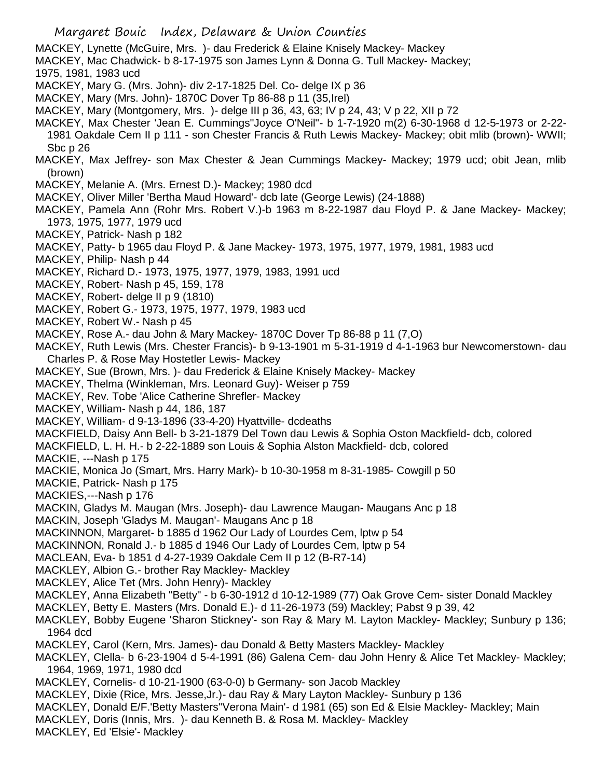MACKEY, Lynette (McGuire, Mrs. )- dau Frederick & Elaine Knisely Mackey- Mackey

- MACKEY, Mac Chadwick- b 8-17-1975 son James Lynn & Donna G. Tull Mackey- Mackey;
- 1975, 1981, 1983 ucd
- MACKEY, Mary G. (Mrs. John)- div 2-17-1825 Del. Co- delge IX p 36
- MACKEY, Mary (Mrs. John)- 1870C Dover Tp 86-88 p 11 (35,Irel)
- MACKEY, Mary (Montgomery, Mrs. )- delge III p 36, 43, 63; IV p 24, 43; V p 22, XII p 72
- MACKEY, Max Chester 'Jean E. Cummings''Joyce O'Neil"- b 1-7-1920 m(2) 6-30-1968 d 12-5-1973 or 2-22- 1981 Oakdale Cem II p 111 - son Chester Francis & Ruth Lewis Mackey- Mackey; obit mlib (brown)- WWII;
- Sbc p 26
- MACKEY, Max Jeffrey- son Max Chester & Jean Cummings Mackey- Mackey; 1979 ucd; obit Jean, mlib (brown)
- MACKEY, Melanie A. (Mrs. Ernest D.)- Mackey; 1980 dcd
- MACKEY, Oliver Miller 'Bertha Maud Howard'- dcb late (George Lewis) (24-1888)
- MACKEY, Pamela Ann (Rohr Mrs. Robert V.)-b 1963 m 8-22-1987 dau Floyd P. & Jane Mackey- Mackey; 1973, 1975, 1977, 1979 ucd
- MACKEY, Patrick- Nash p 182
- MACKEY, Patty- b 1965 dau Floyd P. & Jane Mackey- 1973, 1975, 1977, 1979, 1981, 1983 ucd
- MACKEY, Philip- Nash p 44
- MACKEY, Richard D.- 1973, 1975, 1977, 1979, 1983, 1991 ucd
- MACKEY, Robert- Nash p 45, 159, 178
- MACKEY, Robert- delge II p 9 (1810)
- MACKEY, Robert G.- 1973, 1975, 1977, 1979, 1983 ucd
- MACKEY, Robert W.- Nash p 45
- MACKEY, Rose A.- dau John & Mary Mackey- 1870C Dover Tp 86-88 p 11 (7,O)
- MACKEY, Ruth Lewis (Mrs. Chester Francis)- b 9-13-1901 m 5-31-1919 d 4-1-1963 bur Newcomerstown- dau Charles P. & Rose May Hostetler Lewis- Mackey
- MACKEY, Sue (Brown, Mrs. )- dau Frederick & Elaine Knisely Mackey- Mackey
- MACKEY, Thelma (Winkleman, Mrs. Leonard Guy)- Weiser p 759
- MACKEY, Rev. Tobe 'Alice Catherine Shrefler- Mackey
- MACKEY, William- Nash p 44, 186, 187
- MACKEY, William- d 9-13-1896 (33-4-20) Hyattville- dcdeaths
- MACKFIELD, Daisy Ann Bell- b 3-21-1879 Del Town dau Lewis & Sophia Oston Mackfield- dcb, colored
- MACKFIELD, L. H. H.- b 2-22-1889 son Louis & Sophia Alston Mackfield- dcb, colored
- MACKIE, ---Nash p 175
- MACKIE, Monica Jo (Smart, Mrs. Harry Mark)- b 10-30-1958 m 8-31-1985- Cowgill p 50
- MACKIE, Patrick- Nash p 175
- MACKIES,---Nash p 176
- MACKIN, Gladys M. Maugan (Mrs. Joseph)- dau Lawrence Maugan- Maugans Anc p 18
- MACKIN, Joseph 'Gladys M. Maugan'- Maugans Anc p 18
- MACKINNON, Margaret- b 1885 d 1962 Our Lady of Lourdes Cem, lptw p 54
- MACKINNON, Ronald J.- b 1885 d 1946 Our Lady of Lourdes Cem, lptw p 54
- MACLEAN, Eva- b 1851 d 4-27-1939 Oakdale Cem II p 12 (B-R7-14)
- MACKLEY, Albion G.- brother Ray Mackley- Mackley
- MACKLEY, Alice Tet (Mrs. John Henry)- Mackley
- MACKLEY, Anna Elizabeth "Betty" b 6-30-1912 d 10-12-1989 (77) Oak Grove Cem- sister Donald Mackley
- MACKLEY, Betty E. Masters (Mrs. Donald E.)- d 11-26-1973 (59) Mackley; Pabst 9 p 39, 42
- MACKLEY, Bobby Eugene 'Sharon Stickney'- son Ray & Mary M. Layton Mackley- Mackley; Sunbury p 136; 1964 dcd
- MACKLEY, Carol (Kern, Mrs. James)- dau Donald & Betty Masters Mackley- Mackley
- MACKLEY, Clella- b 6-23-1904 d 5-4-1991 (86) Galena Cem- dau John Henry & Alice Tet Mackley- Mackley; 1964, 1969, 1971, 1980 dcd
- MACKLEY, Cornelis- d 10-21-1900 (63-0-0) b Germany- son Jacob Mackley
- MACKLEY, Dixie (Rice, Mrs. Jesse,Jr.)- dau Ray & Mary Layton Mackley- Sunbury p 136
- MACKLEY, Donald E/F.'Betty Masters''Verona Main'- d 1981 (65) son Ed & Elsie Mackley- Mackley; Main
- MACKLEY, Doris (Innis, Mrs. )- dau Kenneth B. & Rosa M. Mackley- Mackley
- MACKLEY, Ed 'Elsie'- Mackley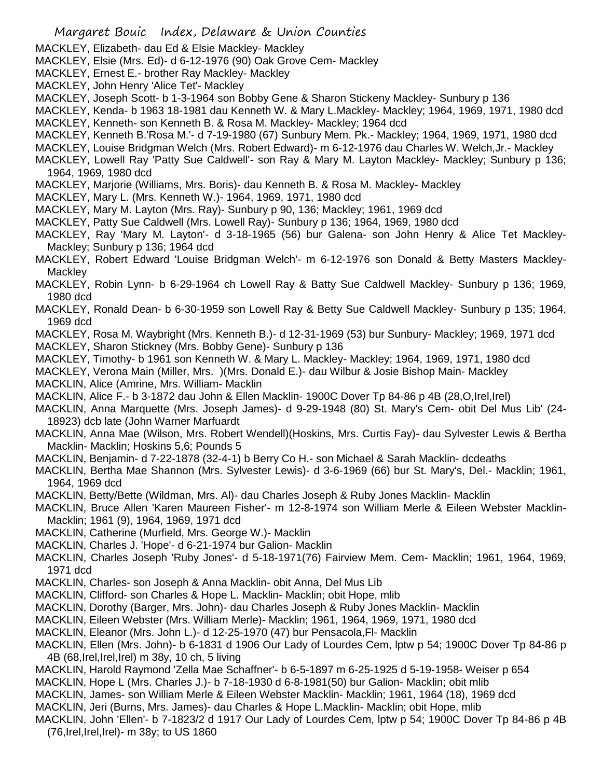- MACKLEY, Elizabeth- dau Ed & Elsie Mackley- Mackley
- MACKLEY, Elsie (Mrs. Ed)- d 6-12-1976 (90) Oak Grove Cem- Mackley
- MACKLEY, Ernest E.- brother Ray Mackley- Mackley
- MACKLEY, John Henry 'Alice Tet'- Mackley
- MACKLEY, Joseph Scott- b 1-3-1964 son Bobby Gene & Sharon Stickeny Mackley- Sunbury p 136
- MACKLEY, Kenda- b 1963 18-1981 dau Kenneth W. & Mary L.Mackley- Mackley; 1964, 1969, 1971, 1980 dcd MACKLEY, Kenneth- son Kenneth B. & Rosa M. Mackley- Mackley; 1964 dcd
- MACKLEY, Kenneth B.'Rosa M.'- d 7-19-1980 (67) Sunbury Mem. Pk.- Mackley; 1964, 1969, 1971, 1980 dcd
- MACKLEY, Louise Bridgman Welch (Mrs. Robert Edward)- m 6-12-1976 dau Charles W. Welch,Jr.- Mackley
- MACKLEY, Lowell Ray 'Patty Sue Caldwell'- son Ray & Mary M. Layton Mackley- Mackley; Sunbury p 136; 1964, 1969, 1980 dcd
- MACKLEY, Marjorie (Williams, Mrs. Boris)- dau Kenneth B. & Rosa M. Mackley- Mackley
- MACKLEY, Mary L. (Mrs. Kenneth W.)- 1964, 1969, 1971, 1980 dcd
- MACKLEY, Mary M. Layton (Mrs. Ray)- Sunbury p 90, 136; Mackley; 1961, 1969 dcd
- MACKLEY, Patty Sue Caldwell (Mrs. Lowell Ray)- Sunbury p 136; 1964, 1969, 1980 dcd
- MACKLEY, Ray 'Mary M. Layton'- d 3-18-1965 (56) bur Galena- son John Henry & Alice Tet Mackley-Mackley; Sunbury p 136; 1964 dcd
- MACKLEY, Robert Edward 'Louise Bridgman Welch'- m 6-12-1976 son Donald & Betty Masters Mackley-**Mackley**
- MACKLEY, Robin Lynn- b 6-29-1964 ch Lowell Ray & Batty Sue Caldwell Mackley- Sunbury p 136; 1969, 1980 dcd
- MACKLEY, Ronald Dean- b 6-30-1959 son Lowell Ray & Betty Sue Caldwell Mackley- Sunbury p 135; 1964, 1969 dcd
- MACKLEY, Rosa M. Waybright (Mrs. Kenneth B.)- d 12-31-1969 (53) bur Sunbury- Mackley; 1969, 1971 dcd
- MACKLEY, Sharon Stickney (Mrs. Bobby Gene)- Sunbury p 136
- MACKLEY, Timothy- b 1961 son Kenneth W. & Mary L. Mackley- Mackley; 1964, 1969, 1971, 1980 dcd
- MACKLEY, Verona Main (Miller, Mrs. )(Mrs. Donald E.)- dau Wilbur & Josie Bishop Main- Mackley
- MACKLIN, Alice (Amrine, Mrs. William- Macklin
- MACKLIN, Alice F.- b 3-1872 dau John & Ellen Macklin- 1900C Dover Tp 84-86 p 4B (28,O,Irel,Irel)
- MACKLIN, Anna Marquette (Mrs. Joseph James)- d 9-29-1948 (80) St. Mary's Cem- obit Del Mus Lib' (24- 18923) dcb late (John Warner Marfuardt
- MACKLIN, Anna Mae (Wilson, Mrs. Robert Wendell)(Hoskins, Mrs. Curtis Fay)- dau Sylvester Lewis & Bertha Macklin- Macklin; Hoskins 5,6; Pounds 5
- MACKLIN, Benjamin- d 7-22-1878 (32-4-1) b Berry Co H.- son Michael & Sarah Macklin- dcdeaths
- MACKLIN, Bertha Mae Shannon (Mrs. Sylvester Lewis)- d 3-6-1969 (66) bur St. Mary's, Del.- Macklin; 1961, 1964, 1969 dcd
- MACKLIN, Betty/Bette (Wildman, Mrs. Al)- dau Charles Joseph & Ruby Jones Macklin- Macklin
- MACKLIN, Bruce Allen 'Karen Maureen Fisher'- m 12-8-1974 son William Merle & Eileen Webster Macklin-Macklin; 1961 (9), 1964, 1969, 1971 dcd
- MACKLIN, Catherine (Murfield, Mrs. George W.)- Macklin
- MACKLIN, Charles J. 'Hope'- d 6-21-1974 bur Galion- Macklin
- MACKLIN, Charles Joseph 'Ruby Jones'- d 5-18-1971(76) Fairview Mem. Cem- Macklin; 1961, 1964, 1969, 1971 dcd
- MACKLIN, Charles- son Joseph & Anna Macklin- obit Anna, Del Mus Lib
- MACKLIN, Clifford- son Charles & Hope L. Macklin- Macklin; obit Hope, mlib
- MACKLIN, Dorothy (Barger, Mrs. John)- dau Charles Joseph & Ruby Jones Macklin- Macklin
- MACKLIN, Eileen Webster (Mrs. William Merle)- Macklin; 1961, 1964, 1969, 1971, 1980 dcd
- MACKLIN, Eleanor (Mrs. John L.)- d 12-25-1970 (47) bur Pensacola,Fl- Macklin
- MACKLIN, Ellen (Mrs. John)- b 6-1831 d 1906 Our Lady of Lourdes Cem, lptw p 54; 1900C Dover Tp 84-86 p 4B (68,Irel,Irel,Irel) m 38y, 10 ch, 5 living
- MACKLIN, Harold Raymond 'Zella Mae Schaffner'- b 6-5-1897 m 6-25-1925 d 5-19-1958- Weiser p 654
- MACKLIN, Hope L (Mrs. Charles J.)- b 7-18-1930 d 6-8-1981(50) bur Galion- Macklin; obit mlib
- MACKLIN, James- son William Merle & Eileen Webster Macklin- Macklin; 1961, 1964 (18), 1969 dcd
- MACKLIN, Jeri (Burns, Mrs. James)- dau Charles & Hope L.Macklin- Macklin; obit Hope, mlib
- MACKLIN, John 'Ellen'- b 7-1823/2 d 1917 Our Lady of Lourdes Cem, lptw p 54; 1900C Dover Tp 84-86 p 4B (76,Irel,Irel,Irel)- m 38y; to US 1860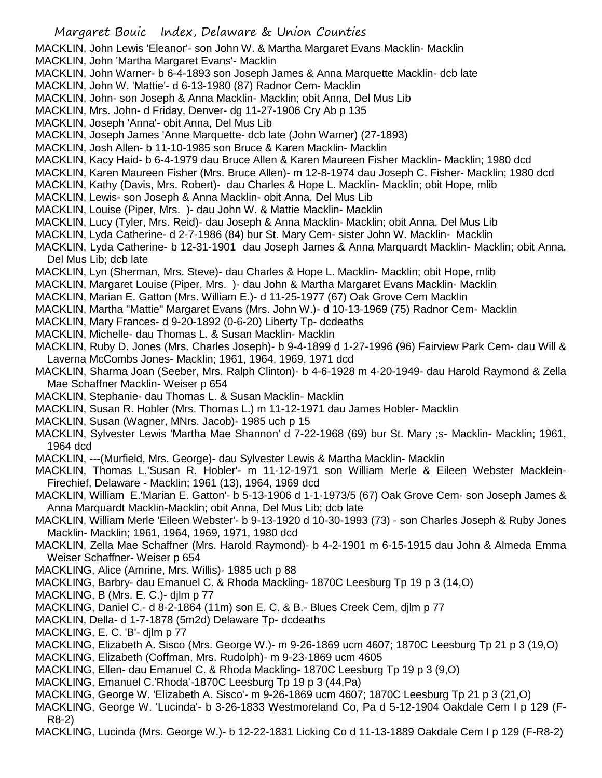MACKLIN, John Lewis 'Eleanor'- son John W. & Martha Margaret Evans Macklin- Macklin

- MACKLIN, John 'Martha Margaret Evans'- Macklin
- MACKLIN, John Warner- b 6-4-1893 son Joseph James & Anna Marquette Macklin- dcb late
- MACKLIN, John W. 'Mattie'- d 6-13-1980 (87) Radnor Cem- Macklin
- MACKLIN, John- son Joseph & Anna Macklin- Macklin; obit Anna, Del Mus Lib
- MACKLIN, Mrs. John- d Friday, Denver- dg 11-27-1906 Cry Ab p 135
- MACKLIN, Joseph 'Anna'- obit Anna, Del Mus Lib
- MACKLIN, Joseph James 'Anne Marquette- dcb late (John Warner) (27-1893)
- MACKLIN, Josh Allen- b 11-10-1985 son Bruce & Karen Macklin- Macklin
- MACKLIN, Kacy Haid- b 6-4-1979 dau Bruce Allen & Karen Maureen Fisher Macklin- Macklin; 1980 dcd
- MACKLIN, Karen Maureen Fisher (Mrs. Bruce Allen)- m 12-8-1974 dau Joseph C. Fisher- Macklin; 1980 dcd
- MACKLIN, Kathy (Davis, Mrs. Robert)- dau Charles & Hope L. Macklin- Macklin; obit Hope, mlib
- MACKLIN, Lewis- son Joseph & Anna Macklin- obit Anna, Del Mus Lib
- MACKLIN, Louise (Piper, Mrs. )- dau John W. & Mattie Macklin- Macklin
- MACKLIN, Lucy (Tyler, Mrs. Reid)- dau Joseph & Anna Macklin- Macklin; obit Anna, Del Mus Lib
- MACKLIN, Lyda Catherine- d 2-7-1986 (84) bur St. Mary Cem- sister John W. Macklin- Macklin
- MACKLIN, Lyda Catherine- b 12-31-1901 dau Joseph James & Anna Marquardt Macklin- Macklin; obit Anna, Del Mus Lib; dcb late
- MACKLIN, Lyn (Sherman, Mrs. Steve)- dau Charles & Hope L. Macklin- Macklin; obit Hope, mlib
- MACKLIN, Margaret Louise (Piper, Mrs. )- dau John & Martha Margaret Evans Macklin- Macklin
- MACKLIN, Marian E. Gatton (Mrs. William E.)- d 11-25-1977 (67) Oak Grove Cem Macklin
- MACKLIN, Martha "Mattie" Margaret Evans (Mrs. John W.)- d 10-13-1969 (75) Radnor Cem- Macklin
- MACKLIN, Mary Frances- d 9-20-1892 (0-6-20) Liberty Tp- dcdeaths
- MACKLIN, Michelle- dau Thomas L. & Susan Macklin- Macklin
- MACKLIN, Ruby D. Jones (Mrs. Charles Joseph)- b 9-4-1899 d 1-27-1996 (96) Fairview Park Cem- dau Will & Laverna McCombs Jones- Macklin; 1961, 1964, 1969, 1971 dcd
- MACKLIN, Sharma Joan (Seeber, Mrs. Ralph Clinton)- b 4-6-1928 m 4-20-1949- dau Harold Raymond & Zella Mae Schaffner Macklin- Weiser p 654
- MACKLIN, Stephanie- dau Thomas L. & Susan Macklin- Macklin
- MACKLIN, Susan R. Hobler (Mrs. Thomas L.) m 11-12-1971 dau James Hobler- Macklin
- MACKLIN, Susan (Wagner, MNrs. Jacob)- 1985 uch p 15
- MACKLIN, Sylvester Lewis 'Martha Mae Shannon' d 7-22-1968 (69) bur St. Mary ;s- Macklin- Macklin; 1961, 1964 dcd
- MACKLIN, ---(Murfield, Mrs. George)- dau Sylvester Lewis & Martha Macklin- Macklin
- MACKLIN, Thomas L.'Susan R. Hobler'- m 11-12-1971 son William Merle & Eileen Webster Macklein-Firechief, Delaware - Macklin; 1961 (13), 1964, 1969 dcd
- MACKLIN, William E.'Marian E. Gatton'- b 5-13-1906 d 1-1-1973/5 (67) Oak Grove Cem- son Joseph James & Anna Marquardt Macklin-Macklin; obit Anna, Del Mus Lib; dcb late
- MACKLIN, William Merle 'Eileen Webster'- b 9-13-1920 d 10-30-1993 (73) son Charles Joseph & Ruby Jones Macklin- Macklin; 1961, 1964, 1969, 1971, 1980 dcd
- MACKLIN, Zella Mae Schaffner (Mrs. Harold Raymond)- b 4-2-1901 m 6-15-1915 dau John & Almeda Emma Weiser Schaffner- Weiser p 654
- MACKLING, Alice (Amrine, Mrs. Willis)- 1985 uch p 88
- MACKLING, Barbry- dau Emanuel C. & Rhoda Mackling- 1870C Leesburg Tp 19 p 3 (14,O)
- MACKLING, B (Mrs. E. C.)- djlm p 77
- MACKLING, Daniel C.- d 8-2-1864 (11m) son E. C. & B.- Blues Creek Cem, djlm p 77
- MACKLIN, Della- d 1-7-1878 (5m2d) Delaware Tp- dcdeaths
- MACKLING, E. C. 'B'- djlm p 77
- MACKLING, Elizabeth A. Sisco (Mrs. George W.)- m 9-26-1869 ucm 4607; 1870C Leesburg Tp 21 p 3 (19,O)
- MACKLING, Elizabeth (Coffman, Mrs. Rudolph)- m 9-23-1869 ucm 4605
- MACKLING, Ellen- dau Emanuel C. & Rhoda Mackling- 1870C Leesburg Tp 19 p 3 (9,O)
- MACKLING, Emanuel C.'Rhoda'-1870C Leesburg Tp 19 p 3 (44,Pa)
- MACKLING, George W. 'Elizabeth A. Sisco'- m 9-26-1869 ucm 4607; 1870C Leesburg Tp 21 p 3 (21,O)
- MACKLING, George W. 'Lucinda'- b 3-26-1833 Westmoreland Co, Pa d 5-12-1904 Oakdale Cem I p 129 (F-R8-2)
- MACKLING, Lucinda (Mrs. George W.)- b 12-22-1831 Licking Co d 11-13-1889 Oakdale Cem I p 129 (F-R8-2)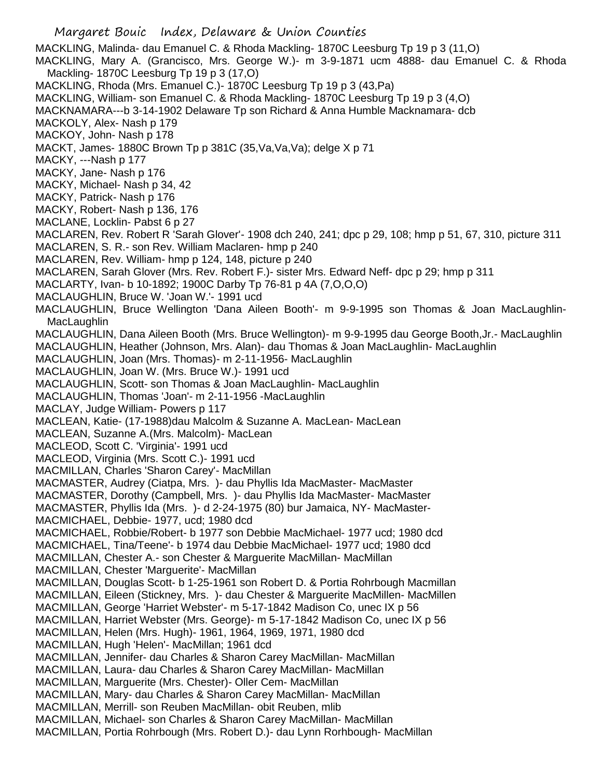Margaret Bouic Index, Delaware & Union Counties MACKLING, Malinda- dau Emanuel C. & Rhoda Mackling- 1870C Leesburg Tp 19 p 3 (11,O) MACKLING, Mary A. (Grancisco, Mrs. George W.)- m 3-9-1871 ucm 4888- dau Emanuel C. & Rhoda Mackling- 1870C Leesburg Tp 19 p 3 (17,O) MACKLING, Rhoda (Mrs. Emanuel C.)- 1870C Leesburg Tp 19 p 3 (43,Pa) MACKLING, William- son Emanuel C. & Rhoda Mackling- 1870C Leesburg Tp 19 p 3 (4,O) MACKNAMARA---b 3-14-1902 Delaware Tp son Richard & Anna Humble Macknamara- dcb MACKOLY, Alex- Nash p 179 MACKOY, John- Nash p 178 MACKT, James- 1880C Brown Tp p 381C (35, Va, Va, Va); delge X p 71 MACKY, ---Nash p 177 MACKY, Jane- Nash p 176 MACKY, Michael- Nash p 34, 42 MACKY, Patrick- Nash p 176 MACKY, Robert- Nash p 136, 176 MACLANE, Locklin- Pabst 6 p 27 MACLAREN, Rev. Robert R 'Sarah Glover'- 1908 dch 240, 241; dpc p 29, 108; hmp p 51, 67, 310, picture 311 MACLAREN, S. R.- son Rev. William Maclaren- hmp p 240 MACLAREN, Rev. William- hmp p 124, 148, picture p 240 MACLAREN, Sarah Glover (Mrs. Rev. Robert F.)- sister Mrs. Edward Neff- dpc p 29; hmp p 311 MACLARTY, Ivan- b 10-1892; 1900C Darby Tp 76-81 p 4A (7,O,O,O) MACLAUGHLIN, Bruce W. 'Joan W.'- 1991 ucd MACLAUGHLIN, Bruce Wellington 'Dana Aileen Booth'- m 9-9-1995 son Thomas & Joan MacLaughlin-**MacLaughlin** MACLAUGHLIN, Dana Aileen Booth (Mrs. Bruce Wellington)- m 9-9-1995 dau George Booth,Jr.- MacLaughlin MACLAUGHLIN, Heather (Johnson, Mrs. Alan)- dau Thomas & Joan MacLaughlin- MacLaughlin MACLAUGHLIN, Joan (Mrs. Thomas)- m 2-11-1956- MacLaughlin MACLAUGHLIN, Joan W. (Mrs. Bruce W.)- 1991 ucd MACLAUGHLIN, Scott- son Thomas & Joan MacLaughlin- MacLaughlin MACLAUGHLIN, Thomas 'Joan'- m 2-11-1956 -MacLaughlin MACLAY, Judge William- Powers p 117 MACLEAN, Katie- (17-1988)dau Malcolm & Suzanne A. MacLean- MacLean MACLEAN, Suzanne A.(Mrs. Malcolm)- MacLean MACLEOD, Scott C. 'Virginia'- 1991 ucd MACLEOD, Virginia (Mrs. Scott C.)- 1991 ucd MACMILLAN, Charles 'Sharon Carey'- MacMillan MACMASTER, Audrey (Ciatpa, Mrs. )- dau Phyllis Ida MacMaster- MacMaster MACMASTER, Dorothy (Campbell, Mrs. )- dau Phyllis Ida MacMaster- MacMaster MACMASTER, Phyllis Ida (Mrs. )- d 2-24-1975 (80) bur Jamaica, NY- MacMaster-MACMICHAEL, Debbie- 1977, ucd; 1980 dcd MACMICHAEL, Robbie/Robert- b 1977 son Debbie MacMichael- 1977 ucd; 1980 dcd MACMICHAEL, Tina/Teene'- b 1974 dau Debbie MacMichael- 1977 ucd; 1980 dcd MACMILLAN, Chester A.- son Chester & Marguerite MacMillan- MacMillan MACMILLAN, Chester 'Marguerite'- MacMillan MACMILLAN, Douglas Scott- b 1-25-1961 son Robert D. & Portia Rohrbough Macmillan MACMILLAN, Eileen (Stickney, Mrs. )- dau Chester & Marguerite MacMillen- MacMillen MACMILLAN, George 'Harriet Webster'- m 5-17-1842 Madison Co, unec IX p 56 MACMILLAN, Harriet Webster (Mrs. George)- m 5-17-1842 Madison Co, unec IX p 56 MACMILLAN, Helen (Mrs. Hugh)- 1961, 1964, 1969, 1971, 1980 dcd MACMILLAN, Hugh 'Helen'- MacMillan; 1961 dcd MACMILLAN, Jennifer- dau Charles & Sharon Carey MacMillan- MacMillan MACMILLAN, Laura- dau Charles & Sharon Carey MacMillan- MacMillan MACMILLAN, Marguerite (Mrs. Chester)- Oller Cem- MacMillan MACMILLAN, Mary- dau Charles & Sharon Carey MacMillan- MacMillan MACMILLAN, Merrill- son Reuben MacMillan- obit Reuben, mlib MACMILLAN, Michael- son Charles & Sharon Carey MacMillan- MacMillan MACMILLAN, Portia Rohrbough (Mrs. Robert D.)- dau Lynn Rorhbough- MacMillan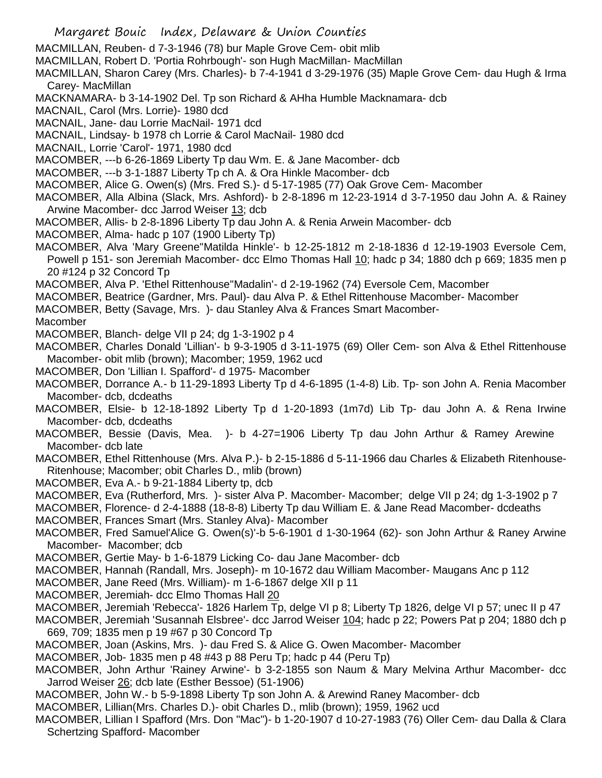Margaret Bouic Index, Delaware & Union Counties MACMILLAN, Reuben- d 7-3-1946 (78) bur Maple Grove Cem- obit mlib MACMILLAN, Robert D. 'Portia Rohrbough'- son Hugh MacMillan- MacMillan MACMILLAN, Sharon Carey (Mrs. Charles)- b 7-4-1941 d 3-29-1976 (35) Maple Grove Cem- dau Hugh & Irma Carey- MacMillan MACKNAMARA- b 3-14-1902 Del. Tp son Richard & AHha Humble Macknamara- dcb MACNAIL, Carol (Mrs. Lorrie)- 1980 dcd MACNAIL, Jane- dau Lorrie MacNail- 1971 dcd MACNAIL, Lindsay- b 1978 ch Lorrie & Carol MacNail- 1980 dcd MACNAIL, Lorrie 'Carol'- 1971, 1980 dcd MACOMBER, ---b 6-26-1869 Liberty Tp dau Wm. E. & Jane Macomber- dcb MACOMBER, ---b 3-1-1887 Liberty Tp ch A. & Ora Hinkle Macomber- dcb MACOMBER, Alice G. Owen(s) (Mrs. Fred S.)- d 5-17-1985 (77) Oak Grove Cem- Macomber MACOMBER, Alla Albina (Slack, Mrs. Ashford)- b 2-8-1896 m 12-23-1914 d 3-7-1950 dau John A. & Rainey Arwine Macomber- dcc Jarrod Weiser 13; dcb MACOMBER, Allis- b 2-8-1896 Liberty Tp dau John A. & Renia Arwein Macomber- dcb MACOMBER, Alma- hadc p 107 (1900 Liberty Tp) MACOMBER, Alva 'Mary Greene''Matilda Hinkle'- b 12-25-1812 m 2-18-1836 d 12-19-1903 Eversole Cem, Powell p 151- son Jeremiah Macomber- dcc Elmo Thomas Hall 10; hadc p 34; 1880 dch p 669; 1835 men p 20 #124 p 32 Concord Tp MACOMBER, Alva P. 'Ethel Rittenhouse''Madalin'- d 2-19-1962 (74) Eversole Cem, Macomber MACOMBER, Beatrice (Gardner, Mrs. Paul)- dau Alva P. & Ethel Rittenhouse Macomber- Macomber MACOMBER, Betty (Savage, Mrs. )- dau Stanley Alva & Frances Smart Macomber-Macomber MACOMBER, Blanch- delge VII p 24; dg 1-3-1902 p 4 MACOMBER, Charles Donald 'Lillian'- b 9-3-1905 d 3-11-1975 (69) Oller Cem- son Alva & Ethel Rittenhouse Macomber- obit mlib (brown); Macomber; 1959, 1962 ucd MACOMBER, Don 'Lillian I. Spafford'- d 1975- Macomber MACOMBER, Dorrance A.- b 11-29-1893 Liberty Tp d 4-6-1895 (1-4-8) Lib. Tp- son John A. Renia Macomber Macomber- dcb, dcdeaths MACOMBER, Elsie- b 12-18-1892 Liberty Tp d 1-20-1893 (1m7d) Lib Tp- dau John A. & Rena Irwine Macomber- dcb, dcdeaths MACOMBER, Bessie (Davis, Mea. )- b 4-27=1906 Liberty Tp dau John Arthur & Ramey Arewine Macomber- dcb late MACOMBER, Ethel Rittenhouse (Mrs. Alva P.)- b 2-15-1886 d 5-11-1966 dau Charles & Elizabeth Ritenhouse-Ritenhouse; Macomber; obit Charles D., mlib (brown) MACOMBER, Eva A.- b 9-21-1884 Liberty tp, dcb MACOMBER, Eva (Rutherford, Mrs. )- sister Alva P. Macomber- Macomber; delge VII p 24; dg 1-3-1902 p 7 MACOMBER, Florence- d 2-4-1888 (18-8-8) Liberty Tp dau William E. & Jane Read Macomber- dcdeaths MACOMBER, Frances Smart (Mrs. Stanley Alva)- Macomber MACOMBER, Fred Samuel'Alice G. Owen(s)'-b 5-6-1901 d 1-30-1964 (62)- son John Arthur & Raney Arwine Macomber- Macomber; dcb MACOMBER, Gertie May- b 1-6-1879 Licking Co- dau Jane Macomber- dcb MACOMBER, Hannah (Randall, Mrs. Joseph)- m 10-1672 dau William Macomber- Maugans Anc p 112 MACOMBER, Jane Reed (Mrs. William)- m 1-6-1867 delge XII p 11 MACOMBER, Jeremiah- dcc Elmo Thomas Hall 20 MACOMBER, Jeremiah 'Rebecca'- 1826 Harlem Tp, delge VI p 8; Liberty Tp 1826, delge VI p 57; unec II p 47 MACOMBER, Jeremiah 'Susannah Elsbree'- dcc Jarrod Weiser 104; hadc p 22; Powers Pat p 204; 1880 dch p 669, 709; 1835 men p 19 #67 p 30 Concord Tp MACOMBER, Joan (Askins, Mrs. )- dau Fred S. & Alice G. Owen Macomber- Macomber MACOMBER, Job- 1835 men p 48 #43 p 88 Peru Tp; hadc p 44 (Peru Tp) MACOMBER, John Arthur 'Rainey Arwine'- b 3-2-1855 son Naum & Mary Melvina Arthur Macomber- dcc Jarrod Weiser 26; dcb late (Esther Bessoe) (51-1906) MACOMBER, John W.- b 5-9-1898 Liberty Tp son John A. & Arewind Raney Macomber- dcb MACOMBER, Lillian(Mrs. Charles D.)- obit Charles D., mlib (brown); 1959, 1962 ucd MACOMBER, Lillian I Spafford (Mrs. Don "Mac")- b 1-20-1907 d 10-27-1983 (76) Oller Cem- dau Dalla & Clara Schertzing Spafford- Macomber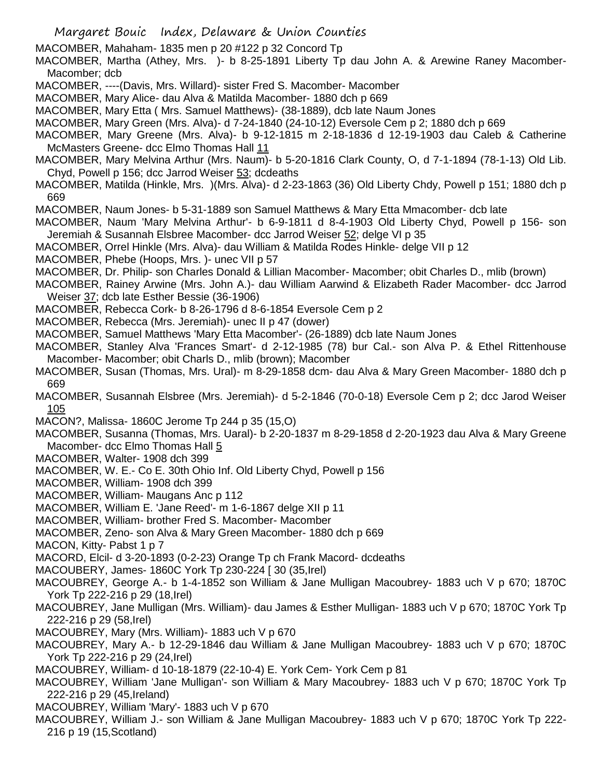MACOMBER, Mahaham- 1835 men p 20 #122 p 32 Concord Tp

MACOMBER, Martha (Athey, Mrs. )- b 8-25-1891 Liberty Tp dau John A. & Arewine Raney Macomber-Macomber; dcb

- MACOMBER, ----(Davis, Mrs. Willard)- sister Fred S. Macomber- Macomber
- MACOMBER, Mary Alice- dau Alva & Matilda Macomber- 1880 dch p 669
- MACOMBER, Mary Etta ( Mrs. Samuel Matthews)- (38-1889), dcb late Naum Jones
- MACOMBER, Mary Green (Mrs. Alva)- d 7-24-1840 (24-10-12) Eversole Cem p 2; 1880 dch p 669
- MACOMBER, Mary Greene (Mrs. Alva)- b 9-12-1815 m 2-18-1836 d 12-19-1903 dau Caleb & Catherine McMasters Greene- dcc Elmo Thomas Hall 11
- MACOMBER, Mary Melvina Arthur (Mrs. Naum)- b 5-20-1816 Clark County, O, d 7-1-1894 (78-1-13) Old Lib. Chyd, Powell p 156; dcc Jarrod Weiser 53; dcdeaths
- MACOMBER, Matilda (Hinkle, Mrs. )(Mrs. Alva)- d 2-23-1863 (36) Old Liberty Chdy, Powell p 151; 1880 dch p 669
- MACOMBER, Naum Jones- b 5-31-1889 son Samuel Matthews & Mary Etta Mmacomber- dcb late

MACOMBER, Naum 'Mary Melvina Arthur'- b 6-9-1811 d 8-4-1903 Old Liberty Chyd, Powell p 156- son Jeremiah & Susannah Elsbree Macomber- dcc Jarrod Weiser 52; delge VI p 35

- MACOMBER, Orrel Hinkle (Mrs. Alva)- dau William & Matilda Rodes Hinkle- delge VII p 12
- MACOMBER, Phebe (Hoops, Mrs. )- unec VII p 57
- MACOMBER, Dr. Philip- son Charles Donald & Lillian Macomber- Macomber; obit Charles D., mlib (brown)
- MACOMBER, Rainey Arwine (Mrs. John A.)- dau William Aarwind & Elizabeth Rader Macomber- dcc Jarrod Weiser 37; dcb late Esther Bessie (36-1906)
- MACOMBER, Rebecca Cork- b 8-26-1796 d 8-6-1854 Eversole Cem p 2
- MACOMBER, Rebecca (Mrs. Jeremiah)- unec II p 47 (dower)
- MACOMBER, Samuel Matthews 'Mary Etta Macomber'- (26-1889) dcb late Naum Jones
- MACOMBER, Stanley Alva 'Frances Smart'- d 2-12-1985 (78) bur Cal.- son Alva P. & Ethel Rittenhouse Macomber- Macomber; obit Charls D., mlib (brown); Macomber
- MACOMBER, Susan (Thomas, Mrs. Ural)- m 8-29-1858 dcm- dau Alva & Mary Green Macomber- 1880 dch p 669
- MACOMBER, Susannah Elsbree (Mrs. Jeremiah)- d 5-2-1846 (70-0-18) Eversole Cem p 2; dcc Jarod Weiser 105
- MACON?, Malissa- 1860C Jerome Tp 244 p 35 (15,O)
- MACOMBER, Susanna (Thomas, Mrs. Uaral)- b 2-20-1837 m 8-29-1858 d 2-20-1923 dau Alva & Mary Greene Macomber- dcc Elmo Thomas Hall 5
- MACOMBER, Walter- 1908 dch 399
- MACOMBER, W. E.- Co E. 30th Ohio Inf. Old Liberty Chyd, Powell p 156
- MACOMBER, William- 1908 dch 399
- MACOMBER, William- Maugans Anc p 112
- MACOMBER, William E. 'Jane Reed'- m 1-6-1867 delge XII p 11
- MACOMBER, William- brother Fred S. Macomber- Macomber
- MACOMBER, Zeno- son Alva & Mary Green Macomber- 1880 dch p 669
- MACON, Kitty- Pabst 1 p 7
- MACORD, Elcil- d 3-20-1893 (0-2-23) Orange Tp ch Frank Macord- dcdeaths
- MACOUBERY, James- 1860C York Tp 230-224 [ 30 (35,Irel)
- MACOUBREY, George A.- b 1-4-1852 son William & Jane Mulligan Macoubrey- 1883 uch V p 670; 1870C York Tp 222-216 p 29 (18,Irel)
- MACOUBREY, Jane Mulligan (Mrs. William)- dau James & Esther Mulligan- 1883 uch V p 670; 1870C York Tp 222-216 p 29 (58,Irel)
- MACOUBREY, Mary (Mrs. William)- 1883 uch V p 670
- MACOUBREY, Mary A.- b 12-29-1846 dau William & Jane Mulligan Macoubrey- 1883 uch V p 670; 1870C York Tp 222-216 p 29 (24,Irel)
- MACOUBREY, William- d 10-18-1879 (22-10-4) E. York Cem- York Cem p 81
- MACOUBREY, William 'Jane Mulligan'- son William & Mary Macoubrey- 1883 uch V p 670; 1870C York Tp 222-216 p 29 (45,Ireland)
- MACOUBREY, William 'Mary'- 1883 uch V p 670
- MACOUBREY, William J.- son William & Jane Mulligan Macoubrey- 1883 uch V p 670; 1870C York Tp 222- 216 p 19 (15,Scotland)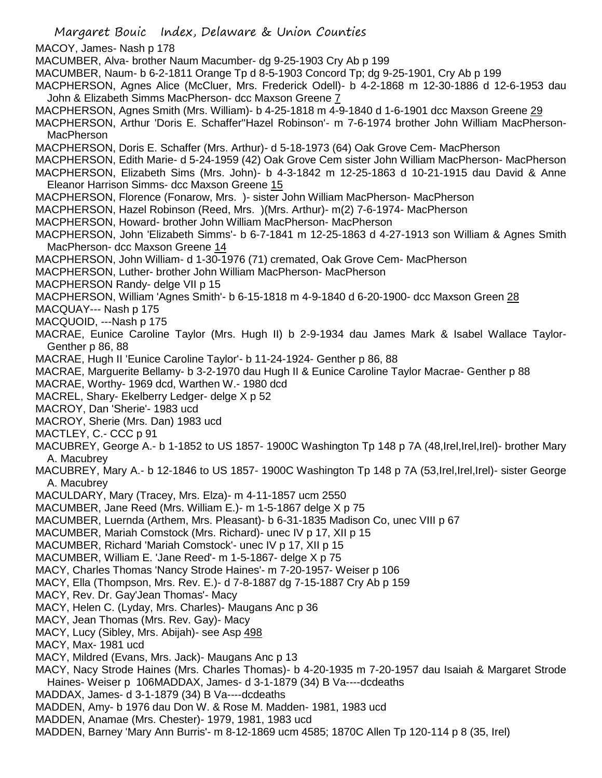Margaret Bouic Index, Delaware & Union Counties MACOY, James- Nash p 178 MACUMBER, Alva- brother Naum Macumber- dg 9-25-1903 Cry Ab p 199 MACUMBER, Naum- b 6-2-1811 Orange Tp d 8-5-1903 Concord Tp; dg 9-25-1901, Cry Ab p 199 MACPHERSON, Agnes Alice (McCluer, Mrs. Frederick Odell)- b 4-2-1868 m 12-30-1886 d 12-6-1953 dau John & Elizabeth Simms MacPherson- dcc Maxson Greene 7 MACPHERSON, Agnes Smith (Mrs. William)- b 4-25-1818 m 4-9-1840 d 1-6-1901 dcc Maxson Greene 29 MACPHERSON, Arthur 'Doris E. Schaffer''Hazel Robinson'- m 7-6-1974 brother John William MacPherson-**MacPherson** MACPHERSON, Doris E. Schaffer (Mrs. Arthur)- d 5-18-1973 (64) Oak Grove Cem- MacPherson MACPHERSON, Edith Marie- d 5-24-1959 (42) Oak Grove Cem sister John William MacPherson- MacPherson MACPHERSON, Elizabeth Sims (Mrs. John)- b 4-3-1842 m 12-25-1863 d 10-21-1915 dau David & Anne Eleanor Harrison Simms- dcc Maxson Greene 15 MACPHERSON, Florence (Fonarow, Mrs. )- sister John William MacPherson- MacPherson MACPHERSON, Hazel Robinson (Reed, Mrs. )(Mrs. Arthur)- m(2) 7-6-1974- MacPherson MACPHERSON, Howard- brother John William MacPherson- MacPherson MACPHERSON, John 'Elizabeth Simms'- b 6-7-1841 m 12-25-1863 d 4-27-1913 son William & Agnes Smith MacPherson- dcc Maxson Greene 14 MACPHERSON, John William- d 1-30-1976 (71) cremated, Oak Grove Cem- MacPherson MACPHERSON, Luther- brother John William MacPherson- MacPherson MACPHERSON Randy- delge VII p 15 MACPHERSON, William 'Agnes Smith'- b 6-15-1818 m 4-9-1840 d 6-20-1900- dcc Maxson Green 28 MACQUAY--- Nash p 175 MACQUOID, ---Nash p 175 MACRAE, Eunice Caroline Taylor (Mrs. Hugh II) b 2-9-1934 dau James Mark & Isabel Wallace Taylor-Genther p 86, 88 MACRAE, Hugh II 'Eunice Caroline Taylor'- b 11-24-1924- Genther p 86, 88 MACRAE, Marguerite Bellamy- b 3-2-1970 dau Hugh II & Eunice Caroline Taylor Macrae- Genther p 88 MACRAE, Worthy- 1969 dcd, Warthen W.- 1980 dcd MACREL, Shary- Ekelberry Ledger- delge X p 52 MACROY, Dan 'Sherie'- 1983 ucd MACROY, Sherie (Mrs. Dan) 1983 ucd MACTLEY, C.- CCC p 91 MACUBREY, George A.- b 1-1852 to US 1857- 1900C Washington Tp 148 p 7A (48, Irel, Irel, Irel)- brother Mary A. Macubrey MACUBREY, Mary A.- b 12-1846 to US 1857- 1900C Washington Tp 148 p 7A (53,Irel,Irel,Irel)- sister George A. Macubrey MACULDARY, Mary (Tracey, Mrs. Elza)- m 4-11-1857 ucm 2550 MACUMBER, Jane Reed (Mrs. William E.)- m 1-5-1867 delge X p 75 MACUMBER, Luernda (Arthem, Mrs. Pleasant)- b 6-31-1835 Madison Co, unec VIII p 67 MACUMBER, Mariah Comstock (Mrs. Richard)- unec IV p 17, XII p 15 MACUMBER, Richard 'Mariah Comstock'- unec IV p 17, XII p 15 MACUMBER, William E. 'Jane Reed'- m 1-5-1867- delge X p 75 MACY, Charles Thomas 'Nancy Strode Haines'- m 7-20-1957- Weiser p 106 MACY, Ella (Thompson, Mrs. Rev. E.)- d 7-8-1887 dg 7-15-1887 Cry Ab p 159 MACY, Rev. Dr. Gay'Jean Thomas'- Macy MACY, Helen C. (Lyday, Mrs. Charles)- Maugans Anc p 36 MACY, Jean Thomas (Mrs. Rev. Gay)- Macy MACY, Lucy (Sibley, Mrs. Abijah)- see Asp 498 MACY, Max- 1981 ucd MACY, Mildred (Evans, Mrs. Jack)- Maugans Anc p 13 MACY, Nacy Strode Haines (Mrs. Charles Thomas)- b 4-20-1935 m 7-20-1957 dau Isaiah & Margaret Strode Haines- Weiser p 106MADDAX, James- d 3-1-1879 (34) B Va----dcdeaths MADDAX, James- d 3-1-1879 (34) B Va----dcdeaths MADDEN, Amy- b 1976 dau Don W. & Rose M. Madden- 1981, 1983 ucd MADDEN, Anamae (Mrs. Chester)- 1979, 1981, 1983 ucd MADDEN, Barney 'Mary Ann Burris'- m 8-12-1869 ucm 4585; 1870C Allen Tp 120-114 p 8 (35, Irel)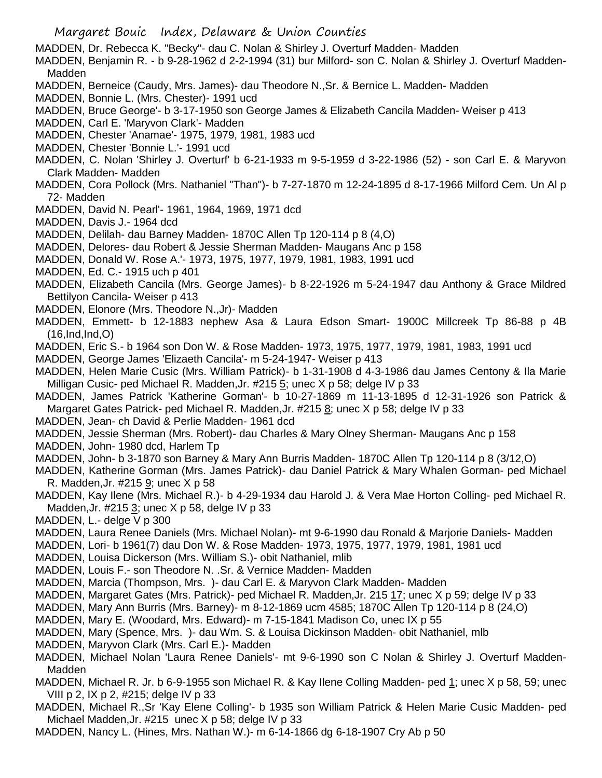Margaret Bouic Index, Delaware & Union Counties MADDEN, Dr. Rebecca K. "Becky"- dau C. Nolan & Shirley J. Overturf Madden- Madden MADDEN, Benjamin R. - b 9-28-1962 d 2-2-1994 (31) bur Milford- son C. Nolan & Shirley J. Overturf Madden-Madden MADDEN, Berneice (Caudy, Mrs. James)- dau Theodore N.,Sr. & Bernice L. Madden- Madden MADDEN, Bonnie L. (Mrs. Chester)- 1991 ucd MADDEN, Bruce George'- b 3-17-1950 son George James & Elizabeth Cancila Madden- Weiser p 413 MADDEN, Carl E. 'Maryvon Clark'- Madden MADDEN, Chester 'Anamae'- 1975, 1979, 1981, 1983 ucd MADDEN, Chester 'Bonnie L.'- 1991 ucd MADDEN, C. Nolan 'Shirley J. Overturf' b 6-21-1933 m 9-5-1959 d 3-22-1986 (52) - son Carl E. & Maryvon Clark Madden- Madden MADDEN, Cora Pollock (Mrs. Nathaniel "Than")- b 7-27-1870 m 12-24-1895 d 8-17-1966 Milford Cem. Un Al p 72- Madden MADDEN, David N. Pearl'- 1961, 1964, 1969, 1971 dcd MADDEN, Davis J.- 1964 dcd MADDEN, Delilah- dau Barney Madden- 1870C Allen Tp 120-114 p 8 (4,O) MADDEN, Delores- dau Robert & Jessie Sherman Madden- Maugans Anc p 158 MADDEN, Donald W. Rose A.'- 1973, 1975, 1977, 1979, 1981, 1983, 1991 ucd MADDEN, Ed. C.- 1915 uch p 401 MADDEN, Elizabeth Cancila (Mrs. George James)- b 8-22-1926 m 5-24-1947 dau Anthony & Grace Mildred Bettilyon Cancila- Weiser p 413 MADDEN, Elonore (Mrs. Theodore N.,Jr)- Madden MADDEN, Emmett- b 12-1883 nephew Asa & Laura Edson Smart- 1900C Millcreek Tp 86-88 p 4B  $(16, Ind,Ind, O)$ MADDEN, Eric S.- b 1964 son Don W. & Rose Madden- 1973, 1975, 1977, 1979, 1981, 1983, 1991 ucd MADDEN, George James 'Elizaeth Cancila'- m 5-24-1947- Weiser p 413 MADDEN, Helen Marie Cusic (Mrs. William Patrick)- b 1-31-1908 d 4-3-1986 dau James Centony & Ila Marie Milligan Cusic- ped Michael R. Madden, Jr. #215 5; unec X p 58; delge IV p 33 MADDEN, James Patrick 'Katherine Gorman'- b 10-27-1869 m 11-13-1895 d 12-31-1926 son Patrick & Margaret Gates Patrick- ped Michael R. Madden,Jr. #215 8; unec X p 58; delge IV p 33 MADDEN, Jean- ch David & Perlie Madden- 1961 dcd MADDEN, Jessie Sherman (Mrs. Robert)- dau Charles & Mary Olney Sherman- Maugans Anc p 158 MADDEN, John- 1980 dcd, Harlem Tp MADDEN, John- b 3-1870 son Barney & Mary Ann Burris Madden- 1870C Allen Tp 120-114 p 8 (3/12,O) MADDEN, Katherine Gorman (Mrs. James Patrick)- dau Daniel Patrick & Mary Whalen Gorman- ped Michael R. Madden,Jr. #215 9; unec X p 58 MADDEN, Kay Ilene (Mrs. Michael R.)- b 4-29-1934 dau Harold J. & Vera Mae Horton Colling- ped Michael R. Madden,Jr. #215 3; unec X p 58, delge IV p 33 MADDEN, L.- delge V p 300 MADDEN, Laura Renee Daniels (Mrs. Michael Nolan)- mt 9-6-1990 dau Ronald & Marjorie Daniels- Madden MADDEN, Lori- b 1961(7) dau Don W. & Rose Madden- 1973, 1975, 1977, 1979, 1981, 1981 ucd MADDEN, Louisa Dickerson (Mrs. William S.)- obit Nathaniel, mlib MADDEN, Louis F.- son Theodore N. .Sr. & Vernice Madden- Madden MADDEN, Marcia (Thompson, Mrs. )- dau Carl E. & Maryvon Clark Madden- Madden MADDEN, Margaret Gates (Mrs. Patrick)- ped Michael R. Madden,Jr. 215 17; unec X p 59; delge IV p 33 MADDEN, Mary Ann Burris (Mrs. Barney)- m 8-12-1869 ucm 4585; 1870C Allen Tp 120-114 p 8 (24,O) MADDEN, Mary E. (Woodard, Mrs. Edward)- m 7-15-1841 Madison Co, unec IX p 55 MADDEN, Mary (Spence, Mrs. )- dau Wm. S. & Louisa Dickinson Madden- obit Nathaniel, mlb MADDEN, Maryvon Clark (Mrs. Carl E.)- Madden MADDEN, Michael Nolan 'Laura Renee Daniels'- mt 9-6-1990 son C Nolan & Shirley J. Overturf Madden-**Madden** MADDEN, Michael R. Jr. b 6-9-1955 son Michael R. & Kay Ilene Colling Madden- ped 1; unec X p 58, 59; unec VIII p 2, IX p 2, #215; delge IV p 33

MADDEN, Michael R.,Sr 'Kay Elene Colling'- b 1935 son William Patrick & Helen Marie Cusic Madden- ped Michael Madden,Jr. #215 unec X p 58; delge IV p 33

MADDEN, Nancy L. (Hines, Mrs. Nathan W.)- m 6-14-1866 dg 6-18-1907 Cry Ab p 50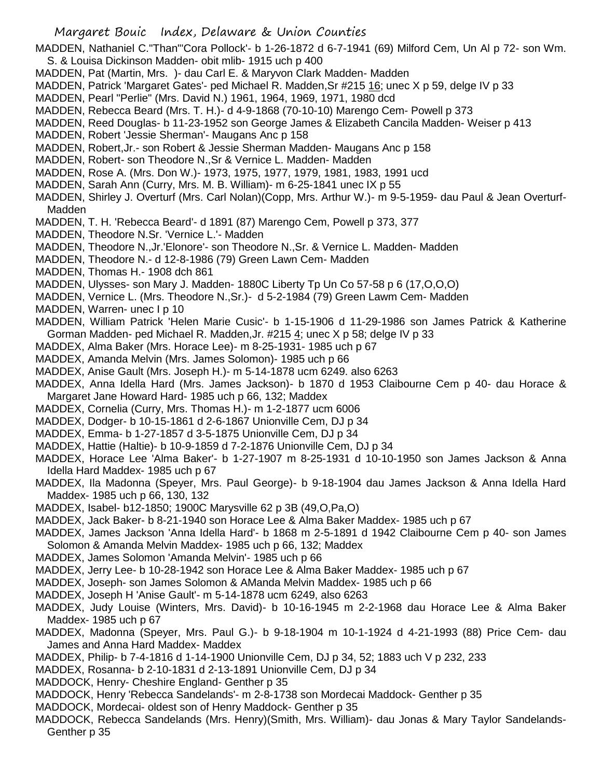MADDEN, Nathaniel C."Than"'Cora Pollock'- b 1-26-1872 d 6-7-1941 (69) Milford Cem, Un Al p 72- son Wm. S. & Louisa Dickinson Madden- obit mlib- 1915 uch p 400

- MADDEN, Pat (Martin, Mrs. )- dau Carl E. & Maryvon Clark Madden- Madden
- MADDEN, Patrick 'Margaret Gates'- ped Michael R. Madden, Sr #215 16; unec X p 59, delge IV p 33
- MADDEN, Pearl "Perlie" (Mrs. David N.) 1961, 1964, 1969, 1971, 1980 dcd

MADDEN, Rebecca Beard (Mrs. T. H.)- d 4-9-1868 (70-10-10) Marengo Cem- Powell p 373

- MADDEN, Reed Douglas- b 11-23-1952 son George James & Elizabeth Cancila Madden- Weiser p 413
- MADDEN, Robert 'Jessie Sherman'- Maugans Anc p 158
- MADDEN, Robert,Jr.- son Robert & Jessie Sherman Madden- Maugans Anc p 158
- MADDEN, Robert- son Theodore N.,Sr & Vernice L. Madden- Madden
- MADDEN, Rose A. (Mrs. Don W.)- 1973, 1975, 1977, 1979, 1981, 1983, 1991 ucd
- MADDEN, Sarah Ann (Curry, Mrs. M. B. William)- m 6-25-1841 unec IX p 55
- MADDEN, Shirley J. Overturf (Mrs. Carl Nolan)(Copp, Mrs. Arthur W.)- m 9-5-1959- dau Paul & Jean Overturf-**Madden**
- MADDEN, T. H. 'Rebecca Beard'- d 1891 (87) Marengo Cem, Powell p 373, 377
- MADDEN, Theodore N.Sr. 'Vernice L.'- Madden
- MADDEN, Theodore N.,Jr.'Elonore'- son Theodore N.,Sr. & Vernice L. Madden- Madden
- MADDEN, Theodore N.- d 12-8-1986 (79) Green Lawn Cem- Madden
- MADDEN, Thomas H.- 1908 dch 861

MADDEN, Ulysses- son Mary J. Madden- 1880C Liberty Tp Un Co 57-58 p 6 (17,O,O,O)

- MADDEN, Vernice L. (Mrs. Theodore N.,Sr.)- d 5-2-1984 (79) Green Lawm Cem- Madden
- MADDEN, Warren- unec I p 10
- MADDEN, William Patrick 'Helen Marie Cusic'- b 1-15-1906 d 11-29-1986 son James Patrick & Katherine Gorman Madden- ped Michael R. Madden, Jr. #215 4; unec X p 58; delge IV p 33
- MADDEX, Alma Baker (Mrs. Horace Lee)- m 8-25-1931- 1985 uch p 67
- MADDEX, Amanda Melvin (Mrs. James Solomon)- 1985 uch p 66
- MADDEX, Anise Gault (Mrs. Joseph H.)- m 5-14-1878 ucm 6249. also 6263
- MADDEX, Anna Idella Hard (Mrs. James Jackson)- b 1870 d 1953 Claibourne Cem p 40- dau Horace & Margaret Jane Howard Hard- 1985 uch p 66, 132; Maddex
- MADDEX, Cornelia (Curry, Mrs. Thomas H.)- m 1-2-1877 ucm 6006
- MADDEX, Dodger- b 10-15-1861 d 2-6-1867 Unionville Cem, DJ p 34
- MADDEX, Emma- b 1-27-1857 d 3-5-1875 Unionville Cem, DJ p 34
- MADDEX, Hattie (Haltie)- b 10-9-1859 d 7-2-1876 Unionville Cem, DJ p 34
- MADDEX, Horace Lee 'Alma Baker'- b 1-27-1907 m 8-25-1931 d 10-10-1950 son James Jackson & Anna Idella Hard Maddex- 1985 uch p 67
- MADDEX, Ila Madonna (Speyer, Mrs. Paul George)- b 9-18-1904 dau James Jackson & Anna Idella Hard Maddex- 1985 uch p 66, 130, 132
- MADDEX, Isabel- b12-1850; 1900C Marysville 62 p 3B (49,O,Pa,O)
- MADDEX, Jack Baker- b 8-21-1940 son Horace Lee & Alma Baker Maddex- 1985 uch p 67
- MADDEX, James Jackson 'Anna Idella Hard'- b 1868 m 2-5-1891 d 1942 Claibourne Cem p 40- son James Solomon & Amanda Melvin Maddex- 1985 uch p 66, 132; Maddex
- MADDEX, James Solomon 'Amanda Melvin'- 1985 uch p 66
- MADDEX, Jerry Lee- b 10-28-1942 son Horace Lee & Alma Baker Maddex- 1985 uch p 67
- MADDEX, Joseph- son James Solomon & AManda Melvin Maddex- 1985 uch p 66
- MADDEX, Joseph H 'Anise Gault'- m 5-14-1878 ucm 6249, also 6263
- MADDEX, Judy Louise (Winters, Mrs. David)- b 10-16-1945 m 2-2-1968 dau Horace Lee & Alma Baker Maddex- 1985 uch p 67
- MADDEX, Madonna (Speyer, Mrs. Paul G.)- b 9-18-1904 m 10-1-1924 d 4-21-1993 (88) Price Cem- dau James and Anna Hard Maddex- Maddex
- MADDEX, Philip- b 7-4-1816 d 1-14-1900 Unionville Cem, DJ p 34, 52; 1883 uch V p 232, 233
- MADDEX, Rosanna- b 2-10-1831 d 2-13-1891 Unionville Cem, DJ p 34
- MADDOCK, Henry- Cheshire England- Genther p 35
- MADDOCK, Henry 'Rebecca Sandelands'- m 2-8-1738 son Mordecai Maddock- Genther p 35
- MADDOCK, Mordecai- oldest son of Henry Maddock- Genther p 35
- MADDOCK, Rebecca Sandelands (Mrs. Henry)(Smith, Mrs. William)- dau Jonas & Mary Taylor Sandelands-Genther p 35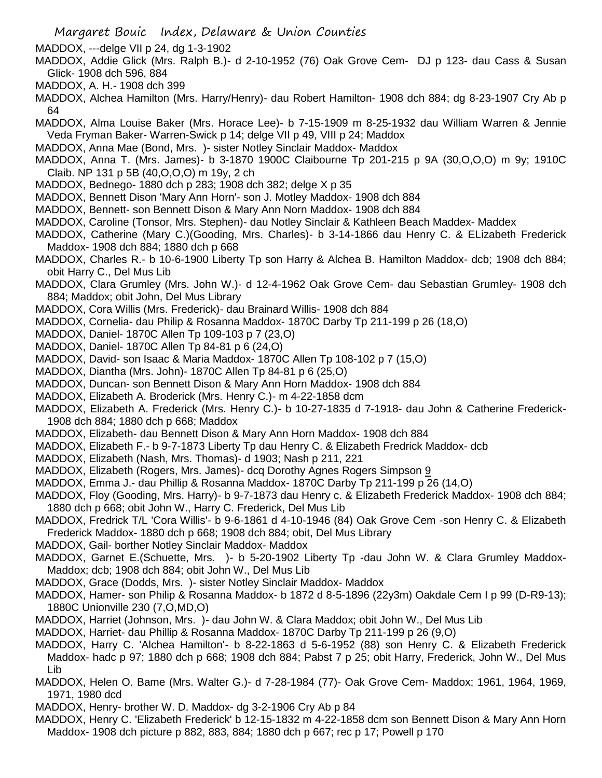MADDOX, ---delge VII p 24, dg 1-3-1902

- MADDOX, Addie Glick (Mrs. Ralph B.)- d 2-10-1952 (76) Oak Grove Cem- DJ p 123- dau Cass & Susan Glick- 1908 dch 596, 884
- MADDOX, A. H.- 1908 dch 399
- MADDOX, Alchea Hamilton (Mrs. Harry/Henry)- dau Robert Hamilton- 1908 dch 884; dg 8-23-1907 Cry Ab p 64
- MADDOX, Alma Louise Baker (Mrs. Horace Lee)- b 7-15-1909 m 8-25-1932 dau William Warren & Jennie Veda Fryman Baker- Warren-Swick p 14; delge VII p 49, VIII p 24; Maddox
- MADDOX, Anna Mae (Bond, Mrs. )- sister Notley Sinclair Maddox- Maddox
- MADDOX, Anna T. (Mrs. James)- b 3-1870 1900C Claibourne Tp 201-215 p 9A (30,O,O,O) m 9y; 1910C Claib. NP 131 p 5B (40,O,O,O) m 19y, 2 ch
- MADDOX, Bednego- 1880 dch p 283; 1908 dch 382; delge X p 35
- MADDOX, Bennett Dison 'Mary Ann Horn'- son J. Motley Maddox- 1908 dch 884
- MADDOX, Bennett- son Bennett Dison & Mary Ann Norn Maddox- 1908 dch 884
- MADDOX, Caroline (Tonsor, Mrs. Stephen)- dau Notley Sinclair & Kathleen Beach Maddex- Maddex
- MADDOX, Catherine (Mary C.)(Gooding, Mrs. Charles)- b 3-14-1866 dau Henry C. & ELizabeth Frederick Maddox- 1908 dch 884; 1880 dch p 668
- MADDOX, Charles R.- b 10-6-1900 Liberty Tp son Harry & Alchea B. Hamilton Maddox- dcb; 1908 dch 884; obit Harry C., Del Mus Lib
- MADDOX, Clara Grumley (Mrs. John W.)- d 12-4-1962 Oak Grove Cem- dau Sebastian Grumley- 1908 dch 884; Maddox; obit John, Del Mus Library
- MADDOX, Cora Willis (Mrs. Frederick)- dau Brainard Willis- 1908 dch 884
- MADDOX, Cornelia- dau Philip & Rosanna Maddox- 1870C Darby Tp 211-199 p 26 (18,O)
- MADDOX, Daniel- 1870C Allen Tp 109-103 p 7 (23,O)
- MADDOX, Daniel- 1870C Allen Tp 84-81 p 6 (24,O)

MADDOX, David- son Isaac & Maria Maddox- 1870C Allen Tp 108-102 p 7 (15,O)

- MADDOX, Diantha (Mrs. John)- 1870C Allen Tp 84-81 p 6 (25,O)
- MADDOX, Duncan- son Bennett Dison & Mary Ann Horn Maddox- 1908 dch 884
- MADDOX, Elizabeth A. Broderick (Mrs. Henry C.)- m 4-22-1858 dcm
- MADDOX, Elizabeth A. Frederick (Mrs. Henry C.)- b 10-27-1835 d 7-1918- dau John & Catherine Frederick-1908 dch 884; 1880 dch p 668; Maddox
- MADDOX, Elizabeth- dau Bennett Dison & Mary Ann Horn Maddox- 1908 dch 884
- MADDOX, Elizabeth F.- b 9-7-1873 Liberty Tp dau Henry C. & Elizabeth Fredrick Maddox- dcb
- MADDOX, Elizabeth (Nash, Mrs. Thomas)- d 1903; Nash p 211, 221
- MADDOX, Elizabeth (Rogers, Mrs. James)- dcq Dorothy Agnes Rogers Simpson 9
- MADDOX, Emma J.- dau Phillip & Rosanna Maddox- 1870C Darby Tp 211-199 p 26 (14,O)
- MADDOX, Floy (Gooding, Mrs. Harry)- b 9-7-1873 dau Henry c. & Elizabeth Frederick Maddox- 1908 dch 884; 1880 dch p 668; obit John W., Harry C. Frederick, Del Mus Lib
- MADDOX, Fredrick T/L 'Cora Willis'- b 9-6-1861 d 4-10-1946 (84) Oak Grove Cem -son Henry C. & Elizabeth Frederick Maddox- 1880 dch p 668; 1908 dch 884; obit, Del Mus Library
- MADDOX, Gail- borther Notley Sinclair Maddox- Maddox
- MADDOX, Garnet E.(Schuette, Mrs. )- b 5-20-1902 Liberty Tp -dau John W. & Clara Grumley Maddox-Maddox; dcb; 1908 dch 884; obit John W., Del Mus Lib
- MADDOX, Grace (Dodds, Mrs. )- sister Notley Sinclair Maddox- Maddox
- MADDOX, Hamer- son Philip & Rosanna Maddox- b 1872 d 8-5-1896 (22y3m) Oakdale Cem I p 99 (D-R9-13); 1880C Unionville 230 (7,O,MD,O)
- MADDOX, Harriet (Johnson, Mrs. )- dau John W. & Clara Maddox; obit John W., Del Mus Lib
- MADDOX, Harriet- dau Phillip & Rosanna Maddox- 1870C Darby Tp 211-199 p 26 (9,O)
- MADDOX, Harry C. 'Alchea Hamilton'- b 8-22-1863 d 5-6-1952 (88) son Henry C. & Elizabeth Frederick Maddox- hadc p 97; 1880 dch p 668; 1908 dch 884; Pabst 7 p 25; obit Harry, Frederick, John W., Del Mus Lib
- MADDOX, Helen O. Bame (Mrs. Walter G.)- d 7-28-1984 (77)- Oak Grove Cem- Maddox; 1961, 1964, 1969, 1971, 1980 dcd
- MADDOX, Henry- brother W. D. Maddox- dg 3-2-1906 Cry Ab p 84
- MADDOX, Henry C. 'Elizabeth Frederick' b 12-15-1832 m 4-22-1858 dcm son Bennett Dison & Mary Ann Horn Maddox- 1908 dch picture p 882, 883, 884; 1880 dch p 667; rec p 17; Powell p 170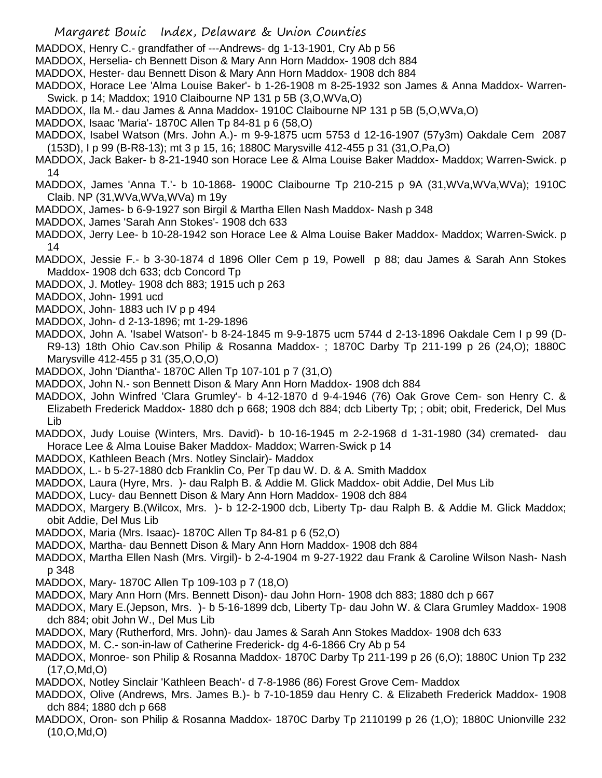- Margaret Bouic Index, Delaware & Union Counties
- MADDOX, Henry C.- grandfather of ---Andrews- dg 1-13-1901, Cry Ab p 56
- MADDOX, Herselia- ch Bennett Dison & Mary Ann Horn Maddox- 1908 dch 884
- MADDOX, Hester- dau Bennett Dison & Mary Ann Horn Maddox- 1908 dch 884
- MADDOX, Horace Lee 'Alma Louise Baker'- b 1-26-1908 m 8-25-1932 son James & Anna Maddox- Warren-Swick. p 14; Maddox; 1910 Claibourne NP 131 p 5B (3,O,WVa,O)
- MADDOX, Ila M.- dau James & Anna Maddox- 1910C Claibourne NP 131 p 5B (5,O,WVa,O)
- MADDOX, Isaac 'Maria'- 1870C Allen Tp 84-81 p 6 (58,O)
- MADDOX, Isabel Watson (Mrs. John A.)- m 9-9-1875 ucm 5753 d 12-16-1907 (57y3m) Oakdale Cem 2087 (153D), I p 99 (B-R8-13); mt 3 p 15, 16; 1880C Marysville 412-455 p 31 (31,O,Pa,O)
- MADDOX, Jack Baker- b 8-21-1940 son Horace Lee & Alma Louise Baker Maddox- Maddox; Warren-Swick. p 14
- MADDOX, James 'Anna T.'- b 10-1868- 1900C Claibourne Tp 210-215 p 9A (31,WVa,WVa,WVa); 1910C Claib. NP (31,WVa,WVa,WVa) m 19y
- MADDOX, James- b 6-9-1927 son Birgil & Martha Ellen Nash Maddox- Nash p 348
- MADDOX, James 'Sarah Ann Stokes'- 1908 dch 633
- MADDOX, Jerry Lee- b 10-28-1942 son Horace Lee & Alma Louise Baker Maddox- Maddox; Warren-Swick. p 14
- MADDOX, Jessie F.- b 3-30-1874 d 1896 Oller Cem p 19, Powell p 88; dau James & Sarah Ann Stokes Maddox- 1908 dch 633; dcb Concord Tp
- MADDOX, J. Motley- 1908 dch 883; 1915 uch p 263
- MADDOX, John- 1991 ucd
- MADDOX, John- 1883 uch IV p p 494
- MADDOX, John- d 2-13-1896; mt 1-29-1896
- MADDOX, John A. 'Isabel Watson'- b 8-24-1845 m 9-9-1875 ucm 5744 d 2-13-1896 Oakdale Cem I p 99 (D-R9-13) 18th Ohio Cav.son Philip & Rosanna Maddox- ; 1870C Darby Tp 211-199 p 26 (24,O); 1880C Marysville 412-455 p 31 (35,O,O,O)
- MADDOX, John 'Diantha'- 1870C Allen Tp 107-101 p 7 (31,O)
- MADDOX, John N.- son Bennett Dison & Mary Ann Horn Maddox- 1908 dch 884
- MADDOX, John Winfred 'Clara Grumley'- b 4-12-1870 d 9-4-1946 (76) Oak Grove Cem- son Henry C. & Elizabeth Frederick Maddox- 1880 dch p 668; 1908 dch 884; dcb Liberty Tp; ; obit; obit, Frederick, Del Mus Lib
- MADDOX, Judy Louise (Winters, Mrs. David)- b 10-16-1945 m 2-2-1968 d 1-31-1980 (34) cremated- dau Horace Lee & Alma Louise Baker Maddox- Maddox; Warren-Swick p 14
- MADDOX, Kathleen Beach (Mrs. Notley Sinclair)- Maddox
- MADDOX, L.- b 5-27-1880 dcb Franklin Co, Per Tp dau W. D. & A. Smith Maddox
- MADDOX, Laura (Hyre, Mrs. )- dau Ralph B. & Addie M. Glick Maddox- obit Addie, Del Mus Lib
- MADDOX, Lucy- dau Bennett Dison & Mary Ann Horn Maddox- 1908 dch 884
- MADDOX, Margery B.(Wilcox, Mrs. )- b 12-2-1900 dcb, Liberty Tp- dau Ralph B. & Addie M. Glick Maddox; obit Addie, Del Mus Lib
- MADDOX, Maria (Mrs. Isaac)- 1870C Allen Tp 84-81 p 6 (52,O)
- MADDOX, Martha- dau Bennett Dison & Mary Ann Horn Maddox- 1908 dch 884
- MADDOX, Martha Ellen Nash (Mrs. Virgil)- b 2-4-1904 m 9-27-1922 dau Frank & Caroline Wilson Nash- Nash p 348
- MADDOX, Mary- 1870C Allen Tp 109-103 p 7 (18,O)
- MADDOX, Mary Ann Horn (Mrs. Bennett Dison)- dau John Horn- 1908 dch 883; 1880 dch p 667
- MADDOX, Mary E.(Jepson, Mrs. )- b 5-16-1899 dcb, Liberty Tp- dau John W. & Clara Grumley Maddox- 1908 dch 884; obit John W., Del Mus Lib
- MADDOX, Mary (Rutherford, Mrs. John)- dau James & Sarah Ann Stokes Maddox- 1908 dch 633
- MADDOX, M. C.- son-in-law of Catherine Frederick- dg 4-6-1866 Cry Ab p 54
- MADDOX, Monroe- son Philip & Rosanna Maddox- 1870C Darby Tp 211-199 p 26 (6,O); 1880C Union Tp 232 (17,O,Md,O)
- MADDOX, Notley Sinclair 'Kathleen Beach'- d 7-8-1986 (86) Forest Grove Cem- Maddox
- MADDOX, Olive (Andrews, Mrs. James B.)- b 7-10-1859 dau Henry C. & Elizabeth Frederick Maddox- 1908 dch 884; 1880 dch p 668
- MADDOX, Oron- son Philip & Rosanna Maddox- 1870C Darby Tp 2110199 p 26 (1,O); 1880C Unionville 232 (10,O,Md,O)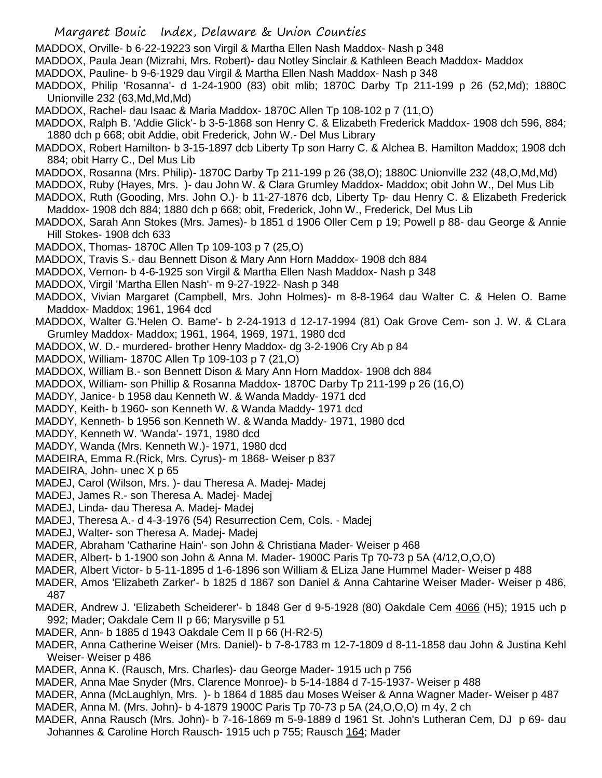- MADDOX, Orville- b 6-22-19223 son Virgil & Martha Ellen Nash Maddox- Nash p 348
- MADDOX, Paula Jean (Mizrahi, Mrs. Robert)- dau Notley Sinclair & Kathleen Beach Maddox- Maddox
- MADDOX, Pauline- b 9-6-1929 dau Virgil & Martha Ellen Nash Maddox- Nash p 348
- MADDOX, Philip 'Rosanna'- d 1-24-1900 (83) obit mlib; 1870C Darby Tp 211-199 p 26 (52,Md); 1880C Unionville 232 (63,Md,Md,Md)
- MADDOX, Rachel- dau Isaac & Maria Maddox- 1870C Allen Tp 108-102 p 7 (11,O)
- MADDOX, Ralph B. 'Addie Glick'- b 3-5-1868 son Henry C. & Elizabeth Frederick Maddox- 1908 dch 596, 884; 1880 dch p 668; obit Addie, obit Frederick, John W.- Del Mus Library
- MADDOX, Robert Hamilton- b 3-15-1897 dcb Liberty Tp son Harry C. & Alchea B. Hamilton Maddox; 1908 dch 884; obit Harry C., Del Mus Lib
- MADDOX, Rosanna (Mrs. Philip)- 1870C Darby Tp 211-199 p 26 (38,O); 1880C Unionville 232 (48,O,Md,Md)
- MADDOX, Ruby (Hayes, Mrs. )- dau John W. & Clara Grumley Maddox- Maddox; obit John W., Del Mus Lib
- MADDOX, Ruth (Gooding, Mrs. John O.)- b 11-27-1876 dcb, Liberty Tp- dau Henry C. & Elizabeth Frederick Maddox- 1908 dch 884; 1880 dch p 668; obit, Frederick, John W., Frederick, Del Mus Lib
- MADDOX, Sarah Ann Stokes (Mrs. James)- b 1851 d 1906 Oller Cem p 19; Powell p 88- dau George & Annie Hill Stokes- 1908 dch 633
- MADDOX, Thomas- 1870C Allen Tp 109-103 p 7 (25,O)
- MADDOX, Travis S.- dau Bennett Dison & Mary Ann Horn Maddox- 1908 dch 884
- MADDOX, Vernon- b 4-6-1925 son Virgil & Martha Ellen Nash Maddox- Nash p 348
- MADDOX, Virgil 'Martha Ellen Nash'- m 9-27-1922- Nash p 348
- MADDOX, Vivian Margaret (Campbell, Mrs. John Holmes)- m 8-8-1964 dau Walter C. & Helen O. Bame Maddox- Maddox; 1961, 1964 dcd
- MADDOX, Walter G.'Helen O. Bame'- b 2-24-1913 d 12-17-1994 (81) Oak Grove Cem- son J. W. & CLara Grumley Maddox- Maddox; 1961, 1964, 1969, 1971, 1980 dcd
- MADDOX, W. D.- murdered- brother Henry Maddox- dg 3-2-1906 Cry Ab p 84
- MADDOX, William- 1870C Allen Tp 109-103 p 7 (21,O)
- MADDOX, William B.- son Bennett Dison & Mary Ann Horn Maddox- 1908 dch 884
- MADDOX, William- son Phillip & Rosanna Maddox- 1870C Darby Tp 211-199 p 26 (16,O)
- MADDY, Janice- b 1958 dau Kenneth W. & Wanda Maddy- 1971 dcd
- MADDY, Keith- b 1960- son Kenneth W. & Wanda Maddy- 1971 dcd
- MADDY, Kenneth- b 1956 son Kenneth W. & Wanda Maddy- 1971, 1980 dcd
- MADDY, Kenneth W. 'Wanda'- 1971, 1980 dcd
- MADDY, Wanda (Mrs. Kenneth W.)- 1971, 1980 dcd
- MADEIRA, Emma R.(Rick, Mrs. Cyrus)- m 1868- Weiser p 837
- MADEIRA, John- unec X p 65
- MADEJ, Carol (Wilson, Mrs. )- dau Theresa A. Madej- Madej
- MADEJ, James R.- son Theresa A. Madej- Madej
- MADEJ, Linda- dau Theresa A. Madej- Madej
- MADEJ, Theresa A.- d 4-3-1976 (54) Resurrection Cem, Cols. Madej
- MADEJ, Walter- son Theresa A. Madej- Madej
- MADER, Abraham 'Catharine Hain'- son John & Christiana Mader- Weiser p 468
- MADER, Albert- b 1-1900 son John & Anna M. Mader- 1900C Paris Tp 70-73 p 5A (4/12,O,O,O)
- MADER, Albert Victor- b 5-11-1895 d 1-6-1896 son William & ELiza Jane Hummel Mader- Weiser p 488
- MADER, Amos 'Elizabeth Zarker'- b 1825 d 1867 son Daniel & Anna Cahtarine Weiser Mader- Weiser p 486, 487
- MADER, Andrew J. 'Elizabeth Scheiderer'- b 1848 Ger d 9-5-1928 (80) Oakdale Cem 4066 (H5); 1915 uch p 992; Mader; Oakdale Cem II p 66; Marysville p 51
- MADER, Ann- b 1885 d 1943 Oakdale Cem II p 66 (H-R2-5)
- MADER, Anna Catherine Weiser (Mrs. Daniel)- b 7-8-1783 m 12-7-1809 d 8-11-1858 dau John & Justina Kehl Weiser- Weiser p 486
- MADER, Anna K. (Rausch, Mrs. Charles)- dau George Mader- 1915 uch p 756
- MADER, Anna Mae Snyder (Mrs. Clarence Monroe)- b 5-14-1884 d 7-15-1937- Weiser p 488
- MADER, Anna (McLaughlyn, Mrs. )- b 1864 d 1885 dau Moses Weiser & Anna Wagner Mader- Weiser p 487
- MADER, Anna M. (Mrs. John)- b 4-1879 1900C Paris Tp 70-73 p 5A (24,O,O,O) m 4y, 2 ch
- MADER, Anna Rausch (Mrs. John)- b 7-16-1869 m 5-9-1889 d 1961 St. John's Lutheran Cem, DJ p 69- dau Johannes & Caroline Horch Rausch- 1915 uch p 755; Rausch 164; Mader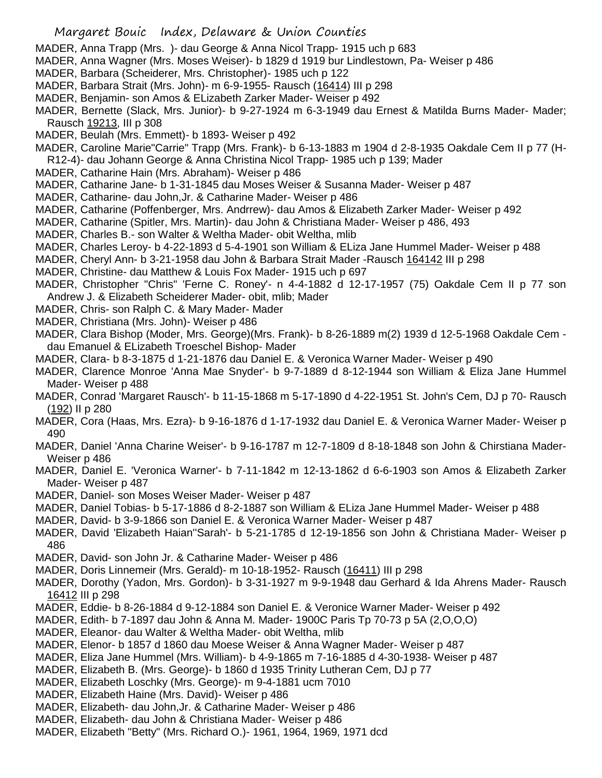- MADER, Anna Trapp (Mrs. )- dau George & Anna Nicol Trapp- 1915 uch p 683
- MADER, Anna Wagner (Mrs. Moses Weiser)- b 1829 d 1919 bur Lindlestown, Pa- Weiser p 486
- MADER, Barbara (Scheiderer, Mrs. Christopher)- 1985 uch p 122
- MADER, Barbara Strait (Mrs. John)- m 6-9-1955- Rausch (16414) III p 298
- MADER, Benjamin- son Amos & ELizabeth Zarker Mader- Weiser p 492
- MADER, Bernette (Slack, Mrs. Junior)- b 9-27-1924 m 6-3-1949 dau Ernest & Matilda Burns Mader- Mader; Rausch 19213, III p 308
- MADER, Beulah (Mrs. Emmett)- b 1893- Weiser p 492
- MADER, Caroline Marie"Carrie" Trapp (Mrs. Frank)- b 6-13-1883 m 1904 d 2-8-1935 Oakdale Cem II p 77 (H-R12-4)- dau Johann George & Anna Christina Nicol Trapp- 1985 uch p 139; Mader
- MADER, Catharine Hain (Mrs. Abraham)- Weiser p 486
- MADER, Catharine Jane- b 1-31-1845 dau Moses Weiser & Susanna Mader- Weiser p 487
- MADER, Catharine- dau John,Jr. & Catharine Mader- Weiser p 486
- MADER, Catharine (Poffenberger, Mrs. Andrrew)- dau Amos & Elizabeth Zarker Mader- Weiser p 492
- MADER, Catharine (Spitler, Mrs. Martin)- dau John & Christiana Mader- Weiser p 486, 493
- MADER, Charles B.- son Walter & Weltha Mader- obit Weltha, mlib
- MADER, Charles Leroy- b 4-22-1893 d 5-4-1901 son William & ELiza Jane Hummel Mader- Weiser p 488
- MADER, Cheryl Ann- b 3-21-1958 dau John & Barbara Strait Mader -Rausch 164142 III p 298
- MADER, Christine- dau Matthew & Louis Fox Mader- 1915 uch p 697
- MADER, Christopher "Chris" 'Ferne C. Roney'- n 4-4-1882 d 12-17-1957 (75) Oakdale Cem II p 77 son Andrew J. & Elizabeth Scheiderer Mader- obit, mlib; Mader
- MADER, Chris- son Ralph C. & Mary Mader- Mader
- MADER, Christiana (Mrs. John)- Weiser p 486
- MADER, Clara Bishop (Moder, Mrs. George)(Mrs. Frank)- b 8-26-1889 m(2) 1939 d 12-5-1968 Oakdale Cem dau Emanuel & ELizabeth Troeschel Bishop- Mader
- MADER, Clara- b 8-3-1875 d 1-21-1876 dau Daniel E. & Veronica Warner Mader- Weiser p 490
- MADER, Clarence Monroe 'Anna Mae Snyder'- b 9-7-1889 d 8-12-1944 son William & Eliza Jane Hummel Mader- Weiser p 488
- MADER, Conrad 'Margaret Rausch'- b 11-15-1868 m 5-17-1890 d 4-22-1951 St. John's Cem, DJ p 70- Rausch (192) II p 280
- MADER, Cora (Haas, Mrs. Ezra)- b 9-16-1876 d 1-17-1932 dau Daniel E. & Veronica Warner Mader- Weiser p 490
- MADER, Daniel 'Anna Charine Weiser'- b 9-16-1787 m 12-7-1809 d 8-18-1848 son John & Chirstiana Mader-Weiser p 486
- MADER, Daniel E. 'Veronica Warner'- b 7-11-1842 m 12-13-1862 d 6-6-1903 son Amos & Elizabeth Zarker Mader- Weiser p 487
- MADER, Daniel- son Moses Weiser Mader- Weiser p 487
- MADER, Daniel Tobias- b 5-17-1886 d 8-2-1887 son William & ELiza Jane Hummel Mader- Weiser p 488
- MADER, David- b 3-9-1866 son Daniel E. & Veronica Warner Mader- Weiser p 487
- MADER, David 'Elizabeth Haian''Sarah'- b 5-21-1785 d 12-19-1856 son John & Christiana Mader- Weiser p 486
- MADER, David- son John Jr. & Catharine Mader- Weiser p 486
- MADER, Doris Linnemeir (Mrs. Gerald)- m 10-18-1952- Rausch (16411) III p 298
- MADER, Dorothy (Yadon, Mrs. Gordon)- b 3-31-1927 m 9-9-1948 dau Gerhard & Ida Ahrens Mader- Rausch 16412 III p 298
- MADER, Eddie- b 8-26-1884 d 9-12-1884 son Daniel E. & Veronice Warner Mader- Weiser p 492
- MADER, Edith- b 7-1897 dau John & Anna M. Mader- 1900C Paris Tp 70-73 p 5A (2,O,O,O)
- MADER, Eleanor- dau Walter & Weltha Mader- obit Weltha, mlib
- MADER, Elenor- b 1857 d 1860 dau Moese Weiser & Anna Wagner Mader- Weiser p 487
- MADER, Eliza Jane Hummel (Mrs. William)- b 4-9-1865 m 7-16-1885 d 4-30-1938- Weiser p 487
- MADER, Elizabeth B. (Mrs. George)- b 1860 d 1935 Trinity Lutheran Cem, DJ p 77
- MADER, Elizabeth Loschky (Mrs. George)- m 9-4-1881 ucm 7010
- MADER, Elizabeth Haine (Mrs. David)- Weiser p 486
- MADER, Elizabeth- dau John,Jr. & Catharine Mader- Weiser p 486
- MADER, Elizabeth- dau John & Christiana Mader- Weiser p 486
- MADER, Elizabeth "Betty" (Mrs. Richard O.)- 1961, 1964, 1969, 1971 dcd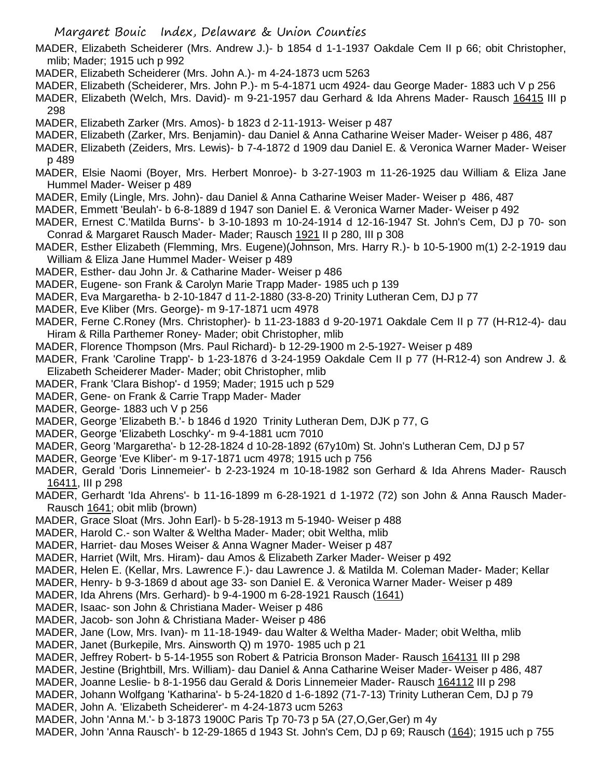MADER, Elizabeth Scheiderer (Mrs. Andrew J.)- b 1854 d 1-1-1937 Oakdale Cem II p 66; obit Christopher, mlib; Mader; 1915 uch p 992

- MADER, Elizabeth Scheiderer (Mrs. John A.)- m 4-24-1873 ucm 5263
- MADER, Elizabeth (Scheiderer, Mrs. John P.)- m 5-4-1871 ucm 4924- dau George Mader- 1883 uch V p 256
- MADER, Elizabeth (Welch, Mrs. David)- m 9-21-1957 dau Gerhard & Ida Ahrens Mader- Rausch 16415 III p 298
- MADER, Elizabeth Zarker (Mrs. Amos)- b 1823 d 2-11-1913- Weiser p 487
- MADER, Elizabeth (Zarker, Mrs. Benjamin)- dau Daniel & Anna Catharine Weiser Mader- Weiser p 486, 487
- MADER, Elizabeth (Zeiders, Mrs. Lewis)- b 7-4-1872 d 1909 dau Daniel E. & Veronica Warner Mader- Weiser p 489
- MADER, Elsie Naomi (Boyer, Mrs. Herbert Monroe)- b 3-27-1903 m 11-26-1925 dau William & Eliza Jane Hummel Mader- Weiser p 489
- MADER, Emily (Lingle, Mrs. John)- dau Daniel & Anna Catharine Weiser Mader- Weiser p 486, 487
- MADER, Emmett 'Beulah'- b 6-8-1889 d 1947 son Daniel E. & Veronica Warner Mader- Weiser p 492
- MADER, Ernest C.'Matilda Burns'- b 3-10-1893 m 10-24-1914 d 12-16-1947 St. John's Cem, DJ p 70- son Conrad & Margaret Rausch Mader- Mader; Rausch 1921 II p 280, III p 308
- MADER, Esther Elizabeth (Flemming, Mrs. Eugene)(Johnson, Mrs. Harry R.)- b 10-5-1900 m(1) 2-2-1919 dau William & Eliza Jane Hummel Mader- Weiser p 489
- MADER, Esther- dau John Jr. & Catharine Mader- Weiser p 486
- MADER, Eugene- son Frank & Carolyn Marie Trapp Mader- 1985 uch p 139
- MADER, Eva Margaretha- b 2-10-1847 d 11-2-1880 (33-8-20) Trinity Lutheran Cem, DJ p 77
- MADER, Eve Kliber (Mrs. George)- m 9-17-1871 ucm 4978
- MADER, Ferne C.Roney (Mrs. Christopher)- b 11-23-1883 d 9-20-1971 Oakdale Cem II p 77 (H-R12-4)- dau Hiram & Rilla Parthemer Roney- Mader; obit Christopher, mlib
- MADER, Florence Thompson (Mrs. Paul Richard)- b 12-29-1900 m 2-5-1927- Weiser p 489
- MADER, Frank 'Caroline Trapp'- b 1-23-1876 d 3-24-1959 Oakdale Cem II p 77 (H-R12-4) son Andrew J. & Elizabeth Scheiderer Mader- Mader; obit Christopher, mlib
- MADER, Frank 'Clara Bishop'- d 1959; Mader; 1915 uch p 529
- MADER, Gene- on Frank & Carrie Trapp Mader- Mader
- MADER, George- 1883 uch V p 256
- MADER, George 'Elizabeth B.'- b 1846 d 1920 Trinity Lutheran Dem, DJK p 77, G
- MADER, George 'Elizabeth Loschky'- m 9-4-1881 ucm 7010
- MADER, Georg 'Margaretha'- b 12-28-1824 d 10-28-1892 (67y10m) St. John's Lutheran Cem, DJ p 57
- MADER, George 'Eve Kliber'- m 9-17-1871 ucm 4978; 1915 uch p 756
- MADER, Gerald 'Doris Linnemeier'- b 2-23-1924 m 10-18-1982 son Gerhard & Ida Ahrens Mader- Rausch 16411, III p 298
- MADER, Gerhardt 'Ida Ahrens'- b 11-16-1899 m 6-28-1921 d 1-1972 (72) son John & Anna Rausch Mader-Rausch 1641; obit mlib (brown)
- MADER, Grace Sloat (Mrs. John Earl)- b 5-28-1913 m 5-1940- Weiser p 488
- MADER, Harold C.- son Walter & Weltha Mader- Mader; obit Weltha, mlib
- MADER, Harriet- dau Moses Weiser & Anna Wagner Mader- Weiser p 487
- MADER, Harriet (Wilt, Mrs. Hiram)- dau Amos & Elizabeth Zarker Mader- Weiser p 492
- MADER, Helen E. (Kellar, Mrs. Lawrence F.)- dau Lawrence J. & Matilda M. Coleman Mader- Mader; Kellar
- MADER, Henry- b 9-3-1869 d about age 33- son Daniel E. & Veronica Warner Mader- Weiser p 489
- MADER, Ida Ahrens (Mrs. Gerhard)- b 9-4-1900 m 6-28-1921 Rausch (1641)
- MADER, Isaac- son John & Christiana Mader- Weiser p 486
- MADER, Jacob- son John & Christiana Mader- Weiser p 486
- MADER, Jane (Low, Mrs. Ivan)- m 11-18-1949- dau Walter & Weltha Mader- Mader; obit Weltha, mlib
- MADER, Janet (Burkepile, Mrs. Ainsworth Q) m 1970- 1985 uch p 21
- MADER, Jeffrey Robert- b 5-14-1955 son Robert & Patricia Bronson Mader- Rausch 164131 III p 298
- MADER, Jestine (Brightbill, Mrs. William)- dau Daniel & Anna Catharine Weiser Mader- Weiser p 486, 487
- MADER, Joanne Leslie- b 8-1-1956 dau Gerald & Doris Linnemeier Mader- Rausch 164112 III p 298
- MADER, Johann Wolfgang 'Katharina'- b 5-24-1820 d 1-6-1892 (71-7-13) Trinity Lutheran Cem, DJ p 79
- MADER, John A. 'Elizabeth Scheiderer'- m 4-24-1873 ucm 5263
- MADER, John 'Anna M.'- b 3-1873 1900C Paris Tp 70-73 p 5A (27,O,Ger,Ger) m 4y
- MADER, John 'Anna Rausch'- b 12-29-1865 d 1943 St. John's Cem, DJ p 69; Rausch (164); 1915 uch p 755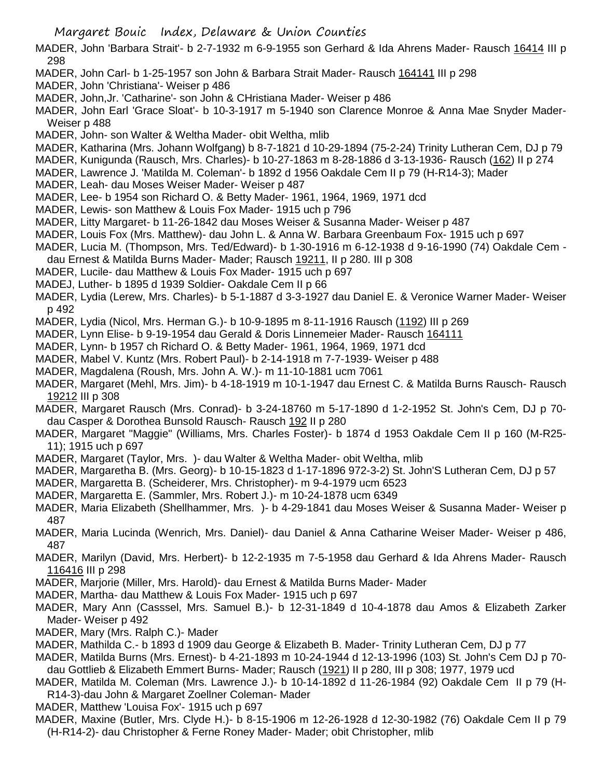- MADER, John 'Barbara Strait'- b 2-7-1932 m 6-9-1955 son Gerhard & Ida Ahrens Mader- Rausch 16414 III p 298
- MADER, John Carl- b 1-25-1957 son John & Barbara Strait Mader- Rausch 164141 III p 298
- MADER, John 'Christiana'- Weiser p 486
- MADER, John,Jr. 'Catharine'- son John & CHristiana Mader- Weiser p 486
- MADER, John Earl 'Grace Sloat'- b 10-3-1917 m 5-1940 son Clarence Monroe & Anna Mae Snyder Mader-Weiser p 488
- MADER, John- son Walter & Weltha Mader- obit Weltha, mlib
- MADER, Katharina (Mrs. Johann Wolfgang) b 8-7-1821 d 10-29-1894 (75-2-24) Trinity Lutheran Cem, DJ p 79
- MADER, Kunigunda (Rausch, Mrs. Charles)- b 10-27-1863 m 8-28-1886 d 3-13-1936- Rausch (162) II p 274
- MADER, Lawrence J. 'Matilda M. Coleman'- b 1892 d 1956 Oakdale Cem II p 79 (H-R14-3); Mader
- MADER, Leah- dau Moses Weiser Mader- Weiser p 487
- MADER, Lee- b 1954 son Richard O. & Betty Mader- 1961, 1964, 1969, 1971 dcd
- MADER, Lewis- son Matthew & Louis Fox Mader- 1915 uch p 796
- MADER, Litty Margaret- b 11-26-1842 dau Moses Weiser & Susanna Mader- Weiser p 487
- MADER, Louis Fox (Mrs. Matthew)- dau John L. & Anna W. Barbara Greenbaum Fox- 1915 uch p 697
- MADER, Lucia M. (Thompson, Mrs. Ted/Edward)- b 1-30-1916 m 6-12-1938 d 9-16-1990 (74) Oakdale Cem -
- dau Ernest & Matilda Burns Mader- Mader; Rausch 19211, II p 280. III p 308
- MADER, Lucile- dau Matthew & Louis Fox Mader- 1915 uch p 697
- MADEJ, Luther- b 1895 d 1939 Soldier- Oakdale Cem II p 66
- MADER, Lydia (Lerew, Mrs. Charles)- b 5-1-1887 d 3-3-1927 dau Daniel E. & Veronice Warner Mader- Weiser p 492
- MADER, Lydia (Nicol, Mrs. Herman G.)- b 10-9-1895 m 8-11-1916 Rausch (1192) III p 269
- MADER, Lynn Elise- b 9-19-1954 dau Gerald & Doris Linnemeier Mader- Rausch 164111
- MADER, Lynn- b 1957 ch Richard O. & Betty Mader- 1961, 1964, 1969, 1971 dcd
- MADER, Mabel V. Kuntz (Mrs. Robert Paul)- b 2-14-1918 m 7-7-1939- Weiser p 488
- MADER, Magdalena (Roush, Mrs. John A. W.)- m 11-10-1881 ucm 7061
- MADER, Margaret (Mehl, Mrs. Jim)- b 4-18-1919 m 10-1-1947 dau Ernest C. & Matilda Burns Rausch- Rausch 19212 III p 308
- MADER, Margaret Rausch (Mrs. Conrad)- b 3-24-18760 m 5-17-1890 d 1-2-1952 St. John's Cem, DJ p 70 dau Casper & Dorothea Bunsold Rausch- Rausch 192 II p 280
- MADER, Margaret "Maggie" (Williams, Mrs. Charles Foster)- b 1874 d 1953 Oakdale Cem II p 160 (M-R25- 11); 1915 uch p 697
- MADER, Margaret (Taylor, Mrs. )- dau Walter & Weltha Mader- obit Weltha, mlib
- MADER, Margaretha B. (Mrs. Georg)- b 10-15-1823 d 1-17-1896 972-3-2) St. John'S Lutheran Cem, DJ p 57
- MADER, Margaretta B. (Scheiderer, Mrs. Christopher)- m 9-4-1979 ucm 6523
- MADER, Margaretta E. (Sammler, Mrs. Robert J.)- m 10-24-1878 ucm 6349
- MADER, Maria Elizabeth (Shellhammer, Mrs. )- b 4-29-1841 dau Moses Weiser & Susanna Mader- Weiser p 487
- MADER, Maria Lucinda (Wenrich, Mrs. Daniel)- dau Daniel & Anna Catharine Weiser Mader- Weiser p 486, 487
- MADER, Marilyn (David, Mrs. Herbert)- b 12-2-1935 m 7-5-1958 dau Gerhard & Ida Ahrens Mader- Rausch 116416 III p 298
- MADER, Marjorie (Miller, Mrs. Harold)- dau Ernest & Matilda Burns Mader- Mader
- MADER, Martha- dau Matthew & Louis Fox Mader- 1915 uch p 697
- MADER, Mary Ann (Casssel, Mrs. Samuel B.)- b 12-31-1849 d 10-4-1878 dau Amos & Elizabeth Zarker Mader- Weiser p 492
- MADER, Mary (Mrs. Ralph C.)- Mader
- MADER, Mathilda C.- b 1893 d 1909 dau George & Elizabeth B. Mader- Trinity Lutheran Cem, DJ p 77
- MADER, Matilda Burns (Mrs. Ernest)- b 4-21-1893 m 10-24-1944 d 12-13-1996 (103) St. John's Cem DJ p 70 dau Gottlieb & Elizabeth Emmert Burns- Mader; Rausch (1921) II p 280, III p 308; 1977, 1979 ucd
- MADER, Matilda M. Coleman (Mrs. Lawrence J.)- b 10-14-1892 d 11-26-1984 (92) Oakdale Cem II p 79 (H-R14-3)-dau John & Margaret Zoellner Coleman- Mader
- MADER, Matthew 'Louisa Fox'- 1915 uch p 697
- MADER, Maxine (Butler, Mrs. Clyde H.)- b 8-15-1906 m 12-26-1928 d 12-30-1982 (76) Oakdale Cem II p 79 (H-R14-2)- dau Christopher & Ferne Roney Mader- Mader; obit Christopher, mlib

Margaret Bouic Index, Delaware & Union Counties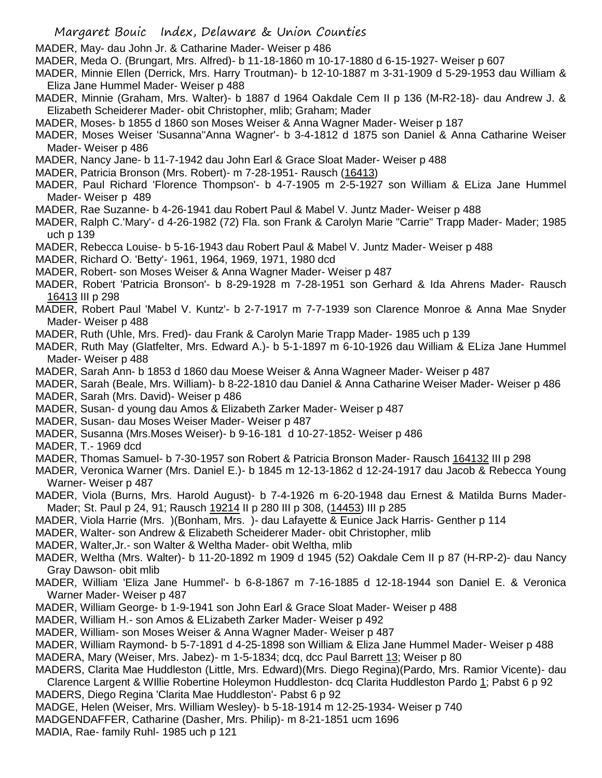- MADER, May- dau John Jr. & Catharine Mader- Weiser p 486
- MADER, Meda O. (Brungart, Mrs. Alfred)- b 11-18-1860 m 10-17-1880 d 6-15-1927- Weiser p 607
- MADER, Minnie Ellen (Derrick, Mrs. Harry Troutman)- b 12-10-1887 m 3-31-1909 d 5-29-1953 dau William & Eliza Jane Hummel Mader- Weiser p 488
- MADER, Minnie (Graham, Mrs. Walter)- b 1887 d 1964 Oakdale Cem II p 136 (M-R2-18)- dau Andrew J. & Elizabeth Scheiderer Mader- obit Christopher, mlib; Graham; Mader
- MADER, Moses- b 1855 d 1860 son Moses Weiser & Anna Wagner Mader- Weiser p 187
- MADER, Moses Weiser 'Susanna''Anna Wagner'- b 3-4-1812 d 1875 son Daniel & Anna Catharine Weiser Mader- Weiser p 486
- MADER, Nancy Jane- b 11-7-1942 dau John Earl & Grace Sloat Mader- Weiser p 488
- MADER, Patricia Bronson (Mrs. Robert)- m 7-28-1951- Rausch (16413)
- MADER, Paul Richard 'Florence Thompson'- b 4-7-1905 m 2-5-1927 son William & ELiza Jane Hummel Mader- Weiser p 489
- MADER, Rae Suzanne- b 4-26-1941 dau Robert Paul & Mabel V. Juntz Mader- Weiser p 488
- MADER, Ralph C.'Mary'- d 4-26-1982 (72) Fla. son Frank & Carolyn Marie "Carrie" Trapp Mader- Mader; 1985 uch p 139
- MADER, Rebecca Louise- b 5-16-1943 dau Robert Paul & Mabel V. Juntz Mader- Weiser p 488
- MADER, Richard O. 'Betty'- 1961, 1964, 1969, 1971, 1980 dcd
- MADER, Robert- son Moses Weiser & Anna Wagner Mader- Weiser p 487
- MADER, Robert 'Patricia Bronson'- b 8-29-1928 m 7-28-1951 son Gerhard & Ida Ahrens Mader- Rausch 16413 III p 298
- MADER, Robert Paul 'Mabel V. Kuntz'- b 2-7-1917 m 7-7-1939 son Clarence Monroe & Anna Mae Snyder Mader- Weiser p 488
- MADER, Ruth (Uhle, Mrs. Fred)- dau Frank & Carolyn Marie Trapp Mader- 1985 uch p 139
- MADER, Ruth May (Glatfelter, Mrs. Edward A.)- b 5-1-1897 m 6-10-1926 dau William & ELiza Jane Hummel Mader- Weiser p 488
- MADER, Sarah Ann- b 1853 d 1860 dau Moese Weiser & Anna Wagneer Mader- Weiser p 487
- MADER, Sarah (Beale, Mrs. William)- b 8-22-1810 dau Daniel & Anna Catharine Weiser Mader- Weiser p 486 MADER, Sarah (Mrs. David)- Weiser p 486
- MADER, Susan- d young dau Amos & Elizabeth Zarker Mader- Weiser p 487
- MADER, Susan- dau Moses Weiser Mader- Weiser p 487
- MADER, Susanna (Mrs.Moses Weiser)- b 9-16-181 d 10-27-1852- Weiser p 486
- MADER, T.- 1969 dcd
- MADER, Thomas Samuel- b 7-30-1957 son Robert & Patricia Bronson Mader- Rausch 164132 III p 298
- MADER, Veronica Warner (Mrs. Daniel E.)- b 1845 m 12-13-1862 d 12-24-1917 dau Jacob & Rebecca Young Warner- Weiser p 487
- MADER, Viola (Burns, Mrs. Harold August)- b 7-4-1926 m 6-20-1948 dau Ernest & Matilda Burns Mader-Mader; St. Paul p 24, 91; Rausch 19214 II p 280 III p 308, (14453) III p 285
- MADER, Viola Harrie (Mrs. )(Bonham, Mrs. )- dau Lafayette & Eunice Jack Harris- Genther p 114
- MADER, Walter- son Andrew & Elizabeth Scheiderer Mader- obit Christopher, mlib
- MADER, Walter,Jr.- son Walter & Weltha Mader- obit Weltha, mlib
- MADER, Weltha (Mrs. Walter)- b 11-20-1892 m 1909 d 1945 (52) Oakdale Cem II p 87 (H-RP-2)- dau Nancy Gray Dawson- obit mlib
- MADER, William 'Eliza Jane Hummel'- b 6-8-1867 m 7-16-1885 d 12-18-1944 son Daniel E. & Veronica Warner Mader- Weiser p 487
- MADER, William George- b 1-9-1941 son John Earl & Grace Sloat Mader- Weiser p 488
- MADER, William H.- son Amos & ELizabeth Zarker Mader- Weiser p 492
- MADER, William- son Moses Weiser & Anna Wagner Mader- Weiser p 487
- MADER, William Raymond- b 5-7-1891 d 4-25-1898 son William & Eliza Jane Hummel Mader- Weiser p 488 MADERA, Mary (Weiser, Mrs. Jabez)- m 1-5-1834; dcq, dcc Paul Barrett 13; Weiser p 80
- MADERS, Clarita Mae Huddleston (Little, Mrs. Edward)(Mrs. Diego Regina)(Pardo, Mrs. Ramior Vicente)- dau Clarence Largent & WIllie Robertine Holeymon Huddleston- dcq Clarita Huddleston Pardo 1; Pabst 6 p 92
- MADERS, Diego Regina 'Clarita Mae Huddleston'- Pabst 6 p 92
- MADGE, Helen (Weiser, Mrs. William Wesley)- b 5-18-1914 m 12-25-1934- Weiser p 740
- MADGENDAFFER, Catharine (Dasher, Mrs. Philip)- m 8-21-1851 ucm 1696
- MADIA, Rae- family Ruhl- 1985 uch p 121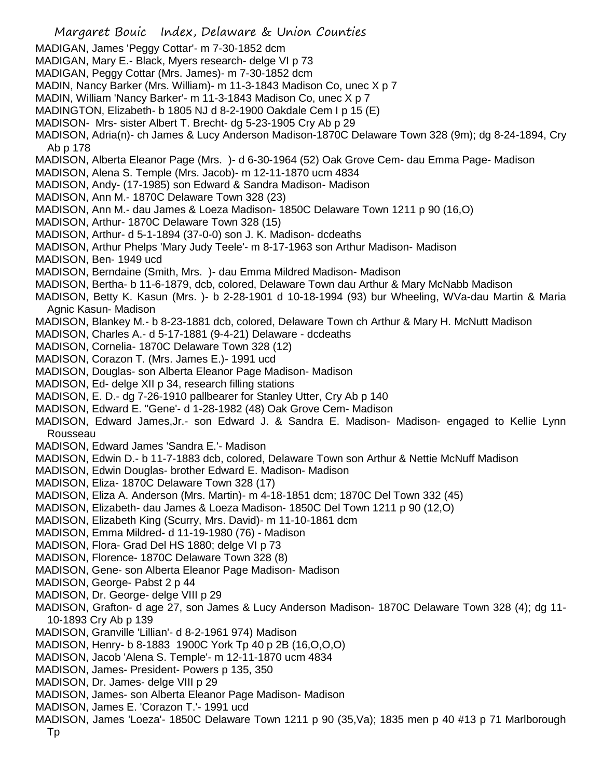- Margaret Bouic Index, Delaware & Union Counties MADIGAN, James 'Peggy Cottar'- m 7-30-1852 dcm MADIGAN, Mary E.- Black, Myers research- delge VI p 73 MADIGAN, Peggy Cottar (Mrs. James)- m 7-30-1852 dcm MADIN, Nancy Barker (Mrs. William)- m 11-3-1843 Madison Co, unec X p 7 MADIN, William 'Nancy Barker'- m 11-3-1843 Madison Co, unec X p 7 MADINGTON, Elizabeth- b 1805 NJ d 8-2-1900 Oakdale Cem I p 15 (E) MADISON- Mrs- sister Albert T. Brecht- dg 5-23-1905 Cry Ab p 29 MADISON, Adria(n)- ch James & Lucy Anderson Madison-1870C Delaware Town 328 (9m); dg 8-24-1894, Cry Ab p 178 MADISON, Alberta Eleanor Page (Mrs. )- d 6-30-1964 (52) Oak Grove Cem- dau Emma Page- Madison MADISON, Alena S. Temple (Mrs. Jacob)- m 12-11-1870 ucm 4834 MADISON, Andy- (17-1985) son Edward & Sandra Madison- Madison MADISON, Ann M.- 1870C Delaware Town 328 (23) MADISON, Ann M.- dau James & Loeza Madison- 1850C Delaware Town 1211 p 90 (16,O) MADISON, Arthur- 1870C Delaware Town 328 (15) MADISON, Arthur- d 5-1-1894 (37-0-0) son J. K. Madison- dcdeaths MADISON, Arthur Phelps 'Mary Judy Teele'- m 8-17-1963 son Arthur Madison- Madison MADISON, Ben- 1949 ucd MADISON, Berndaine (Smith, Mrs. )- dau Emma Mildred Madison- Madison MADISON, Bertha- b 11-6-1879, dcb, colored, Delaware Town dau Arthur & Mary McNabb Madison MADISON, Betty K. Kasun (Mrs. )- b 2-28-1901 d 10-18-1994 (93) bur Wheeling, WVa-dau Martin & Maria Agnic Kasun- Madison MADISON, Blankey M.- b 8-23-1881 dcb, colored, Delaware Town ch Arthur & Mary H. McNutt Madison MADISON, Charles A.- d 5-17-1881 (9-4-21) Delaware - dcdeaths MADISON, Cornelia- 1870C Delaware Town 328 (12) MADISON, Corazon T. (Mrs. James E.)- 1991 ucd MADISON, Douglas- son Alberta Eleanor Page Madison- Madison MADISON, Ed- delge XII p 34, research filling stations MADISON, E. D.- dg 7-26-1910 pallbearer for Stanley Utter, Cry Ab p 140 MADISON, Edward E. "Gene'- d 1-28-1982 (48) Oak Grove Cem- Madison MADISON, Edward James,Jr.- son Edward J. & Sandra E. Madison- Madison- engaged to Kellie Lynn Rousseau MADISON, Edward James 'Sandra E.'- Madison MADISON, Edwin D.- b 11-7-1883 dcb, colored, Delaware Town son Arthur & Nettie McNuff Madison MADISON, Edwin Douglas- brother Edward E. Madison- Madison MADISON, Eliza- 1870C Delaware Town 328 (17) MADISON, Eliza A. Anderson (Mrs. Martin)- m 4-18-1851 dcm; 1870C Del Town 332 (45) MADISON, Elizabeth- dau James & Loeza Madison- 1850C Del Town 1211 p 90 (12,O) MADISON, Elizabeth King (Scurry, Mrs. David)- m 11-10-1861 dcm MADISON, Emma Mildred- d 11-19-1980 (76) - Madison MADISON, Flora- Grad Del HS 1880; delge VI p 73 MADISON, Florence- 1870C Delaware Town 328 (8) MADISON, Gene- son Alberta Eleanor Page Madison- Madison MADISON, George- Pabst 2 p 44 MADISON, Dr. George- delge VIII p 29 MADISON, Grafton- d age 27, son James & Lucy Anderson Madison- 1870C Delaware Town 328 (4); dg 11- 10-1893 Cry Ab p 139 MADISON, Granville 'Lillian'- d 8-2-1961 974) Madison MADISON, Henry- b 8-1883 1900C York Tp 40 p 2B (16,O,O,O) MADISON, Jacob 'Alena S. Temple'- m 12-11-1870 ucm 4834
- MADISON, James- President- Powers p 135, 350
- MADISON, Dr. James- delge VIII p 29
- MADISON, James- son Alberta Eleanor Page Madison- Madison
- MADISON, James E. 'Corazon T.'- 1991 ucd
- MADISON, James 'Loeza'- 1850C Delaware Town 1211 p 90 (35,Va); 1835 men p 40 #13 p 71 Marlborough Tp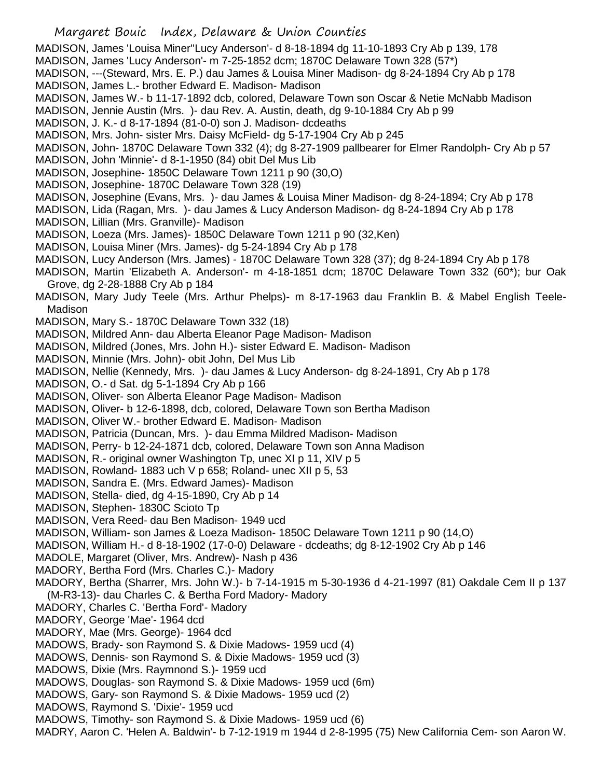MADISON, James 'Louisa Miner''Lucy Anderson'- d 8-18-1894 dg 11-10-1893 Cry Ab p 139, 178

- MADISON, James 'Lucy Anderson'- m 7-25-1852 dcm; 1870C Delaware Town 328 (57\*)
- MADISON, ---(Steward, Mrs. E. P.) dau James & Louisa Miner Madison- dg 8-24-1894 Cry Ab p 178 MADISON, James L.- brother Edward E. Madison- Madison
- MADISON, James W.- b 11-17-1892 dcb, colored, Delaware Town son Oscar & Netie McNabb Madison
- MADISON, Jennie Austin (Mrs. )- dau Rev. A. Austin, death, dg 9-10-1884 Cry Ab p 99
- MADISON, J. K.- d 8-17-1894 (81-0-0) son J. Madison- dcdeaths
- MADISON, Mrs. John- sister Mrs. Daisy McField- dg 5-17-1904 Cry Ab p 245
- MADISON, John- 1870C Delaware Town 332 (4); dg 8-27-1909 pallbearer for Elmer Randolph- Cry Ab p 57
- MADISON, John 'Minnie'- d 8-1-1950 (84) obit Del Mus Lib
- MADISON, Josephine- 1850C Delaware Town 1211 p 90 (30,O)
- MADISON, Josephine- 1870C Delaware Town 328 (19)
- MADISON, Josephine (Evans, Mrs. )- dau James & Louisa Miner Madison- dg 8-24-1894; Cry Ab p 178
- MADISON, Lida (Ragan, Mrs. )- dau James & Lucy Anderson Madison- dg 8-24-1894 Cry Ab p 178
- MADISON, Lillian (Mrs. Granville)- Madison
- MADISON, Loeza (Mrs. James)- 1850C Delaware Town 1211 p 90 (32,Ken)
- MADISON, Louisa Miner (Mrs. James)- dg 5-24-1894 Cry Ab p 178
- MADISON, Lucy Anderson (Mrs. James) 1870C Delaware Town 328 (37); dg 8-24-1894 Cry Ab p 178
- MADISON, Martin 'Elizabeth A. Anderson'- m 4-18-1851 dcm; 1870C Delaware Town 332 (60\*); bur Oak Grove, dg 2-28-1888 Cry Ab p 184
- MADISON, Mary Judy Teele (Mrs. Arthur Phelps)- m 8-17-1963 dau Franklin B. & Mabel English Teele-Madison
- MADISON, Mary S.- 1870C Delaware Town 332 (18)
- MADISON, Mildred Ann- dau Alberta Eleanor Page Madison- Madison
- MADISON, Mildred (Jones, Mrs. John H.)- sister Edward E. Madison- Madison
- MADISON, Minnie (Mrs. John)- obit John, Del Mus Lib
- MADISON, Nellie (Kennedy, Mrs. )- dau James & Lucy Anderson- dg 8-24-1891, Cry Ab p 178
- MADISON, O.- d Sat. dg 5-1-1894 Cry Ab p 166
- MADISON, Oliver- son Alberta Eleanor Page Madison- Madison
- MADISON, Oliver- b 12-6-1898, dcb, colored, Delaware Town son Bertha Madison
- MADISON, Oliver W.- brother Edward E. Madison- Madison
- MADISON, Patricia (Duncan, Mrs. )- dau Emma Mildred Madison- Madison
- MADISON, Perry- b 12-24-1871 dcb, colored, Delaware Town son Anna Madison
- MADISON, R.- original owner Washington Tp, unec XI p 11, XIV p 5
- MADISON, Rowland- 1883 uch V p 658; Roland- unec XII p 5, 53
- MADISON, Sandra E. (Mrs. Edward James)- Madison
- MADISON, Stella- died, dg 4-15-1890, Cry Ab p 14
- MADISON, Stephen- 1830C Scioto Tp
- MADISON, Vera Reed- dau Ben Madison- 1949 ucd
- MADISON, William- son James & Loeza Madison- 1850C Delaware Town 1211 p 90 (14,O)
- MADISON, William H.- d 8-18-1902 (17-0-0) Delaware dcdeaths; dg 8-12-1902 Cry Ab p 146
- MADOLE, Margaret (Oliver, Mrs. Andrew)- Nash p 436
- MADORY, Bertha Ford (Mrs. Charles C.)- Madory
- MADORY, Bertha (Sharrer, Mrs. John W.)- b 7-14-1915 m 5-30-1936 d 4-21-1997 (81) Oakdale Cem II p 137
- (M-R3-13)- dau Charles C. & Bertha Ford Madory- Madory
- MADORY, Charles C. 'Bertha Ford'- Madory
- MADORY, George 'Mae'- 1964 dcd
- MADORY, Mae (Mrs. George)- 1964 dcd
- MADOWS, Brady- son Raymond S. & Dixie Madows- 1959 ucd (4)
- MADOWS, Dennis- son Raymond S. & Dixie Madows- 1959 ucd (3)
- MADOWS, Dixie (Mrs. Raymnond S.)- 1959 ucd
- MADOWS, Douglas- son Raymond S. & Dixie Madows- 1959 ucd (6m)
- MADOWS, Gary- son Raymond S. & Dixie Madows- 1959 ucd (2)
- MADOWS, Raymond S. 'Dixie'- 1959 ucd
- MADOWS, Timothy- son Raymond S. & Dixie Madows- 1959 ucd (6)
- MADRY, Aaron C. 'Helen A. Baldwin'- b 7-12-1919 m 1944 d 2-8-1995 (75) New California Cem- son Aaron W.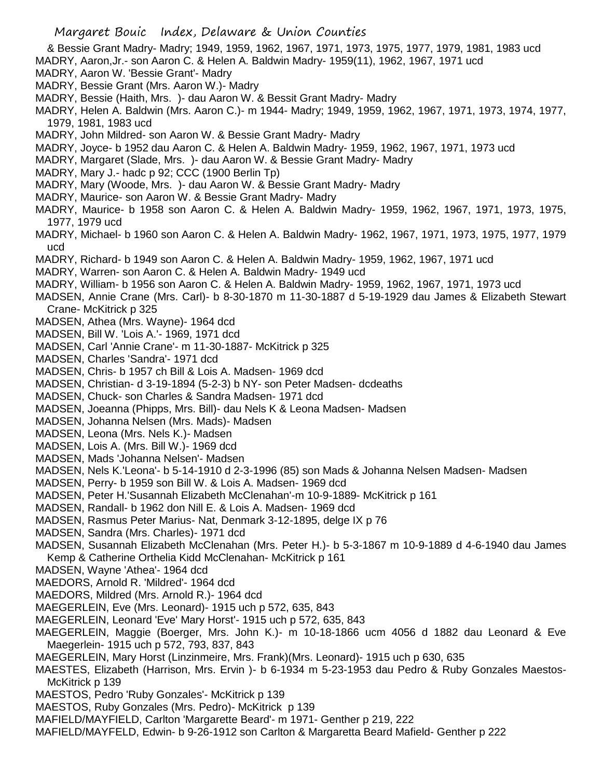- & Bessie Grant Madry- Madry; 1949, 1959, 1962, 1967, 1971, 1973, 1975, 1977, 1979, 1981, 1983 ucd
- MADRY, Aaron,Jr.- son Aaron C. & Helen A. Baldwin Madry- 1959(11), 1962, 1967, 1971 ucd
- MADRY, Aaron W. 'Bessie Grant'- Madry
- MADRY, Bessie Grant (Mrs. Aaron W.)- Madry
- MADRY, Bessie (Haith, Mrs. )- dau Aaron W. & Bessit Grant Madry- Madry
- MADRY, Helen A. Baldwin (Mrs. Aaron C.)- m 1944- Madry; 1949, 1959, 1962, 1967, 1971, 1973, 1974, 1977, 1979, 1981, 1983 ucd
- MADRY, John Mildred- son Aaron W. & Bessie Grant Madry- Madry
- MADRY, Joyce- b 1952 dau Aaron C. & Helen A. Baldwin Madry- 1959, 1962, 1967, 1971, 1973 ucd
- MADRY, Margaret (Slade, Mrs. )- dau Aaron W. & Bessie Grant Madry- Madry
- MADRY, Mary J.- hadc p 92; CCC (1900 Berlin Tp)
- MADRY, Mary (Woode, Mrs. )- dau Aaron W. & Bessie Grant Madry- Madry
- MADRY, Maurice- son Aaron W. & Bessie Grant Madry- Madry
- MADRY, Maurice- b 1958 son Aaron C. & Helen A. Baldwin Madry- 1959, 1962, 1967, 1971, 1973, 1975, 1977, 1979 ucd
- MADRY, Michael- b 1960 son Aaron C. & Helen A. Baldwin Madry- 1962, 1967, 1971, 1973, 1975, 1977, 1979 ucd
- MADRY, Richard- b 1949 son Aaron C. & Helen A. Baldwin Madry- 1959, 1962, 1967, 1971 ucd
- MADRY, Warren- son Aaron C. & Helen A. Baldwin Madry- 1949 ucd
- MADRY, William- b 1956 son Aaron C. & Helen A. Baldwin Madry- 1959, 1962, 1967, 1971, 1973 ucd
- MADSEN, Annie Crane (Mrs. Carl)- b 8-30-1870 m 11-30-1887 d 5-19-1929 dau James & Elizabeth Stewart Crane- McKitrick p 325
- MADSEN, Athea (Mrs. Wayne)- 1964 dcd
- MADSEN, Bill W. 'Lois A.'- 1969, 1971 dcd
- MADSEN, Carl 'Annie Crane'- m 11-30-1887- McKitrick p 325
- MADSEN, Charles 'Sandra'- 1971 dcd
- MADSEN, Chris- b 1957 ch Bill & Lois A. Madsen- 1969 dcd
- MADSEN, Christian- d 3-19-1894 (5-2-3) b NY- son Peter Madsen- dcdeaths
- MADSEN, Chuck- son Charles & Sandra Madsen- 1971 dcd
- MADSEN, Joeanna (Phipps, Mrs. Bill)- dau Nels K & Leona Madsen- Madsen
- MADSEN, Johanna Nelsen (Mrs. Mads)- Madsen
- MADSEN, Leona (Mrs. Nels K.)- Madsen
- MADSEN, Lois A. (Mrs. Bill W.)- 1969 dcd
- MADSEN, Mads 'Johanna Nelsen'- Madsen
- MADSEN, Nels K.'Leona'- b 5-14-1910 d 2-3-1996 (85) son Mads & Johanna Nelsen Madsen- Madsen
- MADSEN, Perry- b 1959 son Bill W. & Lois A. Madsen- 1969 dcd
- MADSEN, Peter H.'Susannah Elizabeth McClenahan'-m 10-9-1889- McKitrick p 161
- MADSEN, Randall- b 1962 don Nill E. & Lois A. Madsen- 1969 dcd
- MADSEN, Rasmus Peter Marius- Nat, Denmark 3-12-1895, delge IX p 76
- MADSEN, Sandra (Mrs. Charles)- 1971 dcd
- MADSEN, Susannah Elizabeth McClenahan (Mrs. Peter H.)- b 5-3-1867 m 10-9-1889 d 4-6-1940 dau James Kemp & Catherine Orthelia Kidd McClenahan- McKitrick p 161
- MADSEN, Wayne 'Athea'- 1964 dcd
- MAEDORS, Arnold R. 'Mildred'- 1964 dcd
- MAEDORS, Mildred (Mrs. Arnold R.)- 1964 dcd
- MAEGERLEIN, Eve (Mrs. Leonard)- 1915 uch p 572, 635, 843
- MAEGERLEIN, Leonard 'Eve' Mary Horst'- 1915 uch p 572, 635, 843
- MAEGERLEIN, Maggie (Boerger, Mrs. John K.)- m 10-18-1866 ucm 4056 d 1882 dau Leonard & Eve Maegerlein- 1915 uch p 572, 793, 837, 843
- MAEGERLEIN, Mary Horst (Linzinmeire, Mrs. Frank)(Mrs. Leonard)- 1915 uch p 630, 635
- MAESTES, Elizabeth (Harrison, Mrs. Ervin )- b 6-1934 m 5-23-1953 dau Pedro & Ruby Gonzales Maestos-McKitrick p 139
- MAESTOS, Pedro 'Ruby Gonzales'- McKitrick p 139
- MAESTOS, Ruby Gonzales (Mrs. Pedro)- McKitrick p 139
- MAFIELD/MAYFIELD, Carlton 'Margarette Beard'- m 1971- Genther p 219, 222
- MAFIELD/MAYFELD, Edwin- b 9-26-1912 son Carlton & Margaretta Beard Mafield- Genther p 222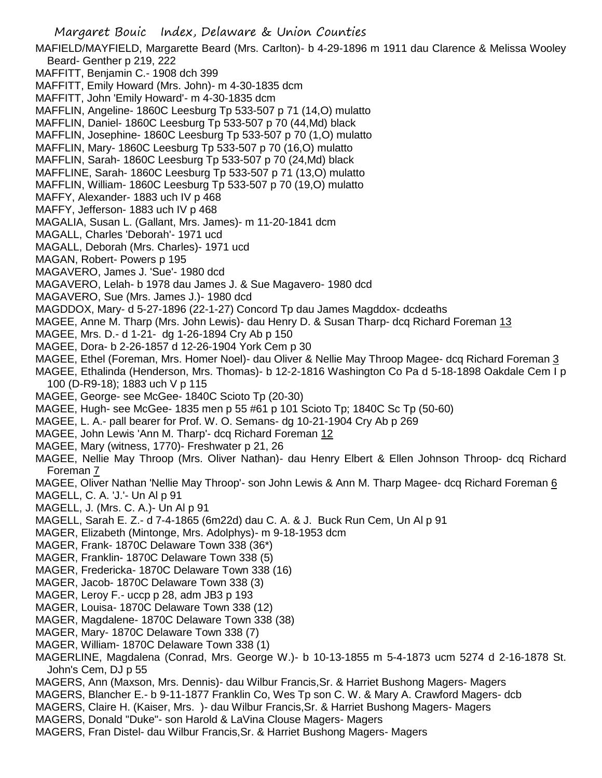Margaret Bouic Index, Delaware & Union Counties MAFIELD/MAYFIELD, Margarette Beard (Mrs. Carlton)- b 4-29-1896 m 1911 dau Clarence & Melissa Wooley Beard- Genther p 219, 222 MAFFITT, Benjamin C.- 1908 dch 399 MAFFITT, Emily Howard (Mrs. John)- m 4-30-1835 dcm MAFFITT, John 'Emily Howard'- m 4-30-1835 dcm MAFFLIN, Angeline- 1860C Leesburg Tp 533-507 p 71 (14,O) mulatto MAFFLIN, Daniel- 1860C Leesburg Tp 533-507 p 70 (44,Md) black MAFFLIN, Josephine- 1860C Leesburg Tp 533-507 p 70 (1,O) mulatto MAFFLIN, Mary- 1860C Leesburg Tp 533-507 p 70 (16,O) mulatto MAFFLIN, Sarah- 1860C Leesburg Tp 533-507 p 70 (24,Md) black MAFFLINE, Sarah- 1860C Leesburg Tp 533-507 p 71 (13,O) mulatto MAFFLIN, William- 1860C Leesburg Tp 533-507 p 70 (19,O) mulatto MAFFY, Alexander- 1883 uch IV p 468 MAFFY, Jefferson- 1883 uch IV p 468 MAGALIA, Susan L. (Gallant, Mrs. James)- m 11-20-1841 dcm MAGALL, Charles 'Deborah'- 1971 ucd MAGALL, Deborah (Mrs. Charles)- 1971 ucd MAGAN, Robert- Powers p 195 MAGAVERO, James J. 'Sue'- 1980 dcd MAGAVERO, Lelah- b 1978 dau James J. & Sue Magavero- 1980 dcd MAGAVERO, Sue (Mrs. James J.)- 1980 dcd MAGDDOX, Mary- d 5-27-1896 (22-1-27) Concord Tp dau James Magddox- dcdeaths MAGEE, Anne M. Tharp (Mrs. John Lewis)- dau Henry D. & Susan Tharp- dcq Richard Foreman 13 MAGEE, Mrs. D.- d 1-21- dg 1-26-1894 Cry Ab p 150 MAGEE, Dora- b 2-26-1857 d 12-26-1904 York Cem p 30 MAGEE, Ethel (Foreman, Mrs. Homer Noel)- dau Oliver & Nellie May Throop Magee- dcq Richard Foreman 3 MAGEE, Ethalinda (Henderson, Mrs. Thomas)- b 12-2-1816 Washington Co Pa d 5-18-1898 Oakdale Cem I p 100 (D-R9-18); 1883 uch V p 115 MAGEE, George- see McGee- 1840C Scioto Tp (20-30) MAGEE, Hugh- see McGee- 1835 men p 55 #61 p 101 Scioto Tp; 1840C Sc Tp (50-60) MAGEE, L. A.- pall bearer for Prof. W. O. Semans- dg 10-21-1904 Cry Ab p 269 MAGEE, John Lewis 'Ann M. Tharp'- dcq Richard Foreman 12 MAGEE, Mary (witness, 1770)- Freshwater p 21, 26 MAGEE, Nellie May Throop (Mrs. Oliver Nathan)- dau Henry Elbert & Ellen Johnson Throop- dcq Richard Foreman 7 MAGEE, Oliver Nathan 'Nellie May Throop'- son John Lewis & Ann M. Tharp Magee- dcq Richard Foreman 6 MAGELL, C. A. 'J.'- Un Al p 91 MAGELL, J. (Mrs. C. A.)- Un Al p 91 MAGELL, Sarah E. Z.- d 7-4-1865 (6m22d) dau C. A. & J. Buck Run Cem, Un Al p 91 MAGER, Elizabeth (Mintonge, Mrs. Adolphys)- m 9-18-1953 dcm MAGER, Frank- 1870C Delaware Town 338 (36\*) MAGER, Franklin- 1870C Delaware Town 338 (5) MAGER, Fredericka- 1870C Delaware Town 338 (16) MAGER, Jacob- 1870C Delaware Town 338 (3) MAGER, Leroy F.- uccp p 28, adm JB3 p 193 MAGER, Louisa- 1870C Delaware Town 338 (12) MAGER, Magdalene- 1870C Delaware Town 338 (38) MAGER, Mary- 1870C Delaware Town 338 (7) MAGER, William- 1870C Delaware Town 338 (1) MAGERLINE, Magdalena (Conrad, Mrs. George W.)- b 10-13-1855 m 5-4-1873 ucm 5274 d 2-16-1878 St. John's Cem, DJ p 55 MAGERS, Ann (Maxson, Mrs. Dennis)- dau Wilbur Francis,Sr. & Harriet Bushong Magers- Magers MAGERS, Blancher E.- b 9-11-1877 Franklin Co, Wes Tp son C. W. & Mary A. Crawford Magers- dcb MAGERS, Claire H. (Kaiser, Mrs. )- dau Wilbur Francis,Sr. & Harriet Bushong Magers- Magers

- MAGERS, Donald "Duke"- son Harold & LaVina Clouse Magers- Magers
- MAGERS, Fran Distel- dau Wilbur Francis,Sr. & Harriet Bushong Magers- Magers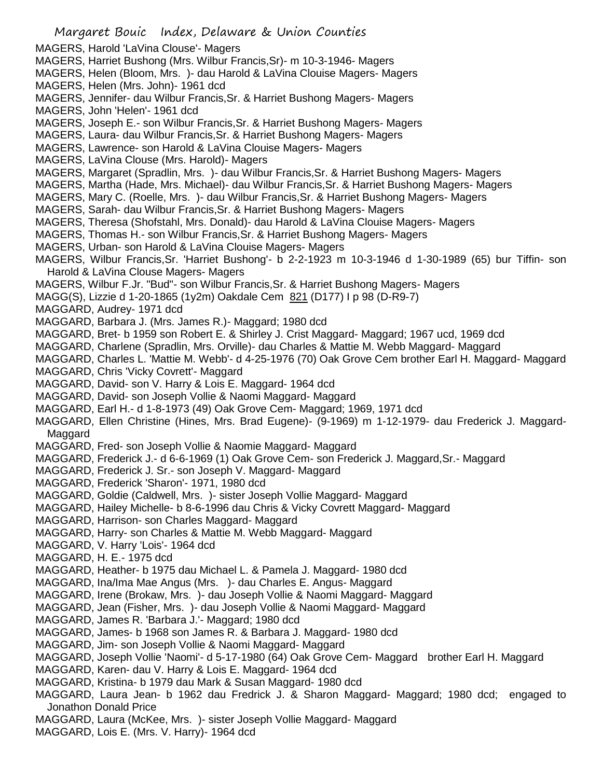MAGERS, Harold 'LaVina Clouse'- Magers

- MAGERS, Harriet Bushong (Mrs. Wilbur Francis,Sr)- m 10-3-1946- Magers
- MAGERS, Helen (Bloom, Mrs. )- dau Harold & LaVina Clouise Magers- Magers
- MAGERS, Helen (Mrs. John)- 1961 dcd
- MAGERS, Jennifer- dau Wilbur Francis,Sr. & Harriet Bushong Magers- Magers
- MAGERS, John 'Helen'- 1961 dcd
- MAGERS, Joseph E.- son Wilbur Francis,Sr. & Harriet Bushong Magers- Magers
- MAGERS, Laura- dau Wilbur Francis,Sr. & Harriet Bushong Magers- Magers
- MAGERS, Lawrence- son Harold & LaVina Clouise Magers- Magers
- MAGERS, LaVina Clouse (Mrs. Harold)- Magers
- MAGERS, Margaret (Spradlin, Mrs. )- dau Wilbur Francis,Sr. & Harriet Bushong Magers- Magers
- MAGERS, Martha (Hade, Mrs. Michael)- dau Wilbur Francis,Sr. & Harriet Bushong Magers- Magers
- MAGERS, Mary C. (Roelle, Mrs. )- dau Wilbur Francis,Sr. & Harriet Bushong Magers- Magers
- MAGERS, Sarah- dau Wilbur Francis,Sr. & Harriet Bushong Magers- Magers
- MAGERS, Theresa (Shofstahl, Mrs. Donald)- dau Harold & LaVina Clouise Magers- Magers
- MAGERS, Thomas H.- son Wilbur Francis,Sr. & Harriet Bushong Magers- Magers
- MAGERS, Urban- son Harold & LaVina Clouise Magers- Magers
- MAGERS, Wilbur Francis,Sr. 'Harriet Bushong'- b 2-2-1923 m 10-3-1946 d 1-30-1989 (65) bur Tiffin- son Harold & LaVina Clouse Magers- Magers
- MAGERS, Wilbur F.Jr. "Bud"- son Wilbur Francis,Sr. & Harriet Bushong Magers- Magers
- MAGG(S), Lizzie d 1-20-1865 (1y2m) Oakdale Cem 821 (D177) I p 98 (D-R9-7)
- MAGGARD, Audrey- 1971 dcd
- MAGGARD, Barbara J. (Mrs. James R.)- Maggard; 1980 dcd
- MAGGARD, Bret- b 1959 son Robert E. & Shirley J. Crist Maggard- Maggard; 1967 ucd, 1969 dcd
- MAGGARD, Charlene (Spradlin, Mrs. Orville)- dau Charles & Mattie M. Webb Maggard- Maggard
- MAGGARD, Charles L. 'Mattie M. Webb'- d 4-25-1976 (70) Oak Grove Cem brother Earl H. Maggard- Maggard
- MAGGARD, Chris 'Vicky Covrett'- Maggard
- MAGGARD, David- son V. Harry & Lois E. Maggard- 1964 dcd
- MAGGARD, David- son Joseph Vollie & Naomi Maggard- Maggard
- MAGGARD, Earl H.- d 1-8-1973 (49) Oak Grove Cem- Maggard; 1969, 1971 dcd
- MAGGARD, Ellen Christine (Hines, Mrs. Brad Eugene)- (9-1969) m 1-12-1979- dau Frederick J. Maggard-Maggard
- MAGGARD, Fred- son Joseph Vollie & Naomie Maggard- Maggard
- MAGGARD, Frederick J.- d 6-6-1969 (1) Oak Grove Cem- son Frederick J. Maggard,Sr.- Maggard
- MAGGARD, Frederick J. Sr.- son Joseph V. Maggard- Maggard
- MAGGARD, Frederick 'Sharon'- 1971, 1980 dcd
- MAGGARD, Goldie (Caldwell, Mrs. )- sister Joseph Vollie Maggard- Maggard
- MAGGARD, Hailey Michelle- b 8-6-1996 dau Chris & Vicky Covrett Maggard- Maggard
- MAGGARD, Harrison- son Charles Maggard- Maggard
- MAGGARD, Harry- son Charles & Mattie M. Webb Maggard- Maggard
- MAGGARD, V. Harry 'Lois'- 1964 dcd
- MAGGARD, H. E.- 1975 dcd
- MAGGARD, Heather- b 1975 dau Michael L. & Pamela J. Maggard- 1980 dcd
- MAGGARD, Ina/Ima Mae Angus (Mrs. )- dau Charles E. Angus- Maggard
- MAGGARD, Irene (Brokaw, Mrs. )- dau Joseph Vollie & Naomi Maggard- Maggard
- MAGGARD, Jean (Fisher, Mrs. )- dau Joseph Vollie & Naomi Maggard- Maggard
- MAGGARD, James R. 'Barbara J.'- Maggard; 1980 dcd
- MAGGARD, James- b 1968 son James R. & Barbara J. Maggard- 1980 dcd
- MAGGARD, Jim- son Joseph Vollie & Naomi Maggard- Maggard
- MAGGARD, Joseph Vollie 'Naomi'- d 5-17-1980 (64) Oak Grove Cem- Maggard brother Earl H. Maggard
- MAGGARD, Karen- dau V. Harry & Lois E. Maggard- 1964 dcd
- MAGGARD, Kristina- b 1979 dau Mark & Susan Maggard- 1980 dcd
- MAGGARD, Laura Jean- b 1962 dau Fredrick J. & Sharon Maggard- Maggard; 1980 dcd; engaged to Jonathon Donald Price
- MAGGARD, Laura (McKee, Mrs. )- sister Joseph Vollie Maggard- Maggard
- MAGGARD, Lois E. (Mrs. V. Harry)- 1964 dcd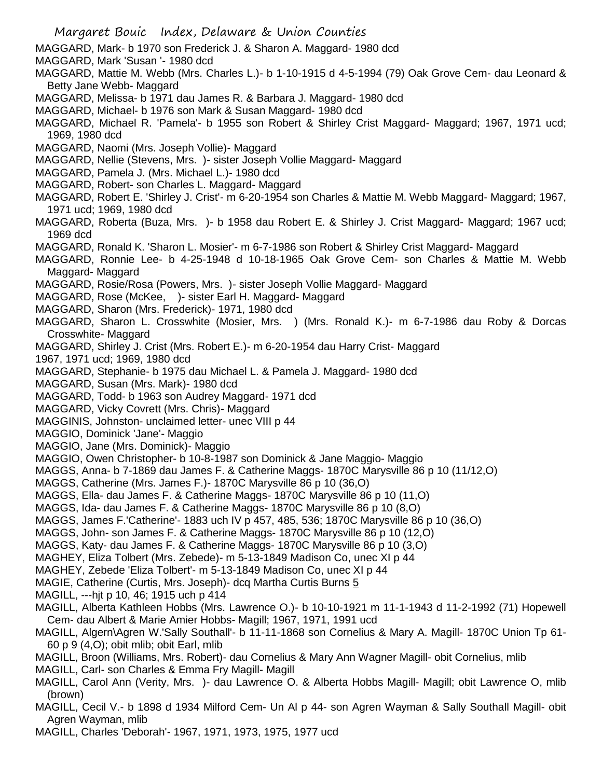- MAGGARD, Mark- b 1970 son Frederick J. & Sharon A. Maggard- 1980 dcd
- MAGGARD, Mark 'Susan '- 1980 dcd
- MAGGARD, Mattie M. Webb (Mrs. Charles L.)- b 1-10-1915 d 4-5-1994 (79) Oak Grove Cem- dau Leonard & Betty Jane Webb- Maggard
- MAGGARD, Melissa- b 1971 dau James R. & Barbara J. Maggard- 1980 dcd
- MAGGARD, Michael- b 1976 son Mark & Susan Maggard- 1980 dcd
- MAGGARD, Michael R. 'Pamela'- b 1955 son Robert & Shirley Crist Maggard- Maggard; 1967, 1971 ucd; 1969, 1980 dcd
- MAGGARD, Naomi (Mrs. Joseph Vollie)- Maggard
- MAGGARD, Nellie (Stevens, Mrs. )- sister Joseph Vollie Maggard- Maggard
- MAGGARD, Pamela J. (Mrs. Michael L.)- 1980 dcd
- MAGGARD, Robert- son Charles L. Maggard- Maggard
- MAGGARD, Robert E. 'Shirley J. Crist'- m 6-20-1954 son Charles & Mattie M. Webb Maggard- Maggard; 1967, 1971 ucd; 1969, 1980 dcd
- MAGGARD, Roberta (Buza, Mrs. )- b 1958 dau Robert E. & Shirley J. Crist Maggard- Maggard; 1967 ucd; 1969 dcd
- MAGGARD, Ronald K. 'Sharon L. Mosier'- m 6-7-1986 son Robert & Shirley Crist Maggard- Maggard
- MAGGARD, Ronnie Lee- b 4-25-1948 d 10-18-1965 Oak Grove Cem- son Charles & Mattie M. Webb Maggard- Maggard
- MAGGARD, Rosie/Rosa (Powers, Mrs. )- sister Joseph Vollie Maggard- Maggard
- MAGGARD, Rose (McKee, )- sister Earl H. Maggard- Maggard
- MAGGARD, Sharon (Mrs. Frederick)- 1971, 1980 dcd
- MAGGARD, Sharon L. Crosswhite (Mosier, Mrs. ) (Mrs. Ronald K.)- m 6-7-1986 dau Roby & Dorcas Crosswhite- Maggard
- MAGGARD, Shirley J. Crist (Mrs. Robert E.)- m 6-20-1954 dau Harry Crist- Maggard
- 1967, 1971 ucd; 1969, 1980 dcd
- MAGGARD, Stephanie- b 1975 dau Michael L. & Pamela J. Maggard- 1980 dcd
- MAGGARD, Susan (Mrs. Mark)- 1980 dcd
- MAGGARD, Todd- b 1963 son Audrey Maggard- 1971 dcd
- MAGGARD, Vicky Covrett (Mrs. Chris)- Maggard
- MAGGINIS, Johnston- unclaimed letter- unec VIII p 44
- MAGGIO, Dominick 'Jane'- Maggio
- MAGGIO, Jane (Mrs. Dominick)- Maggio
- MAGGIO, Owen Christopher- b 10-8-1987 son Dominick & Jane Maggio- Maggio
- MAGGS, Anna- b 7-1869 dau James F. & Catherine Maggs- 1870C Marysville 86 p 10 (11/12,O)
- MAGGS, Catherine (Mrs. James F.)- 1870C Marysville 86 p 10 (36,O)
- MAGGS, Ella- dau James F. & Catherine Maggs- 1870C Marysville 86 p 10 (11,O)
- MAGGS, Ida- dau James F. & Catherine Maggs- 1870C Marysville 86 p 10 (8,O)
- MAGGS, James F.'Catherine'- 1883 uch IV p 457, 485, 536; 1870C Marysville 86 p 10 (36,O)
- MAGGS, John- son James F. & Catherine Maggs- 1870C Marysville 86 p 10 (12,O)
- MAGGS, Katy- dau James F. & Catherine Maggs- 1870C Marysville 86 p 10 (3,O)
- MAGHEY, Eliza Tolbert (Mrs. Zebede)- m 5-13-1849 Madison Co, unec XI p 44
- MAGHEY, Zebede 'Eliza Tolbert'- m 5-13-1849 Madison Co, unec XI p 44
- MAGIE, Catherine (Curtis, Mrs. Joseph)- dcq Martha Curtis Burns 5
- MAGILL, ---hjt p 10, 46; 1915 uch p 414
- MAGILL, Alberta Kathleen Hobbs (Mrs. Lawrence O.)- b 10-10-1921 m 11-1-1943 d 11-2-1992 (71) Hopewell Cem- dau Albert & Marie Amier Hobbs- Magill; 1967, 1971, 1991 ucd
- MAGILL, Algern\Agren W.'Sally Southall'- b 11-11-1868 son Cornelius & Mary A. Magill- 1870C Union Tp 61- 60 p 9 (4,O); obit mlib; obit Earl, mlib
- MAGILL, Broon (Williams, Mrs. Robert)- dau Cornelius & Mary Ann Wagner Magill- obit Cornelius, mlib
- MAGILL, Carl- son Charles & Emma Fry Magill- Magill
- MAGILL, Carol Ann (Verity, Mrs. )- dau Lawrence O. & Alberta Hobbs Magill- Magill; obit Lawrence O, mlib (brown)
- MAGILL, Cecil V.- b 1898 d 1934 Milford Cem- Un Al p 44- son Agren Wayman & Sally Southall Magill- obit Agren Wayman, mlib
- MAGILL, Charles 'Deborah'- 1967, 1971, 1973, 1975, 1977 ucd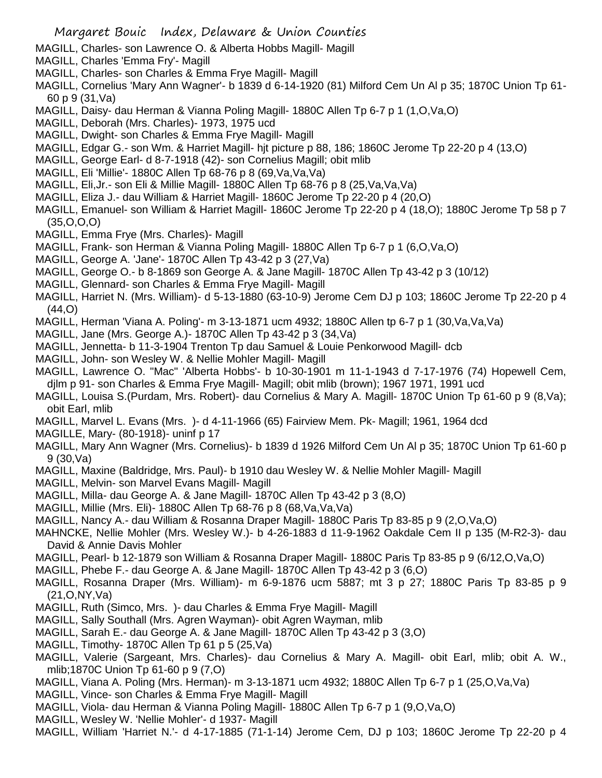- MAGILL, Charles- son Lawrence O. & Alberta Hobbs Magill- Magill
- MAGILL, Charles 'Emma Fry'- Magill
- MAGILL, Charles- son Charles & Emma Frye Magill- Magill
- MAGILL, Cornelius 'Mary Ann Wagner'- b 1839 d 6-14-1920 (81) Milford Cem Un Al p 35; 1870C Union Tp 61- 60 p 9 (31,Va)
- MAGILL, Daisy- dau Herman & Vianna Poling Magill- 1880C Allen Tp 6-7 p 1 (1,O,Va,O)
- MAGILL, Deborah (Mrs. Charles)- 1973, 1975 ucd
- MAGILL, Dwight- son Charles & Emma Frye Magill- Magill
- MAGILL, Edgar G.- son Wm. & Harriet Magill- hjt picture p 88, 186; 1860C Jerome Tp 22-20 p 4 (13,O)
- MAGILL, George Earl- d 8-7-1918 (42)- son Cornelius Magill; obit mlib
- MAGILL, Eli 'Millie'- 1880C Allen Tp 68-76 p 8 (69,Va,Va,Va)
- MAGILL, Eli,Jr.- son Eli & Millie Magill- 1880C Allen Tp 68-76 p 8 (25,Va,Va,Va)
- MAGILL, Eliza J.- dau William & Harriet Magill- 1860C Jerome Tp 22-20 p 4 (20,O)
- MAGILL, Emanuel- son William & Harriet Magill- 1860C Jerome Tp 22-20 p 4 (18,O); 1880C Jerome Tp 58 p 7 (35,O,O,O)
- MAGILL, Emma Frye (Mrs. Charles)- Magill
- MAGILL, Frank- son Herman & Vianna Poling Magill- 1880C Allen Tp 6-7 p 1 (6,O,Va,O)
- MAGILL, George A. 'Jane'- 1870C Allen Tp 43-42 p 3 (27,Va)
- MAGILL, George O.- b 8-1869 son George A. & Jane Magill- 1870C Allen Tp 43-42 p 3 (10/12)
- MAGILL, Glennard- son Charles & Emma Frye Magill- Magill
- MAGILL, Harriet N. (Mrs. William)- d 5-13-1880 (63-10-9) Jerome Cem DJ p 103; 1860C Jerome Tp 22-20 p 4 (44,O)
- MAGILL, Herman 'Viana A. Poling'- m 3-13-1871 ucm 4932; 1880C Allen tp 6-7 p 1 (30,Va,Va,Va)
- MAGILL, Jane (Mrs. George A.)- 1870C Allen Tp 43-42 p 3 (34,Va)
- MAGILL, Jennetta- b 11-3-1904 Trenton Tp dau Samuel & Louie Penkorwood Magill- dcb
- MAGILL, John- son Wesley W. & Nellie Mohler Magill- Magill
- MAGILL, Lawrence O. "Mac" 'Alberta Hobbs'- b 10-30-1901 m 11-1-1943 d 7-17-1976 (74) Hopewell Cem, djlm p 91- son Charles & Emma Frye Magill- Magill; obit mlib (brown); 1967 1971, 1991 ucd
- MAGILL, Louisa S.(Purdam, Mrs. Robert)- dau Cornelius & Mary A. Magill- 1870C Union Tp 61-60 p 9 (8,Va); obit Earl, mlib
- MAGILL, Marvel L. Evans (Mrs. )- d 4-11-1966 (65) Fairview Mem. Pk- Magill; 1961, 1964 dcd
- MAGILLE, Mary- (80-1918)- uninf p 17
- MAGILL, Mary Ann Wagner (Mrs. Cornelius)- b 1839 d 1926 Milford Cem Un Al p 35; 1870C Union Tp 61-60 p 9 (30,Va)
- MAGILL, Maxine (Baldridge, Mrs. Paul)- b 1910 dau Wesley W. & Nellie Mohler Magill- Magill
- MAGILL, Melvin- son Marvel Evans Magill- Magill
- MAGILL, Milla- dau George A. & Jane Magill- 1870C Allen Tp 43-42 p 3 (8,O)
- MAGILL, Millie (Mrs. Eli)- 1880C Allen Tp 68-76 p 8 (68,Va,Va,Va)
- MAGILL, Nancy A.- dau William & Rosanna Draper Magill- 1880C Paris Tp 83-85 p 9 (2,O,Va,O)
- MAHNCKE, Nellie Mohler (Mrs. Wesley W.)- b 4-26-1883 d 11-9-1962 Oakdale Cem II p 135 (M-R2-3)- dau David & Annie Davis Mohler
- MAGILL, Pearl- b 12-1879 son William & Rosanna Draper Magill- 1880C Paris Tp 83-85 p 9 (6/12,O,Va,O)
- MAGILL, Phebe F.- dau George A. & Jane Magill- 1870C Allen Tp 43-42 p 3 (6,O)
- MAGILL, Rosanna Draper (Mrs. William)- m 6-9-1876 ucm 5887; mt 3 p 27; 1880C Paris Tp 83-85 p 9 (21,O,NY,Va)
- MAGILL, Ruth (Simco, Mrs. )- dau Charles & Emma Frye Magill- Magill
- MAGILL, Sally Southall (Mrs. Agren Wayman)- obit Agren Wayman, mlib
- MAGILL, Sarah E.- dau George A. & Jane Magill- 1870C Allen Tp 43-42 p 3 (3,O)
- MAGILL, Timothy- 1870C Allen Tp 61 p 5 (25, Va)
- MAGILL, Valerie (Sargeant, Mrs. Charles)- dau Cornelius & Mary A. Magill- obit Earl, mlib; obit A. W., mlib;1870C Union Tp 61-60 p 9 (7,O)
- MAGILL, Viana A. Poling (Mrs. Herman)- m 3-13-1871 ucm 4932; 1880C Allen Tp 6-7 p 1 (25,O,Va,Va)
- MAGILL, Vince- son Charles & Emma Frye Magill- Magill
- MAGILL, Viola- dau Herman & Vianna Poling Magill- 1880C Allen Tp 6-7 p 1 (9,O,Va,O)
- MAGILL, Wesley W. 'Nellie Mohler'- d 1937- Magill
- MAGILL, William 'Harriet N.'- d 4-17-1885 (71-1-14) Jerome Cem, DJ p 103; 1860C Jerome Tp 22-20 p 4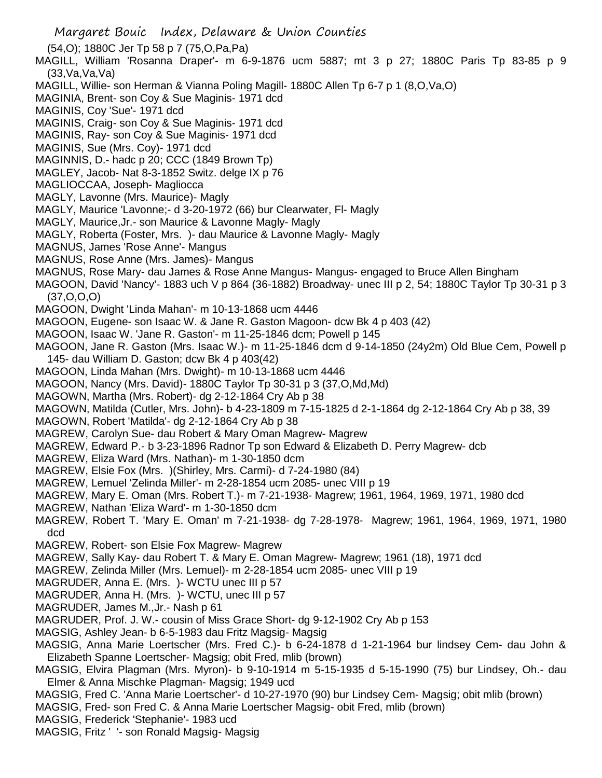Margaret Bouic Index, Delaware & Union Counties (54,O); 1880C Jer Tp 58 p 7 (75,O,Pa,Pa) MAGILL, William 'Rosanna Draper'- m 6-9-1876 ucm 5887; mt 3 p 27; 1880C Paris Tp 83-85 p 9  $(33,Va,Va,Va)$ MAGILL, Willie- son Herman & Vianna Poling Magill- 1880C Allen Tp 6-7 p 1 (8,O,Va,O) MAGINIA, Brent- son Coy & Sue Maginis- 1971 dcd MAGINIS, Coy 'Sue'- 1971 dcd MAGINIS, Craig- son Coy & Sue Maginis- 1971 dcd MAGINIS, Ray- son Coy & Sue Maginis- 1971 dcd MAGINIS, Sue (Mrs. Coy)- 1971 dcd MAGINNIS, D.- hadc p 20; CCC (1849 Brown Tp) MAGLEY, Jacob- Nat 8-3-1852 Switz. delge IX p 76 MAGLIOCCAA, Joseph- Magliocca MAGLY, Lavonne (Mrs. Maurice)- Magly MAGLY, Maurice 'Lavonne;- d 3-20-1972 (66) bur Clearwater, Fl- Magly MAGLY, Maurice,Jr.- son Maurice & Lavonne Magly- Magly MAGLY, Roberta (Foster, Mrs. )- dau Maurice & Lavonne Magly- Magly MAGNUS, James 'Rose Anne'- Mangus MAGNUS, Rose Anne (Mrs. James)- Mangus MAGNUS, Rose Mary- dau James & Rose Anne Mangus- Mangus- engaged to Bruce Allen Bingham MAGOON, David 'Nancy'- 1883 uch V p 864 (36-1882) Broadway- unec III p 2, 54; 1880C Taylor Tp 30-31 p 3 (37,O,O,O) MAGOON, Dwight 'Linda Mahan'- m 10-13-1868 ucm 4446 MAGOON, Eugene- son Isaac W. & Jane R. Gaston Magoon- dcw Bk 4 p 403 (42) MAGOON, Isaac W. 'Jane R. Gaston'- m 11-25-1846 dcm; Powell p 145 MAGOON, Jane R. Gaston (Mrs. Isaac W.)- m 11-25-1846 dcm d 9-14-1850 (24y2m) Old Blue Cem, Powell p 145- dau William D. Gaston; dcw Bk 4 p 403(42) MAGOON, Linda Mahan (Mrs. Dwight)- m 10-13-1868 ucm 4446 MAGOON, Nancy (Mrs. David)- 1880C Taylor Tp 30-31 p 3 (37,O,Md,Md) MAGOWN, Martha (Mrs. Robert)- dg 2-12-1864 Cry Ab p 38 MAGOWN, Matilda (Cutler, Mrs. John)- b 4-23-1809 m 7-15-1825 d 2-1-1864 dg 2-12-1864 Cry Ab p 38, 39 MAGOWN, Robert 'Matilda'- dg 2-12-1864 Cry Ab p 38 MAGREW, Carolyn Sue- dau Robert & Mary Oman Magrew- Magrew MAGREW, Edward P.- b 3-23-1896 Radnor Tp son Edward & Elizabeth D. Perry Magrew- dcb MAGREW, Eliza Ward (Mrs. Nathan)- m 1-30-1850 dcm MAGREW, Elsie Fox (Mrs. )(Shirley, Mrs. Carmi)- d 7-24-1980 (84) MAGREW, Lemuel 'Zelinda Miller'- m 2-28-1854 ucm 2085- unec VIII p 19 MAGREW, Mary E. Oman (Mrs. Robert T.)- m 7-21-1938- Magrew; 1961, 1964, 1969, 1971, 1980 dcd MAGREW, Nathan 'Eliza Ward'- m 1-30-1850 dcm MAGREW, Robert T. 'Mary E. Oman' m 7-21-1938- dg 7-28-1978- Magrew; 1961, 1964, 1969, 1971, 1980 dcd MAGREW, Robert- son Elsie Fox Magrew- Magrew MAGREW, Sally Kay- dau Robert T. & Mary E. Oman Magrew- Magrew; 1961 (18), 1971 dcd MAGREW, Zelinda Miller (Mrs. Lemuel)- m 2-28-1854 ucm 2085- unec VIII p 19 MAGRUDER, Anna E. (Mrs. )- WCTU unec III p 57 MAGRUDER, Anna H. (Mrs. )- WCTU, unec III p 57 MAGRUDER, James M.,Jr.- Nash p 61 MAGRUDER, Prof. J. W.- cousin of Miss Grace Short- dg 9-12-1902 Cry Ab p 153 MAGSIG, Ashley Jean- b 6-5-1983 dau Fritz Magsig- Magsig

MAGSIG, Anna Marie Loertscher (Mrs. Fred C.)- b 6-24-1878 d 1-21-1964 bur lindsey Cem- dau John & Elizabeth Spanne Loertscher- Magsig; obit Fred, mlib (brown)

- MAGSIG, Elvira Plagman (Mrs. Myron)- b 9-10-1914 m 5-15-1935 d 5-15-1990 (75) bur Lindsey, Oh.- dau Elmer & Anna Mischke Plagman- Magsig; 1949 ucd
- MAGSIG, Fred C. 'Anna Marie Loertscher'- d 10-27-1970 (90) bur Lindsey Cem- Magsig; obit mlib (brown)

MAGSIG, Fred- son Fred C. & Anna Marie Loertscher Magsig- obit Fred, mlib (brown)

- MAGSIG, Frederick 'Stephanie'- 1983 ucd
- MAGSIG, Fritz ' '- son Ronald Magsig- Magsig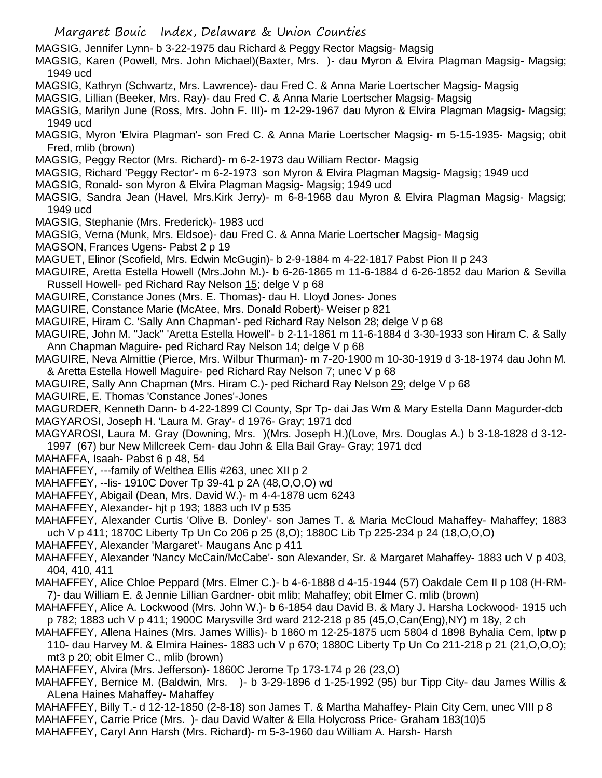- MAGSIG, Jennifer Lynn- b 3-22-1975 dau Richard & Peggy Rector Magsig- Magsig
- MAGSIG, Karen (Powell, Mrs. John Michael)(Baxter, Mrs. )- dau Myron & Elvira Plagman Magsig- Magsig; 1949 ucd
- MAGSIG, Kathryn (Schwartz, Mrs. Lawrence)- dau Fred C. & Anna Marie Loertscher Magsig- Magsig
- MAGSIG, Lillian (Beeker, Mrs. Ray)- dau Fred C. & Anna Marie Loertscher Magsig- Magsig
- MAGSIG, Marilyn June (Ross, Mrs. John F. III)- m 12-29-1967 dau Myron & Elvira Plagman Magsig- Magsig; 1949 ucd
- MAGSIG, Myron 'Elvira Plagman'- son Fred C. & Anna Marie Loertscher Magsig- m 5-15-1935- Magsig; obit Fred, mlib (brown)
- MAGSIG, Peggy Rector (Mrs. Richard)- m 6-2-1973 dau William Rector- Magsig
- MAGSIG, Richard 'Peggy Rector'- m 6-2-1973 son Myron & Elvira Plagman Magsig- Magsig; 1949 ucd
- MAGSIG, Ronald- son Myron & Elvira Plagman Magsig- Magsig; 1949 ucd
- MAGSIG, Sandra Jean (Havel, Mrs.Kirk Jerry)- m 6-8-1968 dau Myron & Elvira Plagman Magsig- Magsig; 1949 ucd
- MAGSIG, Stephanie (Mrs. Frederick)- 1983 ucd
- MAGSIG, Verna (Munk, Mrs. Eldsoe)- dau Fred C. & Anna Marie Loertscher Magsig- Magsig
- MAGSON, Frances Ugens- Pabst 2 p 19
- MAGUET, Elinor (Scofield, Mrs. Edwin McGugin)- b 2-9-1884 m 4-22-1817 Pabst Pion II p 243
- MAGUIRE, Aretta Estella Howell (Mrs.John M.)- b 6-26-1865 m 11-6-1884 d 6-26-1852 dau Marion & Sevilla Russell Howell- ped Richard Ray Nelson 15; delge V p 68
- MAGUIRE, Constance Jones (Mrs. E. Thomas)- dau H. Lloyd Jones- Jones
- MAGUIRE, Constance Marie (McAtee, Mrs. Donald Robert)- Weiser p 821
- MAGUIRE, Hiram C. 'Sally Ann Chapman'- ped Richard Ray Nelson 28; delge V p 68
- MAGUIRE, John M. "Jack" 'Aretta Estella Howell'- b 2-11-1861 m 11-6-1884 d 3-30-1933 son Hiram C. & Sally Ann Chapman Maguire- ped Richard Ray Nelson 14; delge V p 68
- MAGUIRE, Neva Almittie (Pierce, Mrs. Wilbur Thurman)- m 7-20-1900 m 10-30-1919 d 3-18-1974 dau John M. & Aretta Estella Howell Maguire- ped Richard Ray Nelson 7; unec V p 68
- MAGUIRE, Sally Ann Chapman (Mrs. Hiram C.)- ped Richard Ray Nelson 29; delge V p 68
- MAGUIRE, E. Thomas 'Constance Jones'-Jones
- MAGURDER, Kenneth Dann- b 4-22-1899 Cl County, Spr Tp- dai Jas Wm & Mary Estella Dann Magurder-dcb MAGYAROSI, Joseph H. 'Laura M. Gray'- d 1976- Gray; 1971 dcd
- MAGYAROSI, Laura M. Gray (Downing, Mrs. )(Mrs. Joseph H.)(Love, Mrs. Douglas A.) b 3-18-1828 d 3-12- 1997 (67) bur New Millcreek Cem- dau John & Ella Bail Gray- Gray; 1971 dcd
- MAHAFFA, Isaah- Pabst 6 p 48, 54
- MAHAFFEY, ---family of Welthea Ellis #263, unec XII p 2
- MAHAFFEY, --lis- 1910C Dover Tp 39-41 p 2A (48,O,O,O) wd
- MAHAFFEY, Abigail (Dean, Mrs. David W.)- m 4-4-1878 ucm 6243
- MAHAFFEY, Alexander- hjt p 193; 1883 uch IV p 535
- MAHAFFEY, Alexander Curtis 'Olive B. Donley'- son James T. & Maria McCloud Mahaffey- Mahaffey; 1883 uch V p 411; 1870C Liberty Tp Un Co 206 p 25 (8,O); 1880C Lib Tp 225-234 p 24 (18,O,O,O)
- MAHAFFEY, Alexander 'Margaret'- Maugans Anc p 411
- MAHAFFEY, Alexander 'Nancy McCain/McCabe'- son Alexander, Sr. & Margaret Mahaffey- 1883 uch V p 403, 404, 410, 411
- MAHAFFEY, Alice Chloe Peppard (Mrs. Elmer C.)- b 4-6-1888 d 4-15-1944 (57) Oakdale Cem II p 108 (H-RM-7)- dau William E. & Jennie Lillian Gardner- obit mlib; Mahaffey; obit Elmer C. mlib (brown)
- MAHAFFEY, Alice A. Lockwood (Mrs. John W.)- b 6-1854 dau David B. & Mary J. Harsha Lockwood- 1915 uch p 782; 1883 uch V p 411; 1900C Marysville 3rd ward 212-218 p 85 (45,O,Can(Eng),NY) m 18y, 2 ch
- MAHAFFEY, Allena Haines (Mrs. James Willis)- b 1860 m 12-25-1875 ucm 5804 d 1898 Byhalia Cem, lptw p 110- dau Harvey M. & Elmira Haines- 1883 uch V p 670; 1880C Liberty Tp Un Co 211-218 p 21 (21,O,O,O); mt3 p 20; obit Elmer C., mlib (brown)
- MAHAFFEY, Alvira (Mrs. Jefferson)- 1860C Jerome Tp 173-174 p 26 (23,O)
- MAHAFFEY, Bernice M. (Baldwin, Mrs. )- b 3-29-1896 d 1-25-1992 (95) bur Tipp City- dau James Willis & ALena Haines Mahaffey- Mahaffey
- MAHAFFEY, Billy T.- d 12-12-1850 (2-8-18) son James T. & Martha Mahaffey- Plain City Cem, unec VIII p 8
- MAHAFFEY, Carrie Price (Mrs. )- dau David Walter & Ella Holycross Price- Graham 183(10)5
- MAHAFFEY, Caryl Ann Harsh (Mrs. Richard)- m 5-3-1960 dau William A. Harsh- Harsh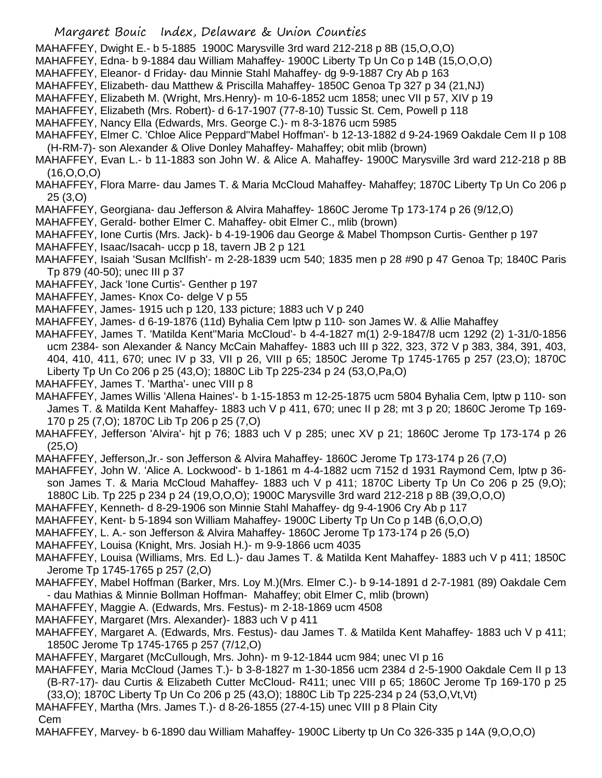- MAHAFFEY, Dwight E.- b 5-1885 1900C Marysville 3rd ward 212-218 p 8B (15,O,O,O)
- MAHAFFEY, Edna- b 9-1884 dau William Mahaffey- 1900C Liberty Tp Un Co p 14B (15,O,O,O)
- MAHAFFEY, Eleanor- d Friday- dau Minnie Stahl Mahaffey- dg 9-9-1887 Cry Ab p 163
- MAHAFFEY, Elizabeth- dau Matthew & Priscilla Mahaffey- 1850C Genoa Tp 327 p 34 (21,NJ)
- MAHAFFEY, Elizabeth M. (Wright, Mrs.Henry)- m 10-6-1852 ucm 1858; unec VII p 57, XIV p 19
- MAHAFFEY, Elizabeth (Mrs. Robert)- d 6-17-1907 (77-8-10) Tussic St. Cem, Powell p 118
- MAHAFFEY, Nancy Ella (Edwards, Mrs. George C.)- m 8-3-1876 ucm 5985
- MAHAFFEY, Elmer C. 'Chloe Alice Peppard''Mabel Hoffman'- b 12-13-1882 d 9-24-1969 Oakdale Cem II p 108 (H-RM-7)- son Alexander & Olive Donley Mahaffey- Mahaffey; obit mlib (brown)
- MAHAFFEY, Evan L.- b 11-1883 son John W. & Alice A. Mahaffey- 1900C Marysville 3rd ward 212-218 p 8B (16,O,O,O)
- MAHAFFEY, Flora Marre- dau James T. & Maria McCloud Mahaffey- Mahaffey; 1870C Liberty Tp Un Co 206 p 25 (3,O)
- MAHAFFEY, Georgiana- dau Jefferson & Alvira Mahaffey- 1860C Jerome Tp 173-174 p 26 (9/12,O)
- MAHAFFEY, Gerald- bother Elmer C. Mahaffey- obit Elmer C., mlib (brown)
- MAHAFFEY, Ione Curtis (Mrs. Jack)- b 4-19-1906 dau George & Mabel Thompson Curtis- Genther p 197
- MAHAFFEY, Isaac/Isacah- uccp p 18, tavern JB 2 p 121
- MAHAFFEY, Isaiah 'Susan McIlfish'- m 2-28-1839 ucm 540; 1835 men p 28 #90 p 47 Genoa Tp; 1840C Paris Tp 879 (40-50); unec III p 37
- MAHAFFEY, Jack 'Ione Curtis'- Genther p 197
- MAHAFFEY, James- Knox Co- delge V p 55
- MAHAFFEY, James- 1915 uch p 120, 133 picture; 1883 uch V p 240
- MAHAFFEY, James- d 6-19-1876 (11d) Byhalia Cem lptw p 110- son James W. & Allie Mahaffey
- MAHAFFEY, James T. 'Matilda Kent''Maria McCloud'- b 4-4-1827 m(1) 2-9-1847/8 ucm 1292 (2) 1-31/0-1856 ucm 2384- son Alexander & Nancy McCain Mahaffey- 1883 uch III p 322, 323, 372 V p 383, 384, 391, 403, 404, 410, 411, 670; unec IV p 33, VII p 26, VIII p 65; 1850C Jerome Tp 1745-1765 p 257 (23,O); 1870C Liberty Tp Un Co 206 p 25 (43,O); 1880C Lib Tp 225-234 p 24 (53,O,Pa,O)
- MAHAFFEY, James T. 'Martha'- unec VIII p 8
- MAHAFFEY, James Willis 'Allena Haines'- b 1-15-1853 m 12-25-1875 ucm 5804 Byhalia Cem, lptw p 110- son James T. & Matilda Kent Mahaffey- 1883 uch V p 411, 670; unec II p 28; mt 3 p 20; 1860C Jerome Tp 169- 170 p 25 (7,O); 1870C Lib Tp 206 p 25 (7,O)
- MAHAFFEY, Jefferson 'Alvira'- hjt p 76; 1883 uch V p 285; unec XV p 21; 1860C Jerome Tp 173-174 p 26 (25,O)
- MAHAFFEY, Jefferson,Jr.- son Jefferson & Alvira Mahaffey- 1860C Jerome Tp 173-174 p 26 (7,O)
- MAHAFFEY, John W. 'Alice A. Lockwood'- b 1-1861 m 4-4-1882 ucm 7152 d 1931 Raymond Cem, lptw p 36 son James T. & Maria McCloud Mahaffey- 1883 uch V p 411; 1870C Liberty Tp Un Co 206 p 25 (9,O); 1880C Lib. Tp 225 p 234 p 24 (19,O,O,O); 1900C Marysville 3rd ward 212-218 p 8B (39,O,O,O)
- MAHAFFEY, Kenneth- d 8-29-1906 son Minnie Stahl Mahaffey- dg 9-4-1906 Cry Ab p 117
- MAHAFFEY, Kent- b 5-1894 son William Mahaffey- 1900C Liberty Tp Un Co p 14B (6,O,O,O)
- MAHAFFEY, L. A.- son Jefferson & Alvira Mahaffey- 1860C Jerome Tp 173-174 p 26 (5,O)
- MAHAFFEY, Louisa (Knight, Mrs. Josiah H.)- m 9-9-1866 ucm 4035
- MAHAFFEY, Louisa (Williams, Mrs. Ed L.)- dau James T. & Matilda Kent Mahaffey- 1883 uch V p 411; 1850C Jerome Tp 1745-1765 p 257 (2,O)
- MAHAFFEY, Mabel Hoffman (Barker, Mrs. Loy M.)(Mrs. Elmer C.)- b 9-14-1891 d 2-7-1981 (89) Oakdale Cem - dau Mathias & Minnie Bollman Hoffman- Mahaffey; obit Elmer C, mlib (brown)
- MAHAFFEY, Maggie A. (Edwards, Mrs. Festus)- m 2-18-1869 ucm 4508
- MAHAFFEY, Margaret (Mrs. Alexander)- 1883 uch V p 411
- MAHAFFEY, Margaret A. (Edwards, Mrs. Festus)- dau James T. & Matilda Kent Mahaffey- 1883 uch V p 411; 1850C Jerome Tp 1745-1765 p 257 (7/12,O)
- MAHAFFEY, Margaret (McCullough, Mrs. John)- m 9-12-1844 ucm 984; unec VI p 16
- MAHAFFEY, Maria McCloud (James T.)- b 3-8-1827 m 1-30-1856 ucm 2384 d 2-5-1900 Oakdale Cem II p 13 (B-R7-17)- dau Curtis & Elizabeth Cutter McCloud- R411; unec VIII p 65; 1860C Jerome Tp 169-170 p 25
- (33,O); 1870C Liberty Tp Un Co 206 p 25 (43,O); 1880C Lib Tp 225-234 p 24 (53,O,Vt,Vt) MAHAFFEY, Martha (Mrs. James T.)- d 8-26-1855 (27-4-15) unec VIII p 8 Plain City
- Cem
- MAHAFFEY, Marvey- b 6-1890 dau William Mahaffey- 1900C Liberty tp Un Co 326-335 p 14A (9,O,O,O)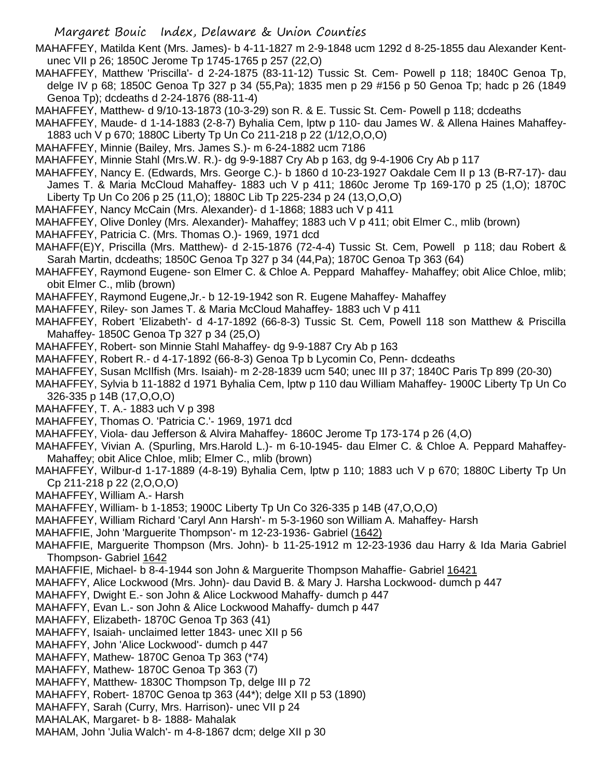MAHAFFEY, Matilda Kent (Mrs. James)- b 4-11-1827 m 2-9-1848 ucm 1292 d 8-25-1855 dau Alexander Kentunec VII p 26; 1850C Jerome Tp 1745-1765 p 257 (22,O)

- MAHAFFEY, Matthew 'Priscilla'- d 2-24-1875 (83-11-12) Tussic St. Cem- Powell p 118; 1840C Genoa Tp, delge IV p 68; 1850C Genoa Tp 327 p 34 (55,Pa); 1835 men p 29 #156 p 50 Genoa Tp; hadc p 26 (1849 Genoa Tp); dcdeaths d 2-24-1876 (88-11-4)
- MAHAFFEY, Matthew- d 9/10-13-1873 (10-3-29) son R. & E. Tussic St. Cem- Powell p 118; dcdeaths
- MAHAFFEY, Maude- d 1-14-1883 (2-8-7) Byhalia Cem, lptw p 110- dau James W. & Allena Haines Mahaffey-1883 uch V p 670; 1880C Liberty Tp Un Co 211-218 p 22 (1/12,O,O,O)
- MAHAFFEY, Minnie (Bailey, Mrs. James S.)- m 6-24-1882 ucm 7186
- MAHAFFEY, Minnie Stahl (Mrs.W. R.)- dg 9-9-1887 Cry Ab p 163, dg 9-4-1906 Cry Ab p 117
- MAHAFFEY, Nancy E. (Edwards, Mrs. George C.)- b 1860 d 10-23-1927 Oakdale Cem II p 13 (B-R7-17)- dau James T. & Maria McCloud Mahaffey- 1883 uch V p 411; 1860c Jerome Tp 169-170 p 25 (1,O); 1870C Liberty Tp Un Co 206 p 25 (11,O); 1880C Lib Tp 225-234 p 24 (13,O,O,O)
- MAHAFFEY, Nancy McCain (Mrs. Alexander)- d 1-1868; 1883 uch V p 411
- MAHAFFEY, Olive Donley (Mrs. Alexander)- Mahaffey; 1883 uch V p 411; obit Elmer C., mlib (brown)
- MAHAFFEY, Patricia C. (Mrs. Thomas O.)- 1969, 1971 dcd
- MAHAFF(E)Y, Priscilla (Mrs. Matthew)- d 2-15-1876 (72-4-4) Tussic St. Cem, Powell p 118; dau Robert & Sarah Martin, dcdeaths; 1850C Genoa Tp 327 p 34 (44,Pa); 1870C Genoa Tp 363 (64)
- MAHAFFEY, Raymond Eugene- son Elmer C. & Chloe A. Peppard Mahaffey- Mahaffey; obit Alice Chloe, mlib; obit Elmer C., mlib (brown)
- MAHAFFEY, Raymond Eugene,Jr.- b 12-19-1942 son R. Eugene Mahaffey- Mahaffey
- MAHAFFEY, Riley- son James T. & Maria McCloud Mahaffey- 1883 uch V p 411
- MAHAFFEY, Robert 'Elizabeth'- d 4-17-1892 (66-8-3) Tussic St. Cem, Powell 118 son Matthew & Priscilla Mahaffey- 1850C Genoa Tp 327 p 34 (25,O)
- MAHAFFEY, Robert- son Minnie Stahl Mahaffey- dg 9-9-1887 Cry Ab p 163
- MAHAFFEY, Robert R.- d 4-17-1892 (66-8-3) Genoa Tp b Lycomin Co, Penn- dcdeaths
- MAHAFFEY, Susan McIlfish (Mrs. Isaiah)- m 2-28-1839 ucm 540; unec III p 37; 1840C Paris Tp 899 (20-30)
- MAHAFFEY, Sylvia b 11-1882 d 1971 Byhalia Cem, lptw p 110 dau William Mahaffey- 1900C Liberty Tp Un Co 326-335 p 14B (17,O,O,O)
- MAHAFFEY, T. A.- 1883 uch V p 398
- MAHAFFEY, Thomas O. 'Patricia C.'- 1969, 1971 dcd
- MAHAFFEY, Viola- dau Jefferson & Alvira Mahaffey- 1860C Jerome Tp 173-174 p 26 (4,O)
- MAHAFFEY, Vivian A. (Spurling, Mrs.Harold L.)- m 6-10-1945- dau Elmer C. & Chloe A. Peppard Mahaffey-Mahaffey; obit Alice Chloe, mlib; Elmer C., mlib (brown)
- MAHAFFEY, Wilbur-d 1-17-1889 (4-8-19) Byhalia Cem, lptw p 110; 1883 uch V p 670; 1880C Liberty Tp Un Cp 211-218 p 22 (2,O,O,O)
- MAHAFFEY, William A.- Harsh
- MAHAFFEY, William- b 1-1853; 1900C Liberty Tp Un Co 326-335 p 14B (47,O,O,O)
- MAHAFFEY, William Richard 'Caryl Ann Harsh'- m 5-3-1960 son William A. Mahaffey- Harsh
- MAHAFFIE, John 'Marguerite Thompson'- m 12-23-1936- Gabriel (1642)
- MAHAFFIE, Marguerite Thompson (Mrs. John)- b 11-25-1912 m 12-23-1936 dau Harry & Ida Maria Gabriel Thompson- Gabriel 1642
- MAHAFFIE, Michael- b 8-4-1944 son John & Marguerite Thompson Mahaffie- Gabriel 16421
- MAHAFFY, Alice Lockwood (Mrs. John)- dau David B. & Mary J. Harsha Lockwood- dumch p 447
- MAHAFFY, Dwight E.- son John & Alice Lockwood Mahaffy- dumch p 447
- MAHAFFY, Evan L.- son John & Alice Lockwood Mahaffy- dumch p 447
- MAHAFFY, Elizabeth- 1870C Genoa Tp 363 (41)
- MAHAFFY, Isaiah- unclaimed letter 1843- unec XII p 56
- MAHAFFY, John 'Alice Lockwood'- dumch p 447
- MAHAFFY, Mathew- 1870C Genoa Tp 363 (\*74)
- MAHAFFY, Mathew- 1870C Genoa Tp 363 (7)
- MAHAFFY, Matthew- 1830C Thompson Tp, delge III p 72
- MAHAFFY, Robert- 1870C Genoa tp 363 (44\*); delge XII p 53 (1890)
- MAHAFFY, Sarah (Curry, Mrs. Harrison)- unec VII p 24
- MAHALAK, Margaret- b 8- 1888- Mahalak
- MAHAM, John 'Julia Walch'- m 4-8-1867 dcm; delge XII p 30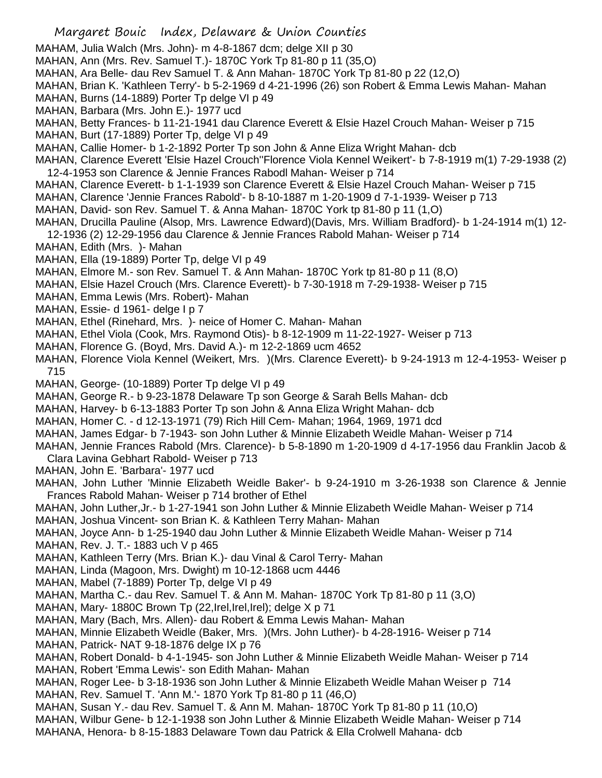Margaret Bouic Index, Delaware & Union Counties MAHAM, Julia Walch (Mrs. John)- m 4-8-1867 dcm; delge XII p 30 MAHAN, Ann (Mrs. Rev. Samuel T.)- 1870C York Tp 81-80 p 11 (35,O) MAHAN, Ara Belle- dau Rev Samuel T. & Ann Mahan- 1870C York Tp 81-80 p 22 (12,O) MAHAN, Brian K. 'Kathleen Terry'- b 5-2-1969 d 4-21-1996 (26) son Robert & Emma Lewis Mahan- Mahan MAHAN, Burns (14-1889) Porter Tp delge VI p 49 MAHAN, Barbara (Mrs. John E.)- 1977 ucd MAHAN, Betty Frances- b 11-21-1941 dau Clarence Everett & Elsie Hazel Crouch Mahan- Weiser p 715 MAHAN, Burt (17-1889) Porter Tp, delge VI p 49 MAHAN, Callie Homer- b 1-2-1892 Porter Tp son John & Anne Eliza Wright Mahan- dcb MAHAN, Clarence Everett 'Elsie Hazel Crouch''Florence Viola Kennel Weikert'- b 7-8-1919 m(1) 7-29-1938 (2) 12-4-1953 son Clarence & Jennie Frances Rabodl Mahan- Weiser p 714 MAHAN, Clarence Everett- b 1-1-1939 son Clarence Everett & Elsie Hazel Crouch Mahan- Weiser p 715 MAHAN, Clarence 'Jennie Frances Rabold'- b 8-10-1887 m 1-20-1909 d 7-1-1939- Weiser p 713 MAHAN, David- son Rev. Samuel T. & Anna Mahan- 1870C York tp 81-80 p 11 (1,O) MAHAN, Drucilla Pauline (Alsop, Mrs. Lawrence Edward)(Davis, Mrs. William Bradford)- b 1-24-1914 m(1) 12- 12-1936 (2) 12-29-1956 dau Clarence & Jennie Frances Rabold Mahan- Weiser p 714 MAHAN, Edith (Mrs. )- Mahan MAHAN, Ella (19-1889) Porter Tp, delge VI p 49 MAHAN, Elmore M.- son Rev. Samuel T. & Ann Mahan- 1870C York tp 81-80 p 11 (8,O) MAHAN, Elsie Hazel Crouch (Mrs. Clarence Everett)- b 7-30-1918 m 7-29-1938- Weiser p 715 MAHAN, Emma Lewis (Mrs. Robert)- Mahan MAHAN, Essie- d 1961- delge I p 7 MAHAN, Ethel (Rinehard, Mrs. )- neice of Homer C. Mahan- Mahan MAHAN, Ethel Viola (Cook, Mrs. Raymond Otis)- b 8-12-1909 m 11-22-1927- Weiser p 713 MAHAN, Florence G. (Boyd, Mrs. David A.)- m 12-2-1869 ucm 4652 MAHAN, Florence Viola Kennel (Weikert, Mrs. )(Mrs. Clarence Everett)- b 9-24-1913 m 12-4-1953- Weiser p 715 MAHAN, George- (10-1889) Porter Tp delge VI p 49 MAHAN, George R.- b 9-23-1878 Delaware Tp son George & Sarah Bells Mahan- dcb MAHAN, Harvey- b 6-13-1883 Porter Tp son John & Anna Eliza Wright Mahan- dcb MAHAN, Homer C. - d 12-13-1971 (79) Rich Hill Cem- Mahan; 1964, 1969, 1971 dcd MAHAN, James Edgar- b 7-1943- son John Luther & Minnie Elizabeth Weidle Mahan- Weiser p 714 MAHAN, Jennie Frances Rabold (Mrs. Clarence)- b 5-8-1890 m 1-20-1909 d 4-17-1956 dau Franklin Jacob & Clara Lavina Gebhart Rabold- Weiser p 713 MAHAN, John E. 'Barbara'- 1977 ucd MAHAN, John Luther 'Minnie Elizabeth Weidle Baker'- b 9-24-1910 m 3-26-1938 son Clarence & Jennie Frances Rabold Mahan- Weiser p 714 brother of Ethel MAHAN, John Luther,Jr.- b 1-27-1941 son John Luther & Minnie Elizabeth Weidle Mahan- Weiser p 714 MAHAN, Joshua Vincent- son Brian K. & Kathleen Terry Mahan- Mahan MAHAN, Joyce Ann- b 1-25-1940 dau John Luther & Minnie Elizabeth Weidle Mahan- Weiser p 714 MAHAN, Rev. J. T.- 1883 uch V p 465 MAHAN, Kathleen Terry (Mrs. Brian K.)- dau Vinal & Carol Terry- Mahan MAHAN, Linda (Magoon, Mrs. Dwight) m 10-12-1868 ucm 4446 MAHAN, Mabel (7-1889) Porter Tp, delge VI p 49 MAHAN, Martha C.- dau Rev. Samuel T. & Ann M. Mahan- 1870C York Tp 81-80 p 11 (3,O) MAHAN, Mary- 1880C Brown Tp (22, Irel, Irel, Irel); delge X p 71 MAHAN, Mary (Bach, Mrs. Allen)- dau Robert & Emma Lewis Mahan- Mahan MAHAN, Minnie Elizabeth Weidle (Baker, Mrs. )(Mrs. John Luther)- b 4-28-1916- Weiser p 714 MAHAN, Patrick- NAT 9-18-1876 delge IX p 76 MAHAN, Robert Donald- b 4-1-1945- son John Luther & Minnie Elizabeth Weidle Mahan- Weiser p 714 MAHAN, Robert 'Emma Lewis'- son Edith Mahan- Mahan MAHAN, Roger Lee- b 3-18-1936 son John Luther & Minnie Elizabeth Weidle Mahan Weiser p 714 MAHAN, Rev. Samuel T. 'Ann M.'- 1870 York Tp 81-80 p 11 (46,O) MAHAN, Susan Y.- dau Rev. Samuel T. & Ann M. Mahan- 1870C York Tp 81-80 p 11 (10,O) MAHAN, Wilbur Gene- b 12-1-1938 son John Luther & Minnie Elizabeth Weidle Mahan- Weiser p 714 MAHANA, Henora- b 8-15-1883 Delaware Town dau Patrick & Ella Crolwell Mahana- dcb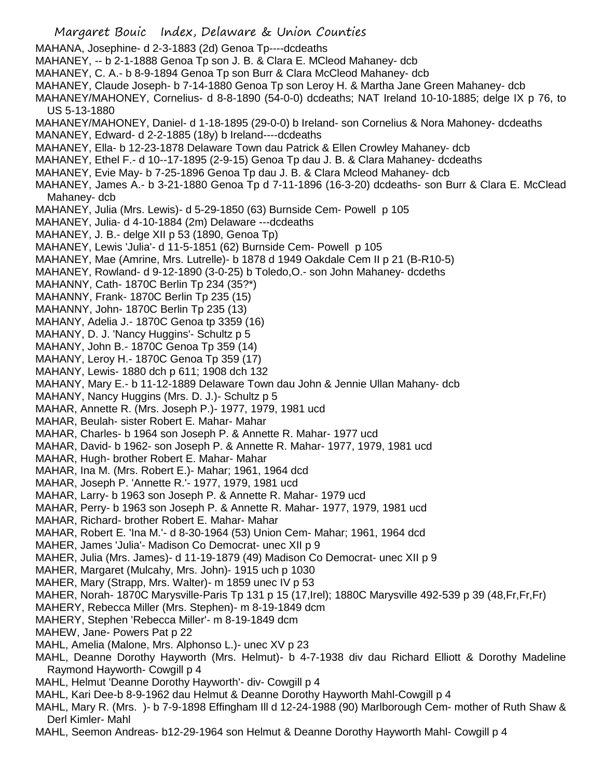Margaret Bouic Index, Delaware & Union Counties MAHANA, Josephine- d 2-3-1883 (2d) Genoa Tp----dcdeaths MAHANEY, -- b 2-1-1888 Genoa Tp son J. B. & Clara E. MCleod Mahaney- dcb MAHANEY, C. A.- b 8-9-1894 Genoa Tp son Burr & Clara McCleod Mahaney- dcb MAHANEY, Claude Joseph- b 7-14-1880 Genoa Tp son Leroy H. & Martha Jane Green Mahaney- dcb MAHANEY/MAHONEY, Cornelius- d 8-8-1890 (54-0-0) dcdeaths; NAT Ireland 10-10-1885; delge IX p 76, to US 5-13-1880 MAHANEY/MAHONEY, Daniel- d 1-18-1895 (29-0-0) b Ireland- son Cornelius & Nora Mahoney- dcdeaths MANANEY, Edward- d 2-2-1885 (18y) b Ireland----dcdeaths MAHANEY, Ella- b 12-23-1878 Delaware Town dau Patrick & Ellen Crowley Mahaney- dcb MAHANEY, Ethel F.- d 10--17-1895 (2-9-15) Genoa Tp dau J. B. & Clara Mahaney- dcdeaths MAHANEY, Evie May- b 7-25-1896 Genoa Tp dau J. B. & Clara Mcleod Mahaney- dcb MAHANEY, James A.- b 3-21-1880 Genoa Tp d 7-11-1896 (16-3-20) dcdeaths- son Burr & Clara E. McClead Mahaney- dcb MAHANEY, Julia (Mrs. Lewis)- d 5-29-1850 (63) Burnside Cem- Powell p 105 MAHANEY, Julia- d 4-10-1884 (2m) Delaware ---dcdeaths MAHANEY, J. B.- delge XII p 53 (1890, Genoa Tp) MAHANEY, Lewis 'Julia'- d 11-5-1851 (62) Burnside Cem- Powell p 105 MAHANEY, Mae (Amrine, Mrs. Lutrelle)- b 1878 d 1949 Oakdale Cem II p 21 (B-R10-5) MAHANEY, Rowland- d 9-12-1890 (3-0-25) b Toledo,O.- son John Mahaney- dcdeths MAHANNY, Cath- 1870C Berlin Tp 234 (35?\*) MAHANNY, Frank- 1870C Berlin Tp 235 (15) MAHANNY, John- 1870C Berlin Tp 235 (13) MAHANY, Adelia J.- 1870C Genoa tp 3359 (16) MAHANY, D. J. 'Nancy Huggins'- Schultz p 5 MAHANY, John B.- 1870C Genoa Tp 359 (14) MAHANY, Leroy H.- 1870C Genoa Tp 359 (17) MAHANY, Lewis- 1880 dch p 611; 1908 dch 132 MAHANY, Mary E.- b 11-12-1889 Delaware Town dau John & Jennie Ullan Mahany- dcb MAHANY, Nancy Huggins (Mrs. D. J.)- Schultz p 5 MAHAR, Annette R. (Mrs. Joseph P.)- 1977, 1979, 1981 ucd MAHAR, Beulah- sister Robert E. Mahar- Mahar MAHAR, Charles- b 1964 son Joseph P. & Annette R. Mahar- 1977 ucd MAHAR, David- b 1962- son Joseph P. & Annette R. Mahar- 1977, 1979, 1981 ucd MAHAR, Hugh- brother Robert E. Mahar- Mahar MAHAR, Ina M. (Mrs. Robert E.)- Mahar; 1961, 1964 dcd MAHAR, Joseph P. 'Annette R.'- 1977, 1979, 1981 ucd MAHAR, Larry- b 1963 son Joseph P. & Annette R. Mahar- 1979 ucd MAHAR, Perry- b 1963 son Joseph P. & Annette R. Mahar- 1977, 1979, 1981 ucd MAHAR, Richard- brother Robert E. Mahar- Mahar MAHAR, Robert E. 'Ina M.'- d 8-30-1964 (53) Union Cem- Mahar; 1961, 1964 dcd MAHER, James 'Julia'- Madison Co Democrat- unec XII p 9 MAHER, Julia (Mrs. James)- d 11-19-1879 (49) Madison Co Democrat- unec XII p 9 MAHER, Margaret (Mulcahy, Mrs. John)- 1915 uch p 1030 MAHER, Mary (Strapp, Mrs. Walter)- m 1859 unec IV p 53 MAHER, Norah- 1870C Marysville-Paris Tp 131 p 15 (17,Irel); 1880C Marysville 492-539 p 39 (48,Fr,Fr,Fr) MAHERY, Rebecca Miller (Mrs. Stephen)- m 8-19-1849 dcm MAHERY, Stephen 'Rebecca Miller'- m 8-19-1849 dcm MAHEW, Jane- Powers Pat p 22 MAHL, Amelia (Malone, Mrs. Alphonso L.)- unec XV p 23 MAHL, Deanne Dorothy Hayworth (Mrs. Helmut)- b 4-7-1938 div dau Richard Elliott & Dorothy Madeline Raymond Hayworth- Cowgill p 4 MAHL, Helmut 'Deanne Dorothy Hayworth'- div- Cowgill p 4 MAHL, Kari Dee-b 8-9-1962 dau Helmut & Deanne Dorothy Hayworth Mahl-Cowgill p 4 MAHL, Mary R. (Mrs. )- b 7-9-1898 Effingham Ill d 12-24-1988 (90) Marlborough Cem- mother of Ruth Shaw & Derl Kimler- Mahl

MAHL, Seemon Andreas- b12-29-1964 son Helmut & Deanne Dorothy Hayworth Mahl- Cowgill p 4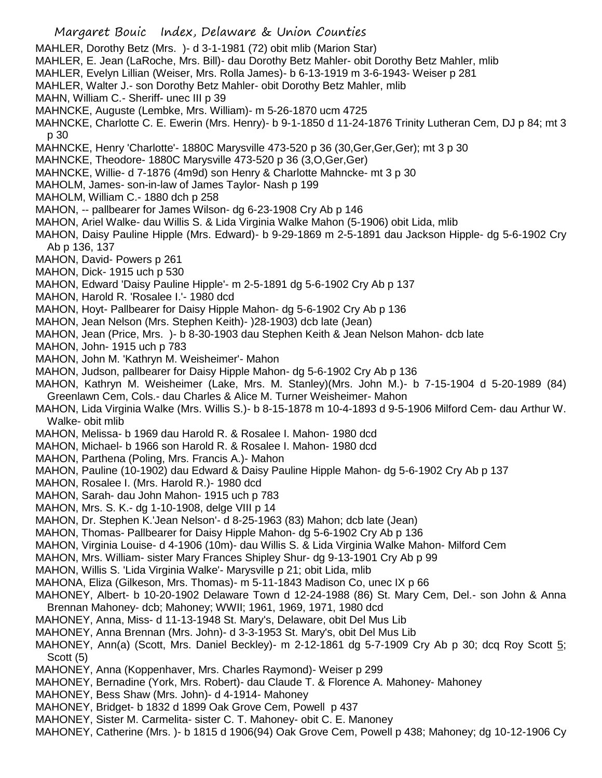- Margaret Bouic Index, Delaware & Union Counties MAHLER, Dorothy Betz (Mrs. )- d 3-1-1981 (72) obit mlib (Marion Star) MAHLER, E. Jean (LaRoche, Mrs. Bill)- dau Dorothy Betz Mahler- obit Dorothy Betz Mahler, mlib MAHLER, Evelyn Lillian (Weiser, Mrs. Rolla James)- b 6-13-1919 m 3-6-1943- Weiser p 281 MAHLER, Walter J.- son Dorothy Betz Mahler- obit Dorothy Betz Mahler, mlib MAHN, William C.- Sheriff- unec III p 39 MAHNCKE, Auguste (Lembke, Mrs. William)- m 5-26-1870 ucm 4725 MAHNCKE, Charlotte C. E. Ewerin (Mrs. Henry)- b 9-1-1850 d 11-24-1876 Trinity Lutheran Cem, DJ p 84; mt 3 p 30 MAHNCKE, Henry 'Charlotte'- 1880C Marysville 473-520 p 36 (30,Ger,Ger,Ger); mt 3 p 30 MAHNCKE, Theodore- 1880C Marysville 473-520 p 36 (3,O,Ger,Ger) MAHNCKE, Willie- d 7-1876 (4m9d) son Henry & Charlotte Mahncke- mt 3 p 30 MAHOLM, James- son-in-law of James Taylor- Nash p 199 MAHOLM, William C.- 1880 dch p 258 MAHON, -- pallbearer for James Wilson- dg 6-23-1908 Cry Ab p 146 MAHON, Ariel Walke- dau Willis S. & Lida Virginia Walke Mahon (5-1906) obit Lida, mlib MAHON, Daisy Pauline Hipple (Mrs. Edward)- b 9-29-1869 m 2-5-1891 dau Jackson Hipple- dg 5-6-1902 Cry Ab p 136, 137 MAHON, David- Powers p 261 MAHON, Dick- 1915 uch p 530 MAHON, Edward 'Daisy Pauline Hipple'- m 2-5-1891 dg 5-6-1902 Cry Ab p 137 MAHON, Harold R. 'Rosalee I.'- 1980 dcd MAHON, Hoyt- Pallbearer for Daisy Hipple Mahon- dg 5-6-1902 Cry Ab p 136 MAHON, Jean Nelson (Mrs. Stephen Keith)- )28-1903) dcb late (Jean) MAHON, Jean (Price, Mrs. )- b 8-30-1903 dau Stephen Keith & Jean Nelson Mahon- dcb late MAHON, John- 1915 uch p 783 MAHON, John M. 'Kathryn M. Weisheimer'- Mahon MAHON, Judson, pallbearer for Daisy Hipple Mahon- dg 5-6-1902 Cry Ab p 136 MAHON, Kathryn M. Weisheimer (Lake, Mrs. M. Stanley)(Mrs. John M.)- b 7-15-1904 d 5-20-1989 (84) Greenlawn Cem, Cols.- dau Charles & Alice M. Turner Weisheimer- Mahon MAHON, Lida Virginia Walke (Mrs. Willis S.)- b 8-15-1878 m 10-4-1893 d 9-5-1906 Milford Cem- dau Arthur W. Walke- obit mlib MAHON, Melissa- b 1969 dau Harold R. & Rosalee I. Mahon- 1980 dcd MAHON, Michael- b 1966 son Harold R. & Rosalee I. Mahon- 1980 dcd MAHON, Parthena (Poling, Mrs. Francis A.)- Mahon MAHON, Pauline (10-1902) dau Edward & Daisy Pauline Hipple Mahon- dg 5-6-1902 Cry Ab p 137 MAHON, Rosalee I. (Mrs. Harold R.)- 1980 dcd MAHON, Sarah- dau John Mahon- 1915 uch p 783 MAHON, Mrs. S. K.- dg 1-10-1908, delge VIII p 14 MAHON, Dr. Stephen K.'Jean Nelson'- d 8-25-1963 (83) Mahon; dcb late (Jean) MAHON, Thomas- Pallbearer for Daisy Hipple Mahon- dg 5-6-1902 Cry Ab p 136 MAHON, Virginia Louise- d 4-1906 (10m)- dau Willis S. & Lida Virginia Walke Mahon- Milford Cem MAHON, Mrs. William- sister Mary Frances Shipley Shur- dg 9-13-1901 Cry Ab p 99 MAHON, Willis S. 'Lida Virginia Walke'- Marysville p 21; obit Lida, mlib MAHONA, Eliza (Gilkeson, Mrs. Thomas)- m 5-11-1843 Madison Co, unec IX p 66 MAHONEY, Albert- b 10-20-1902 Delaware Town d 12-24-1988 (86) St. Mary Cem, Del.- son John & Anna Brennan Mahoney- dcb; Mahoney; WWII; 1961, 1969, 1971, 1980 dcd MAHONEY, Anna, Miss- d 11-13-1948 St. Mary's, Delaware, obit Del Mus Lib MAHONEY, Anna Brennan (Mrs. John)- d 3-3-1953 St. Mary's, obit Del Mus Lib MAHONEY, Ann(a) (Scott, Mrs. Daniel Beckley)- m 2-12-1861 dg 5-7-1909 Cry Ab p 30; dcq Roy Scott 5; Scott (5) MAHONEY, Anna (Koppenhaver, Mrs. Charles Raymond)- Weiser p 299 MAHONEY, Bernadine (York, Mrs. Robert)- dau Claude T. & Florence A. Mahoney- Mahoney MAHONEY, Bess Shaw (Mrs. John)- d 4-1914- Mahoney
- MAHONEY, Bridget- b 1832 d 1899 Oak Grove Cem, Powell p 437
- MAHONEY, Sister M. Carmelita- sister C. T. Mahoney- obit C. E. Manoney
- MAHONEY, Catherine (Mrs. )- b 1815 d 1906(94) Oak Grove Cem, Powell p 438; Mahoney; dg 10-12-1906 Cy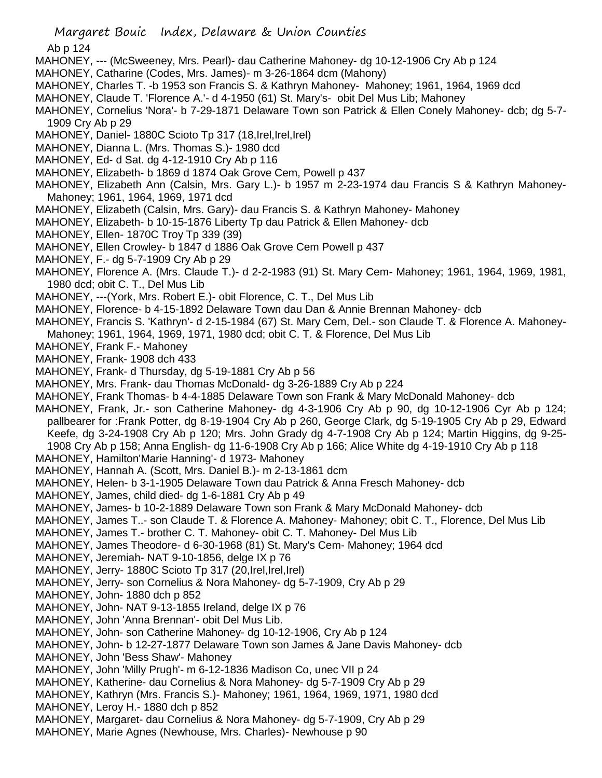Ab p 124

- MAHONEY, --- (McSweeney, Mrs. Pearl)- dau Catherine Mahoney- dg 10-12-1906 Cry Ab p 124
- MAHONEY, Catharine (Codes, Mrs. James)- m 3-26-1864 dcm (Mahony)
- MAHONEY, Charles T. -b 1953 son Francis S. & Kathryn Mahoney- Mahoney; 1961, 1964, 1969 dcd
- MAHONEY, Claude T. 'Florence A.'- d 4-1950 (61) St. Mary's- obit Del Mus Lib; Mahoney
- MAHONEY, Cornelius 'Nora'- b 7-29-1871 Delaware Town son Patrick & Ellen Conely Mahoney- dcb; dg 5-7- 1909 Cry Ab p 29
- MAHONEY, Daniel- 1880C Scioto Tp 317 (18, Irel, Irel, Irel)
- MAHONEY, Dianna L. (Mrs. Thomas S.)- 1980 dcd
- MAHONEY, Ed- d Sat. dg 4-12-1910 Cry Ab p 116
- MAHONEY, Elizabeth- b 1869 d 1874 Oak Grove Cem, Powell p 437
- MAHONEY, Elizabeth Ann (Calsin, Mrs. Gary L.)- b 1957 m 2-23-1974 dau Francis S & Kathryn Mahoney-Mahoney; 1961, 1964, 1969, 1971 dcd
- MAHONEY, Elizabeth (Calsin, Mrs. Gary)- dau Francis S. & Kathryn Mahoney- Mahoney
- MAHONEY, Elizabeth- b 10-15-1876 Liberty Tp dau Patrick & Ellen Mahoney- dcb
- MAHONEY, Ellen- 1870C Troy Tp 339 (39)
- MAHONEY, Ellen Crowley- b 1847 d 1886 Oak Grove Cem Powell p 437
- MAHONEY, F.- dg 5-7-1909 Cry Ab p 29
- MAHONEY, Florence A. (Mrs. Claude T.)- d 2-2-1983 (91) St. Mary Cem- Mahoney; 1961, 1964, 1969, 1981, 1980 dcd; obit C. T., Del Mus Lib
- MAHONEY, ---(York, Mrs. Robert E.)- obit Florence, C. T., Del Mus Lib
- MAHONEY, Florence- b 4-15-1892 Delaware Town dau Dan & Annie Brennan Mahoney- dcb
- MAHONEY, Francis S. 'Kathryn'- d 2-15-1984 (67) St. Mary Cem, Del.- son Claude T. & Florence A. Mahoney-Mahoney; 1961, 1964, 1969, 1971, 1980 dcd; obit C. T. & Florence, Del Mus Lib
- MAHONEY, Frank F.- Mahoney
- MAHONEY, Frank- 1908 dch 433
- MAHONEY, Frank- d Thursday, dg 5-19-1881 Cry Ab p 56
- MAHONEY, Mrs. Frank- dau Thomas McDonald- dg 3-26-1889 Cry Ab p 224
- MAHONEY, Frank Thomas- b 4-4-1885 Delaware Town son Frank & Mary McDonald Mahoney- dcb
- MAHONEY, Frank, Jr.- son Catherine Mahoney- dg 4-3-1906 Cry Ab p 90, dg 10-12-1906 Cyr Ab p 124; pallbearer for :Frank Potter, dg 8-19-1904 Cry Ab p 260, George Clark, dg 5-19-1905 Cry Ab p 29, Edward Keefe, dg 3-24-1908 Cry Ab p 120; Mrs. John Grady dg 4-7-1908 Cry Ab p 124; Martin Higgins, dg 9-25- 1908 Cry Ab p 158; Anna English- dg 11-6-1908 Cry Ab p 166; Alice White dg 4-19-1910 Cry Ab p 118
- MAHONEY, Hamilton'Marie Hanning'- d 1973- Mahoney
- MAHONEY, Hannah A. (Scott, Mrs. Daniel B.)- m 2-13-1861 dcm
- MAHONEY, Helen- b 3-1-1905 Delaware Town dau Patrick & Anna Fresch Mahoney- dcb
- MAHONEY, James, child died- dg 1-6-1881 Cry Ab p 49
- MAHONEY, James- b 10-2-1889 Delaware Town son Frank & Mary McDonald Mahoney- dcb
- MAHONEY, James T..- son Claude T. & Florence A. Mahoney- Mahoney; obit C. T., Florence, Del Mus Lib
- MAHONEY, James T.- brother C. T. Mahoney- obit C. T. Mahoney- Del Mus Lib
- MAHONEY, James Theodore- d 6-30-1968 (81) St. Mary's Cem- Mahoney; 1964 dcd
- MAHONEY, Jeremiah- NAT 9-10-1856, delge IX p 76
- MAHONEY, Jerry- 1880C Scioto Tp 317 (20, Irel, Irel, Irel)
- MAHONEY, Jerry- son Cornelius & Nora Mahoney- dg 5-7-1909, Cry Ab p 29
- MAHONEY, John- 1880 dch p 852
- MAHONEY, John- NAT 9-13-1855 Ireland, delge IX p 76
- MAHONEY, John 'Anna Brennan'- obit Del Mus Lib.
- MAHONEY, John- son Catherine Mahoney- dg 10-12-1906, Cry Ab p 124
- MAHONEY, John- b 12-27-1877 Delaware Town son James & Jane Davis Mahoney- dcb
- MAHONEY, John 'Bess Shaw'- Mahoney
- MAHONEY, John 'Milly Prugh'- m 6-12-1836 Madison Co, unec VII p 24
- MAHONEY, Katherine- dau Cornelius & Nora Mahoney- dg 5-7-1909 Cry Ab p 29
- MAHONEY, Kathryn (Mrs. Francis S.)- Mahoney; 1961, 1964, 1969, 1971, 1980 dcd
- MAHONEY, Leroy H.- 1880 dch p 852
- MAHONEY, Margaret- dau Cornelius & Nora Mahoney- dg 5-7-1909, Cry Ab p 29
- MAHONEY, Marie Agnes (Newhouse, Mrs. Charles)- Newhouse p 90

Margaret Bouic Index, Delaware & Union Counties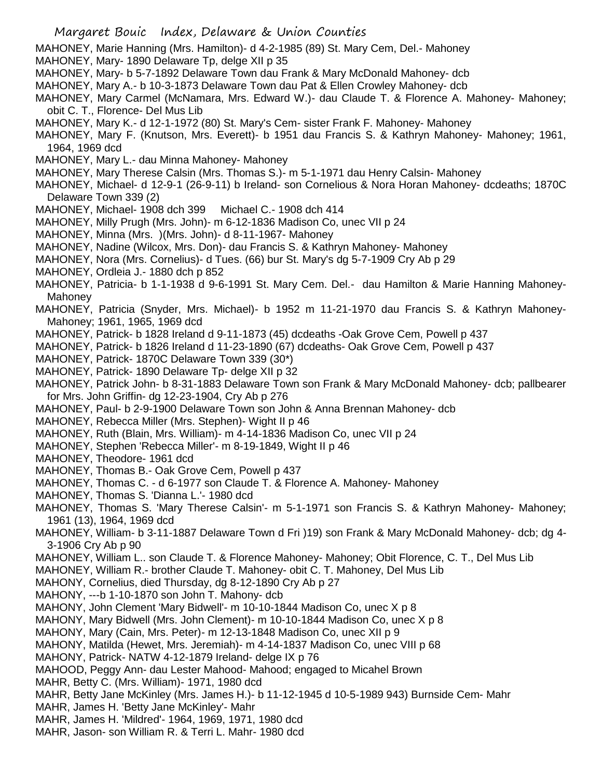MAHONEY, Marie Hanning (Mrs. Hamilton)- d 4-2-1985 (89) St. Mary Cem, Del.- Mahoney

- MAHONEY, Mary- 1890 Delaware Tp, delge XII p 35
- MAHONEY, Mary- b 5-7-1892 Delaware Town dau Frank & Mary McDonald Mahoney- dcb
- MAHONEY, Mary A.- b 10-3-1873 Delaware Town dau Pat & Ellen Crowley Mahoney- dcb

MAHONEY, Mary Carmel (McNamara, Mrs. Edward W.)- dau Claude T. & Florence A. Mahoney- Mahoney; obit C. T., Florence- Del Mus Lib

- MAHONEY, Mary K.- d 12-1-1972 (80) St. Mary's Cem- sister Frank F. Mahoney- Mahoney
- MAHONEY, Mary F. (Knutson, Mrs. Everett)- b 1951 dau Francis S. & Kathryn Mahoney- Mahoney; 1961, 1964, 1969 dcd
- MAHONEY, Mary L.- dau Minna Mahoney- Mahoney
- MAHONEY, Mary Therese Calsin (Mrs. Thomas S.)- m 5-1-1971 dau Henry Calsin- Mahoney
- MAHONEY, Michael- d 12-9-1 (26-9-11) b Ireland- son Cornelious & Nora Horan Mahoney- dcdeaths; 1870C Delaware Town 339 (2)
- MAHONEY, Michael- 1908 dch 399 Michael C.- 1908 dch 414
- MAHONEY, Milly Prugh (Mrs. John)- m 6-12-1836 Madison Co, unec VII p 24
- MAHONEY, Minna (Mrs. )(Mrs. John)- d 8-11-1967- Mahoney
- MAHONEY, Nadine (Wilcox, Mrs. Don)- dau Francis S. & Kathryn Mahoney- Mahoney
- MAHONEY, Nora (Mrs. Cornelius)- d Tues. (66) bur St. Mary's dg 5-7-1909 Cry Ab p 29
- MAHONEY, Ordleia J.- 1880 dch p 852
- MAHONEY, Patricia- b 1-1-1938 d 9-6-1991 St. Mary Cem. Del.- dau Hamilton & Marie Hanning Mahoney-**Mahoney**
- MAHONEY, Patricia (Snyder, Mrs. Michael)- b 1952 m 11-21-1970 dau Francis S. & Kathryn Mahoney-Mahoney; 1961, 1965, 1969 dcd
- MAHONEY, Patrick- b 1828 Ireland d 9-11-1873 (45) dcdeaths -Oak Grove Cem, Powell p 437
- MAHONEY, Patrick- b 1826 Ireland d 11-23-1890 (67) dcdeaths- Oak Grove Cem, Powell p 437
- MAHONEY, Patrick- 1870C Delaware Town 339 (30\*)
- MAHONEY, Patrick- 1890 Delaware Tp- delge XII p 32
- MAHONEY, Patrick John- b 8-31-1883 Delaware Town son Frank & Mary McDonald Mahoney- dcb; pallbearer for Mrs. John Griffin- dg 12-23-1904, Cry Ab p 276
- MAHONEY, Paul- b 2-9-1900 Delaware Town son John & Anna Brennan Mahoney- dcb
- MAHONEY, Rebecca Miller (Mrs. Stephen)- Wight II p 46
- MAHONEY, Ruth (Blain, Mrs. William)- m 4-14-1836 Madison Co, unec VII p 24
- MAHONEY, Stephen 'Rebecca Miller'- m 8-19-1849, Wight II p 46
- MAHONEY, Theodore- 1961 dcd
- MAHONEY, Thomas B.- Oak Grove Cem, Powell p 437
- MAHONEY, Thomas C. d 6-1977 son Claude T. & Florence A. Mahoney- Mahoney
- MAHONEY, Thomas S. 'Dianna L.'- 1980 dcd
- MAHONEY, Thomas S. 'Mary Therese Calsin'- m 5-1-1971 son Francis S. & Kathryn Mahoney- Mahoney; 1961 (13), 1964, 1969 dcd
- MAHONEY, William- b 3-11-1887 Delaware Town d Fri )19) son Frank & Mary McDonald Mahoney- dcb; dg 4- 3-1906 Cry Ab p 90
- MAHONEY, William L.. son Claude T. & Florence Mahoney- Mahoney; Obit Florence, C. T., Del Mus Lib
- MAHONEY, William R.- brother Claude T. Mahoney- obit C. T. Mahoney, Del Mus Lib
- MAHONY, Cornelius, died Thursday, dg 8-12-1890 Cry Ab p 27
- MAHONY, ---b 1-10-1870 son John T. Mahony- dcb
- MAHONY, John Clement 'Mary Bidwell'- m 10-10-1844 Madison Co, unec X p 8
- MAHONY, Mary Bidwell (Mrs. John Clement)- m 10-10-1844 Madison Co, unec X p 8
- MAHONY, Mary (Cain, Mrs. Peter)- m 12-13-1848 Madison Co, unec XII p 9
- MAHONY, Matilda (Hewet, Mrs. Jeremiah)- m 4-14-1837 Madison Co, unec VIII p 68
- MAHONY, Patrick- NATW 4-12-1879 Ireland- delge IX p 76
- MAHOOD, Peggy Ann- dau Lester Mahood- Mahood; engaged to Micahel Brown
- MAHR, Betty C. (Mrs. William)- 1971, 1980 dcd
- MAHR, Betty Jane McKinley (Mrs. James H.)- b 11-12-1945 d 10-5-1989 943) Burnside Cem- Mahr
- MAHR, James H. 'Betty Jane McKinley'- Mahr
- MAHR, James H. 'Mildred'- 1964, 1969, 1971, 1980 dcd
- MAHR, Jason- son William R. & Terri L. Mahr- 1980 dcd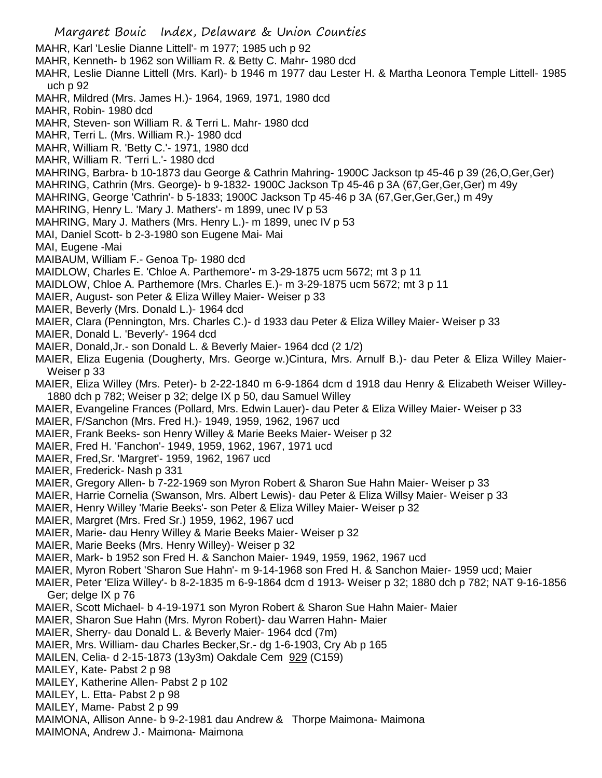Margaret Bouic Index, Delaware & Union Counties MAHR, Karl 'Leslie Dianne Littell'- m 1977; 1985 uch p 92 MAHR, Kenneth- b 1962 son William R. & Betty C. Mahr- 1980 dcd MAHR, Leslie Dianne Littell (Mrs. Karl)- b 1946 m 1977 dau Lester H. & Martha Leonora Temple Littell- 1985 uch p 92 MAHR, Mildred (Mrs. James H.)- 1964, 1969, 1971, 1980 dcd MAHR, Robin- 1980 dcd MAHR, Steven- son William R. & Terri L. Mahr- 1980 dcd MAHR, Terri L. (Mrs. William R.)- 1980 dcd MAHR, William R. 'Betty C.'- 1971, 1980 dcd MAHR, William R. 'Terri L.'- 1980 dcd MAHRING, Barbra- b 10-1873 dau George & Cathrin Mahring- 1900C Jackson tp 45-46 p 39 (26,O,Ger,Ger) MAHRING, Cathrin (Mrs. George)- b 9-1832- 1900C Jackson Tp 45-46 p 3A (67,Ger,Ger,Ger) m 49y MAHRING, George 'Cathrin'- b 5-1833; 1900C Jackson Tp 45-46 p 3A (67, Ger, Ger, Ger,) m 49y MAHRING, Henry L. 'Mary J. Mathers'- m 1899, unec IV p 53 MAHRING, Mary J. Mathers (Mrs. Henry L.)- m 1899, unec IV p 53 MAI, Daniel Scott- b 2-3-1980 son Eugene Mai- Mai MAI, Eugene -Mai MAIBAUM, William F.- Genoa Tp- 1980 dcd MAIDLOW, Charles E. 'Chloe A. Parthemore'- m 3-29-1875 ucm 5672; mt 3 p 11 MAIDLOW, Chloe A. Parthemore (Mrs. Charles E.)- m 3-29-1875 ucm 5672; mt 3 p 11 MAIER, August- son Peter & Eliza Willey Maier- Weiser p 33 MAIER, Beverly (Mrs. Donald L.)- 1964 dcd MAIER, Clara (Pennington, Mrs. Charles C.)- d 1933 dau Peter & Eliza Willey Maier- Weiser p 33 MAIER, Donald L. 'Beverly'- 1964 dcd MAIER, Donald,Jr.- son Donald L. & Beverly Maier- 1964 dcd (2 1/2) MAIER, Eliza Eugenia (Dougherty, Mrs. George w.)Cintura, Mrs. Arnulf B.)- dau Peter & Eliza Willey Maier-Weiser p 33 MAIER, Eliza Willey (Mrs. Peter)- b 2-22-1840 m 6-9-1864 dcm d 1918 dau Henry & Elizabeth Weiser Willey-1880 dch p 782; Weiser p 32; delge IX p 50, dau Samuel Willey MAIER, Evangeline Frances (Pollard, Mrs. Edwin Lauer)- dau Peter & Eliza Willey Maier- Weiser p 33 MAIER, F/Sanchon (Mrs. Fred H.)- 1949, 1959, 1962, 1967 ucd MAIER, Frank Beeks- son Henry Willey & Marie Beeks Maier- Weiser p 32 MAIER, Fred H. 'Fanchon'- 1949, 1959, 1962, 1967, 1971 ucd MAIER, Fred,Sr. 'Margret'- 1959, 1962, 1967 ucd MAIER, Frederick- Nash p 331 MAIER, Gregory Allen- b 7-22-1969 son Myron Robert & Sharon Sue Hahn Maier- Weiser p 33 MAIER, Harrie Cornelia (Swanson, Mrs. Albert Lewis)- dau Peter & Eliza Willsy Maier- Weiser p 33 MAIER, Henry Willey 'Marie Beeks'- son Peter & Eliza Willey Maier- Weiser p 32 MAIER, Margret (Mrs. Fred Sr.) 1959, 1962, 1967 ucd MAIER, Marie- dau Henry Willey & Marie Beeks Maier- Weiser p 32 MAIER, Marie Beeks (Mrs. Henry Willey)- Weiser p 32 MAIER, Mark- b 1952 son Fred H. & Sanchon Maier- 1949, 1959, 1962, 1967 ucd MAIER, Myron Robert 'Sharon Sue Hahn'- m 9-14-1968 son Fred H. & Sanchon Maier- 1959 ucd; Maier MAIER, Peter 'Eliza Willey'- b 8-2-1835 m 6-9-1864 dcm d 1913- Weiser p 32; 1880 dch p 782; NAT 9-16-1856 Ger; delge IX p 76 MAIER, Scott Michael- b 4-19-1971 son Myron Robert & Sharon Sue Hahn Maier- Maier MAIER, Sharon Sue Hahn (Mrs. Myron Robert)- dau Warren Hahn- Maier MAIER, Sherry- dau Donald L. & Beverly Maier- 1964 dcd (7m) MAIER, Mrs. William- dau Charles Becker,Sr.- dg 1-6-1903, Cry Ab p 165 MAILEN, Celia- d 2-15-1873 (13y3m) Oakdale Cem 929 (C159) MAILEY, Kate- Pabst 2 p 98 MAILEY, Katherine Allen- Pabst 2 p 102 MAILEY, L. Etta- Pabst 2 p 98 MAILEY, Mame- Pabst 2 p 99 MAIMONA, Allison Anne- b 9-2-1981 dau Andrew & Thorpe Maimona- Maimona MAIMONA, Andrew J.- Maimona- Maimona